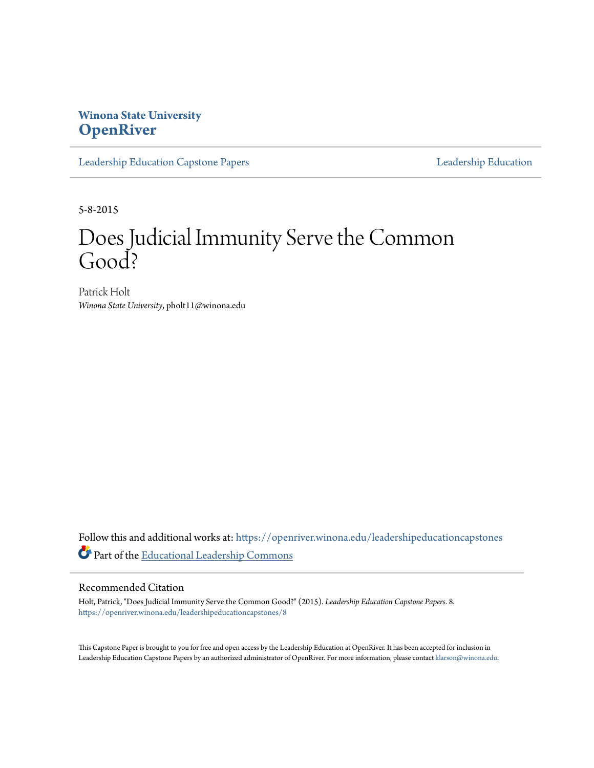# **Winona State University [OpenRiver](https://openriver.winona.edu?utm_source=openriver.winona.edu%2Fleadershipeducationcapstones%2F8&utm_medium=PDF&utm_campaign=PDFCoverPages)**

[Leadership Education Capstone Papers](https://openriver.winona.edu/leadershipeducationcapstones?utm_source=openriver.winona.edu%2Fleadershipeducationcapstones%2F8&utm_medium=PDF&utm_campaign=PDFCoverPages) [Leadership Education](https://openriver.winona.edu/leadershipeducation?utm_source=openriver.winona.edu%2Fleadershipeducationcapstones%2F8&utm_medium=PDF&utm_campaign=PDFCoverPages)

5-8-2015

# Does Judicial Immunity Serve the Common Good?

Patrick Holt *Winona State University*, pholt11@winona.edu

Follow this and additional works at: [https://openriver.winona.edu/leadershipeducationcapstones](https://openriver.winona.edu/leadershipeducationcapstones?utm_source=openriver.winona.edu%2Fleadershipeducationcapstones%2F8&utm_medium=PDF&utm_campaign=PDFCoverPages) Part of the [Educational Leadership Commons](http://network.bepress.com/hgg/discipline/1230?utm_source=openriver.winona.edu%2Fleadershipeducationcapstones%2F8&utm_medium=PDF&utm_campaign=PDFCoverPages)

# Recommended Citation

Holt, Patrick, "Does Judicial Immunity Serve the Common Good?" (2015). *Leadership Education Capstone Papers*. 8. [https://openriver.winona.edu/leadershipeducationcapstones/8](https://openriver.winona.edu/leadershipeducationcapstones/8?utm_source=openriver.winona.edu%2Fleadershipeducationcapstones%2F8&utm_medium=PDF&utm_campaign=PDFCoverPages)

This Capstone Paper is brought to you for free and open access by the Leadership Education at OpenRiver. It has been accepted for inclusion in Leadership Education Capstone Papers by an authorized administrator of OpenRiver. For more information, please contact [klarson@winona.edu.](mailto:klarson@winona.edu)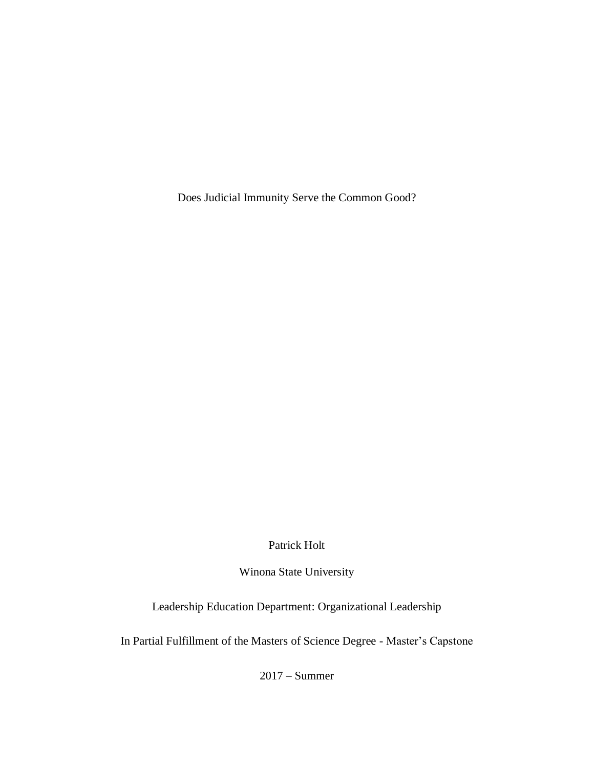Does Judicial Immunity Serve the Common Good?

Patrick Holt

Winona State University

Leadership Education Department: Organizational Leadership

In Partial Fulfillment of the Masters of Science Degree - Master's Capstone

2017 – Summer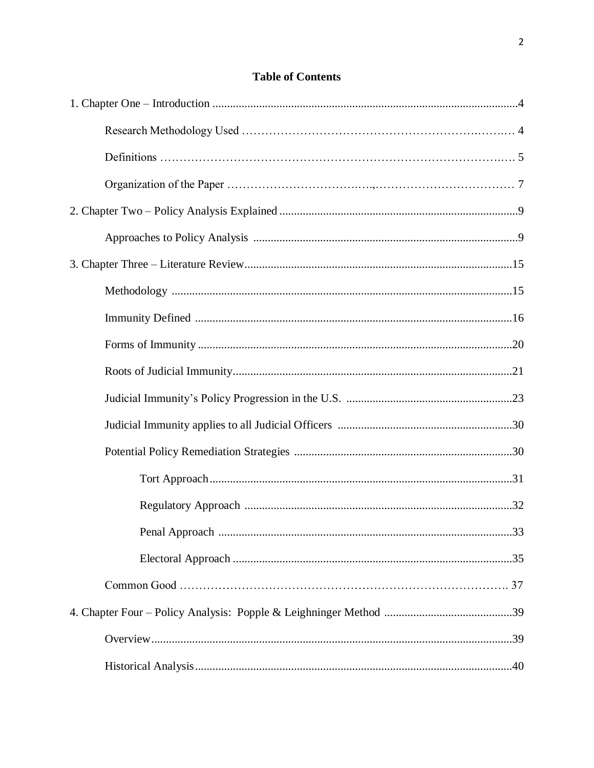# **Table of Contents**

| 33 |  |
|----|--|
|    |  |
|    |  |
|    |  |
|    |  |
|    |  |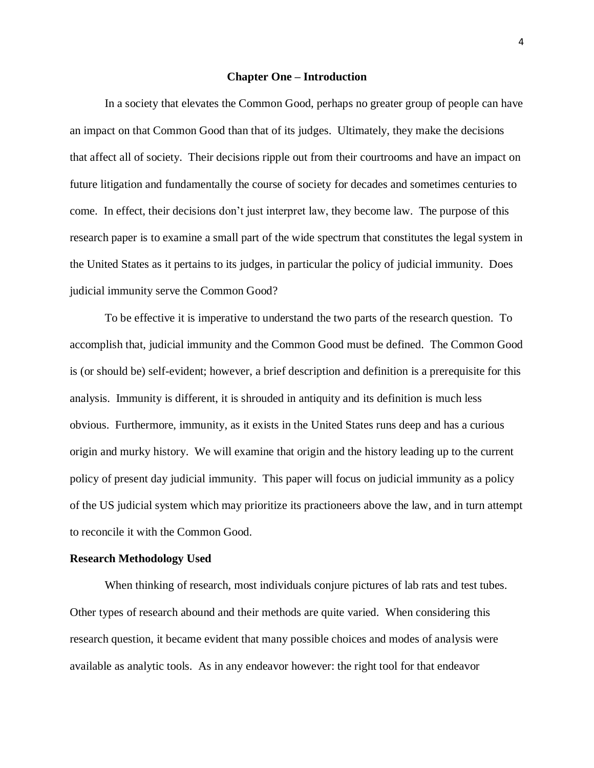#### **Chapter One – Introduction**

In a society that elevates the Common Good, perhaps no greater group of people can have an impact on that Common Good than that of its judges. Ultimately, they make the decisions that affect all of society. Their decisions ripple out from their courtrooms and have an impact on future litigation and fundamentally the course of society for decades and sometimes centuries to come. In effect, their decisions don't just interpret law, they become law. The purpose of this research paper is to examine a small part of the wide spectrum that constitutes the legal system in the United States as it pertains to its judges, in particular the policy of judicial immunity. Does judicial immunity serve the Common Good?

To be effective it is imperative to understand the two parts of the research question. To accomplish that, judicial immunity and the Common Good must be defined. The Common Good is (or should be) self-evident; however, a brief description and definition is a prerequisite for this analysis. Immunity is different, it is shrouded in antiquity and its definition is much less obvious. Furthermore, immunity, as it exists in the United States runs deep and has a curious origin and murky history. We will examine that origin and the history leading up to the current policy of present day judicial immunity. This paper will focus on judicial immunity as a policy of the US judicial system which may prioritize its practioneers above the law, and in turn attempt to reconcile it with the Common Good.

#### **Research Methodology Used**

When thinking of research, most individuals conjure pictures of lab rats and test tubes. Other types of research abound and their methods are quite varied. When considering this research question, it became evident that many possible choices and modes of analysis were available as analytic tools. As in any endeavor however: the right tool for that endeavor

4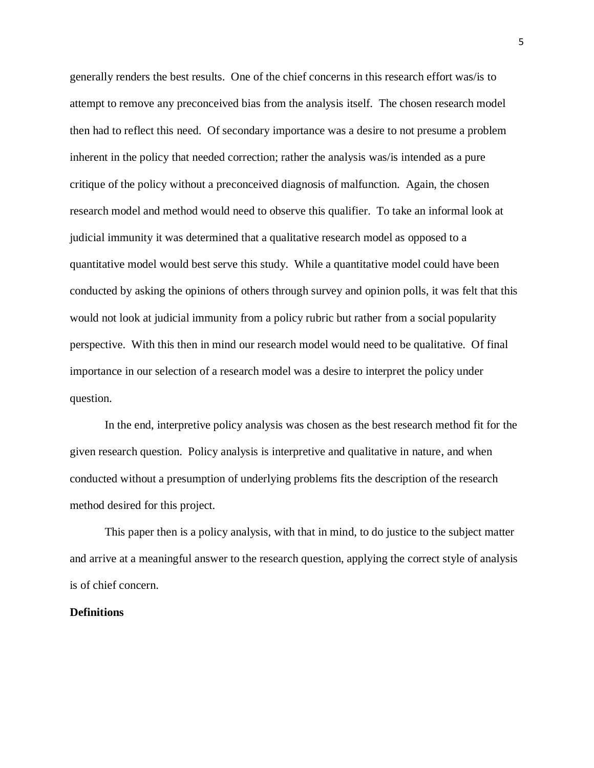generally renders the best results. One of the chief concerns in this research effort was/is to attempt to remove any preconceived bias from the analysis itself. The chosen research model then had to reflect this need. Of secondary importance was a desire to not presume a problem inherent in the policy that needed correction; rather the analysis was/is intended as a pure critique of the policy without a preconceived diagnosis of malfunction. Again, the chosen research model and method would need to observe this qualifier. To take an informal look at judicial immunity it was determined that a qualitative research model as opposed to a quantitative model would best serve this study. While a quantitative model could have been conducted by asking the opinions of others through survey and opinion polls, it was felt that this would not look at judicial immunity from a policy rubric but rather from a social popularity perspective. With this then in mind our research model would need to be qualitative. Of final importance in our selection of a research model was a desire to interpret the policy under question.

In the end, interpretive policy analysis was chosen as the best research method fit for the given research question. Policy analysis is interpretive and qualitative in nature, and when conducted without a presumption of underlying problems fits the description of the research method desired for this project.

This paper then is a policy analysis, with that in mind, to do justice to the subject matter and arrive at a meaningful answer to the research question, applying the correct style of analysis is of chief concern.

# **Definitions**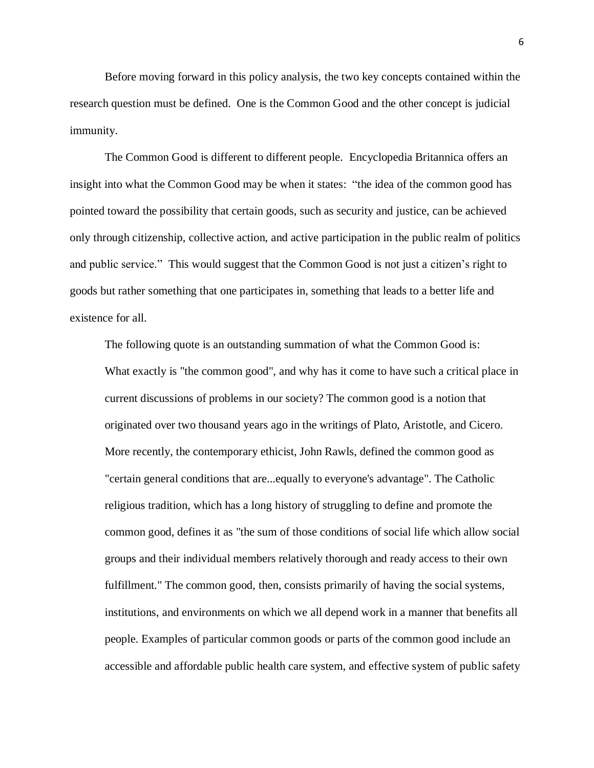Before moving forward in this policy analysis, the two key concepts contained within the research question must be defined. One is the Common Good and the other concept is judicial immunity.

The Common Good is different to different people. Encyclopedia Britannica offers an insight into what the Common Good may be when it states: "the idea of the common good has pointed toward the possibility that certain goods, such as security and [justice,](https://www.merriam-webster.com/dictionary/justice) can be achieved only through citizenship, [collective](https://www.merriam-webster.com/dictionary/collective) action, and active participation in the public realm of politics and public service." This would suggest that the Common Good is not just a citizen's right to goods but rather something that one participates in, something that leads to a better life and existence for all.

The following quote is an outstanding summation of what the Common Good is: What exactly is "the common good", and why has it come to have such a critical place in current discussions of problems in our society? The common good is a notion that originated over two thousand years ago in the writings of Plato, Aristotle, and Cicero. More recently, the contemporary ethicist, John Rawls, defined the common good as "certain general conditions that are...equally to everyone's advantage". The Catholic religious tradition, which has a long history of struggling to define and promote the common good, defines it as "the sum of those conditions of social life which allow social groups and their individual members relatively thorough and ready access to their own fulfillment." The common good, then, consists primarily of having the social systems, institutions, and environments on which we all depend work in a manner that benefits all people. Examples of particular common goods or parts of the common good include an accessible and affordable public health care system, and effective system of public safety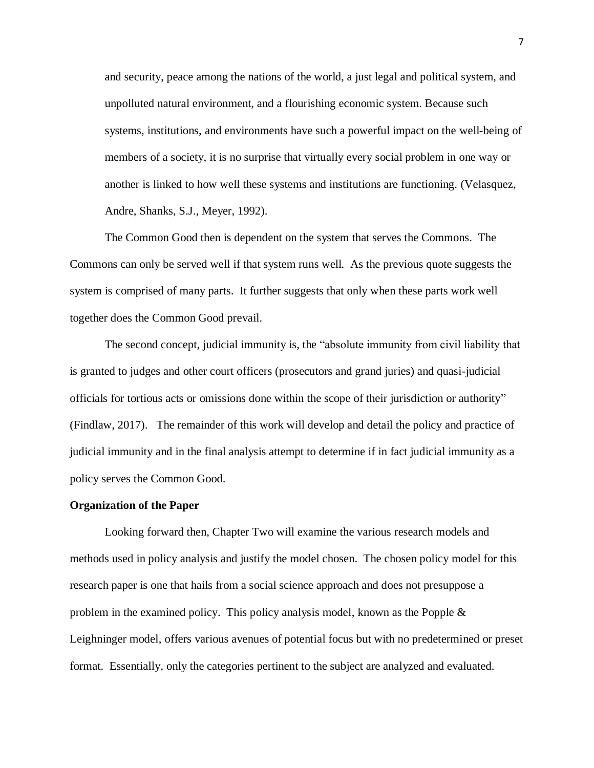and security, peace among the nations of the world, a just legal and political system, and unpolluted natural environment, and a flourishing economic system. Because such systems, institutions, and environments have such a powerful impact on the well-being of members of a society, it is no surprise that virtually every social problem in one way or another is linked to how well these systems and institutions are functioning. (Velasquez, Andre, Shanks, S.J., Meyer, 1992).

The Common Good then is dependent on the system that serves the Commons. The Commons can only be served well if that system runs well. As the previous quote suggests the system is comprised of many parts. It further suggests that only when these parts work well together does the Common Good prevail.

The second concept, judicial immunity is, the "absolute immunity from civil liability that is granted to judges and other court officers (prosecutors and grand juries) and quasi-judicial officials for tortious acts or omissions done within the scope of their jurisdiction or authority" (Findlaw, 2017). The remainder of this work will develop and detail the policy and practice of judicial immunity and in the final analysis attempt to determine if in fact judicial immunity as a policy serves the Common Good.

#### **Organization of the Paper**

Looking forward then, Chapter Two will examine the various research models and methods used in policy analysis and justify the model chosen. The chosen policy model for this research paper is one that hails from a social science approach and does not presuppose a problem in the examined policy. This policy analysis model, known as the Popple & Leighninger model, offers various avenues of potential focus but with no predetermined or preset format. Essentially, only the categories pertinent to the subject are analyzed and evaluated.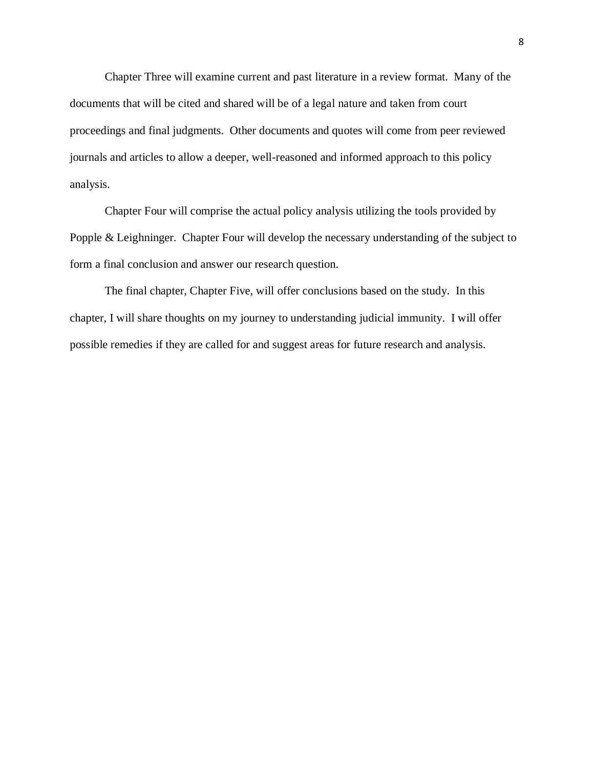Chapter Three will examine current and past literature in a review format. Many of the documents that will be cited and shared will be of a legal nature and taken from court proceedings and final judgments. Other documents and quotes will come from peer reviewed journals and articles to allow a deeper, well-reasoned and informed approach to this policy analysis.

Chapter Four will comprise the actual policy analysis utilizing the tools provided by Popple & Leighninger. Chapter Four will develop the necessary understanding of the subject to form a final conclusion and answer our research question.

The final chapter, Chapter Five, will offer conclusions based on the study. In this chapter, I will share thoughts on my journey to understanding judicial immunity. I will offer possible remedies if they are called for and suggest areas for future research and analysis.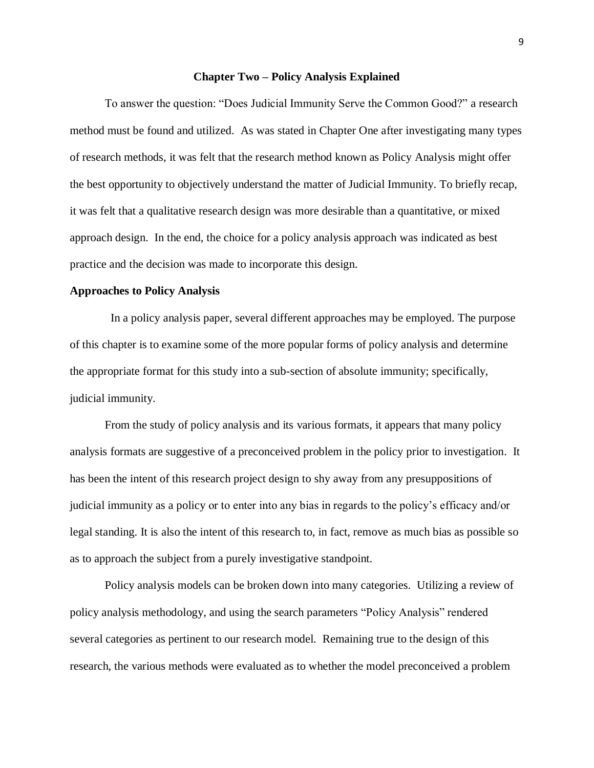#### **Chapter Two – Policy Analysis Explained**

To answer the question: "Does Judicial Immunity Serve the Common Good?" a research method must be found and utilized. As was stated in Chapter One after investigating many types of research methods, it was felt that the research method known as Policy Analysis might offer the best opportunity to objectively understand the matter of Judicial Immunity. To briefly recap, it was felt that a qualitative research design was more desirable than a quantitative, or mixed approach design. In the end, the choice for a policy analysis approach was indicated as best practice and the decision was made to incorporate this design.

# **Approaches to Policy Analysis**

In a policy analysis paper, several different approaches may be employed. The purpose of this chapter is to examine some of the more popular forms of policy analysis and determine the appropriate format for this study into a sub-section of absolute immunity; specifically, judicial immunity.

From the study of policy analysis and its various formats, it appears that many policy analysis formats are suggestive of a preconceived problem in the policy prior to investigation. It has been the intent of this research project design to shy away from any presuppositions of judicial immunity as a policy or to enter into any bias in regards to the policy's efficacy and/or legal standing. It is also the intent of this research to, in fact, remove as much bias as possible so as to approach the subject from a purely investigative standpoint.

Policy analysis models can be broken down into many categories. Utilizing a review of policy analysis methodology, and using the search parameters "Policy Analysis" rendered several categories as pertinent to our research model. Remaining true to the design of this research, the various methods were evaluated as to whether the model preconceived a problem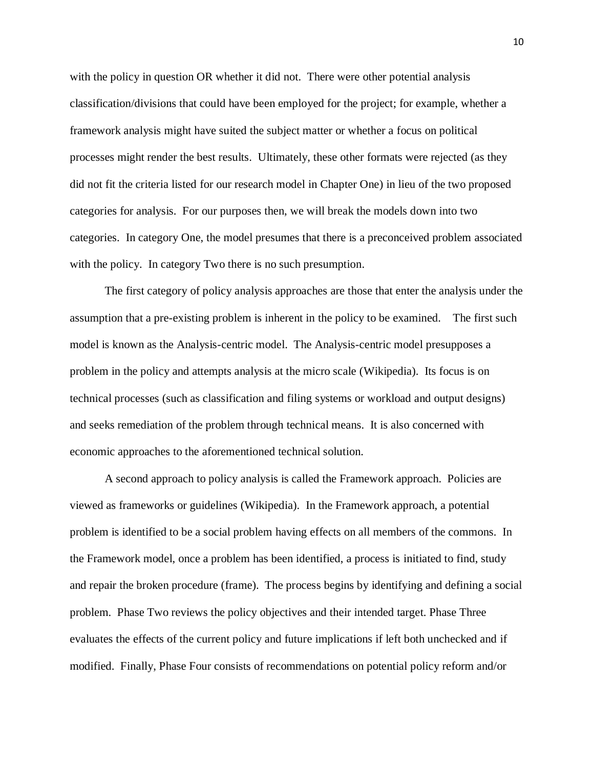with the policy in question OR whether it did not. There were other potential analysis classification/divisions that could have been employed for the project; for example, whether a framework analysis might have suited the subject matter or whether a focus on political processes might render the best results. Ultimately, these other formats were rejected (as they did not fit the criteria listed for our research model in Chapter One) in lieu of the two proposed categories for analysis. For our purposes then, we will break the models down into two categories. In category One, the model presumes that there is a preconceived problem associated with the policy. In category Two there is no such presumption.

The first category of policy analysis approaches are those that enter the analysis under the assumption that a pre-existing problem is inherent in the policy to be examined. The first such model is known as the Analysis-centric model. The Analysis-centric model presupposes a problem in the policy and attempts analysis at the micro scale (Wikipedia). Its focus is on technical processes (such as classification and filing systems or workload and output designs) and seeks remediation of the problem through technical means. It is also concerned with economic approaches to the aforementioned technical solution.

A second approach to policy analysis is called the Framework approach. Policies are viewed as frameworks or guidelines (Wikipedia). In the Framework approach, a potential problem is identified to be a social problem having effects on all members of the commons. In the Framework model, once a problem has been identified, a process is initiated to find, study and repair the broken procedure (frame). The process begins by identifying and defining a social problem. Phase Two reviews the policy objectives and their intended target. Phase Three evaluates the effects of the current policy and future implications if left both unchecked and if modified. Finally, Phase Four consists of recommendations on potential policy reform and/or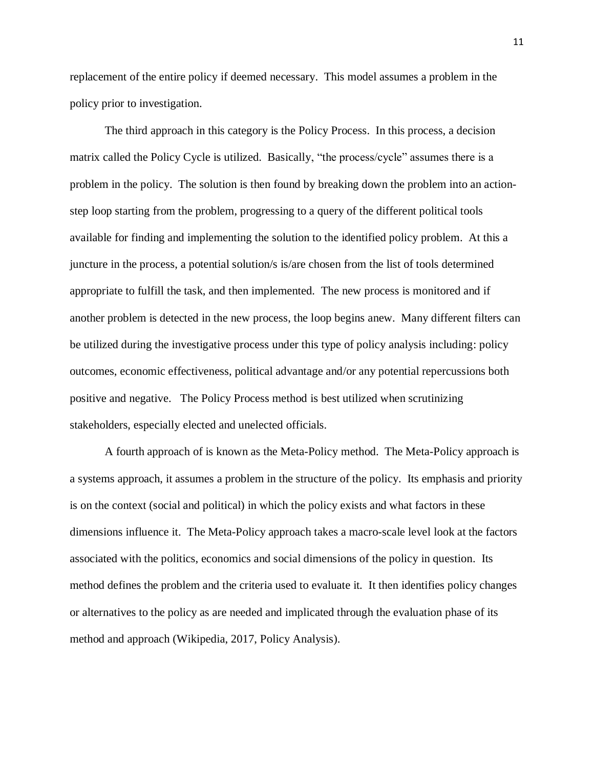replacement of the entire policy if deemed necessary. This model assumes a problem in the policy prior to investigation.

The third approach in this category is the Policy Process. In this process, a decision matrix called the Policy Cycle is utilized. Basically, "the process/cycle" assumes there is a problem in the policy. The solution is then found by breaking down the problem into an actionstep loop starting from the problem, progressing to a query of the different political tools available for finding and implementing the solution to the identified policy problem. At this a juncture in the process, a potential solution/s is/are chosen from the list of tools determined appropriate to fulfill the task, and then implemented. The new process is monitored and if another problem is detected in the new process, the loop begins anew. Many different filters can be utilized during the investigative process under this type of policy analysis including: policy outcomes, economic effectiveness, political advantage and/or any potential repercussions both positive and negative. The Policy Process method is best utilized when scrutinizing stakeholders, especially elected and unelected officials.

A fourth approach of is known as the Meta-Policy method. The Meta-Policy approach is a systems approach, it assumes a problem in the structure of the policy. Its emphasis and priority is on the context (social and political) in which the policy exists and what factors in these dimensions influence it. The Meta-Policy approach takes a macro-scale level look at the factors associated with the politics, economics and social dimensions of the policy in question. Its method defines the problem and the criteria used to evaluate it. It then identifies policy changes or alternatives to the policy as are needed and implicated through the evaluation phase of its method and approach (Wikipedia, 2017, Policy Analysis).

11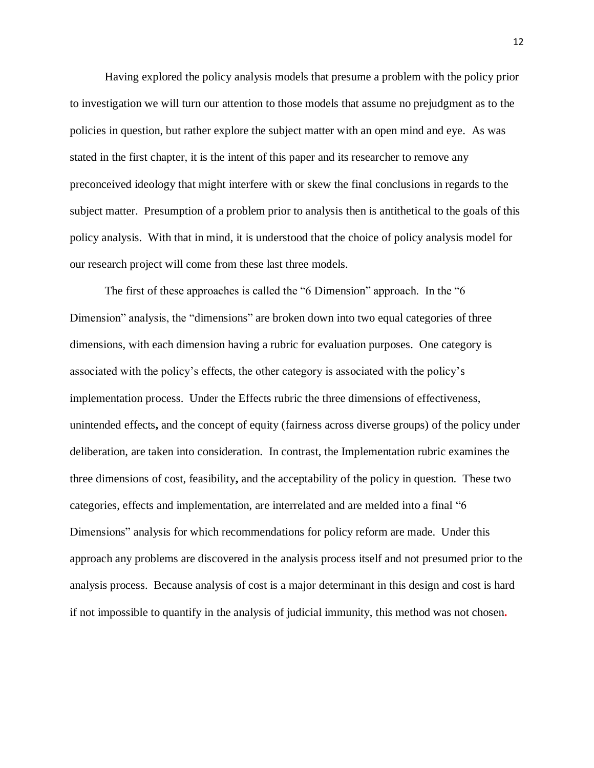Having explored the policy analysis models that presume a problem with the policy prior to investigation we will turn our attention to those models that assume no prejudgment as to the policies in question, but rather explore the subject matter with an open mind and eye. As was stated in the first chapter, it is the intent of this paper and its researcher to remove any preconceived ideology that might interfere with or skew the final conclusions in regards to the subject matter. Presumption of a problem prior to analysis then is antithetical to the goals of this policy analysis. With that in mind, it is understood that the choice of policy analysis model for our research project will come from these last three models.

The first of these approaches is called the "6 Dimension" approach. In the "6 Dimension" analysis, the "dimensions" are broken down into two equal categories of three dimensions, with each dimension having a rubric for evaluation purposes. One category is associated with the policy's effects, the other category is associated with the policy's implementation process. Under the Effects rubric the three dimensions of effectiveness, unintended effects**,** and the concept of equity (fairness across diverse groups) of the policy under deliberation, are taken into consideration. In contrast, the Implementation rubric examines the three dimensions of cost, feasibility**,** and the acceptability of the policy in question. These two categories, effects and implementation, are interrelated and are melded into a final "6 Dimensions" analysis for which recommendations for policy reform are made. Under this approach any problems are discovered in the analysis process itself and not presumed prior to the analysis process. Because analysis of cost is a major determinant in this design and cost is hard if not impossible to quantify in the analysis of judicial immunity, this method was not chosen**.**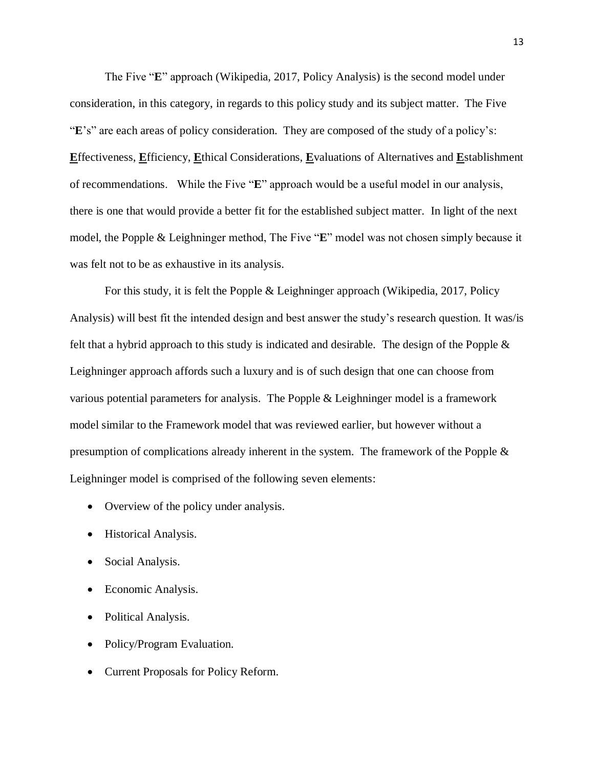The Five "**E**" approach (Wikipedia, 2017, Policy Analysis) is the second model under consideration, in this category, in regards to this policy study and its subject matter. The Five "**E**'s" are each areas of policy consideration. They are composed of the study of a policy's: **E**ffectiveness, **E**fficiency, **E**thical Considerations, **E**valuations of Alternatives and **E**stablishment of recommendations. While the Five "**E**" approach would be a useful model in our analysis, there is one that would provide a better fit for the established subject matter. In light of the next model, the Popple & Leighninger method, The Five "**E**" model was not chosen simply because it was felt not to be as exhaustive in its analysis.

For this study, it is felt the Popple & Leighninger approach (Wikipedia, 2017, Policy Analysis) will best fit the intended design and best answer the study's research question. It was/is felt that a hybrid approach to this study is indicated and desirable. The design of the Popple & Leighninger approach affords such a luxury and is of such design that one can choose from various potential parameters for analysis. The Popple & Leighninger model is a framework model similar to the Framework model that was reviewed earlier, but however without a presumption of complications already inherent in the system. The framework of the Popple & Leighninger model is comprised of the following seven elements:

- Overview of the policy under analysis.
- Historical Analysis.
- Social Analysis.
- Economic Analysis.
- Political Analysis.
- Policy/Program Evaluation.
- Current Proposals for Policy Reform.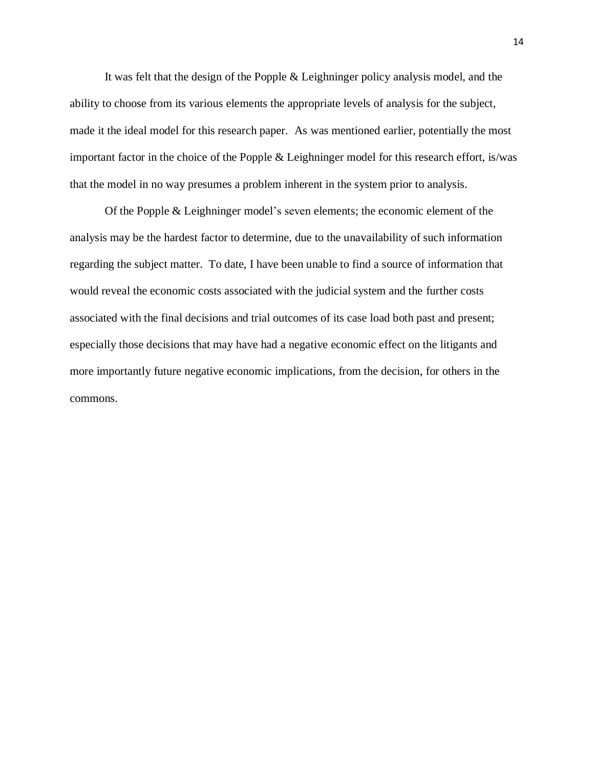It was felt that the design of the Popple & Leighninger policy analysis model, and the ability to choose from its various elements the appropriate levels of analysis for the subject, made it the ideal model for this research paper. As was mentioned earlier, potentially the most important factor in the choice of the Popple & Leighninger model for this research effort, is/was that the model in no way presumes a problem inherent in the system prior to analysis.

Of the Popple & Leighninger model's seven elements; the economic element of the analysis may be the hardest factor to determine, due to the unavailability of such information regarding the subject matter. To date, I have been unable to find a source of information that would reveal the economic costs associated with the judicial system and the further costs associated with the final decisions and trial outcomes of its case load both past and present; especially those decisions that may have had a negative economic effect on the litigants and more importantly future negative economic implications, from the decision, for others in the commons.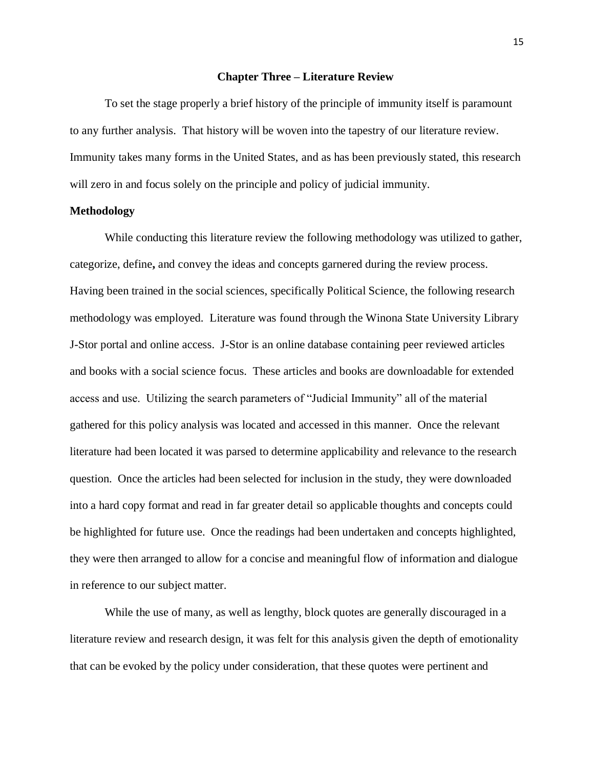#### **Chapter Three – Literature Review**

To set the stage properly a brief history of the principle of immunity itself is paramount to any further analysis. That history will be woven into the tapestry of our literature review. Immunity takes many forms in the United States, and as has been previously stated, this research will zero in and focus solely on the principle and policy of judicial immunity.

# **Methodology**

While conducting this literature review the following methodology was utilized to gather, categorize, define**,** and convey the ideas and concepts garnered during the review process. Having been trained in the social sciences, specifically Political Science, the following research methodology was employed. Literature was found through the Winona State University Library J-Stor portal and online access. J-Stor is an online database containing peer reviewed articles and books with a social science focus. These articles and books are downloadable for extended access and use. Utilizing the search parameters of "Judicial Immunity" all of the material gathered for this policy analysis was located and accessed in this manner. Once the relevant literature had been located it was parsed to determine applicability and relevance to the research question. Once the articles had been selected for inclusion in the study, they were downloaded into a hard copy format and read in far greater detail so applicable thoughts and concepts could be highlighted for future use. Once the readings had been undertaken and concepts highlighted, they were then arranged to allow for a concise and meaningful flow of information and dialogue in reference to our subject matter.

While the use of many, as well as lengthy, block quotes are generally discouraged in a literature review and research design, it was felt for this analysis given the depth of emotionality that can be evoked by the policy under consideration, that these quotes were pertinent and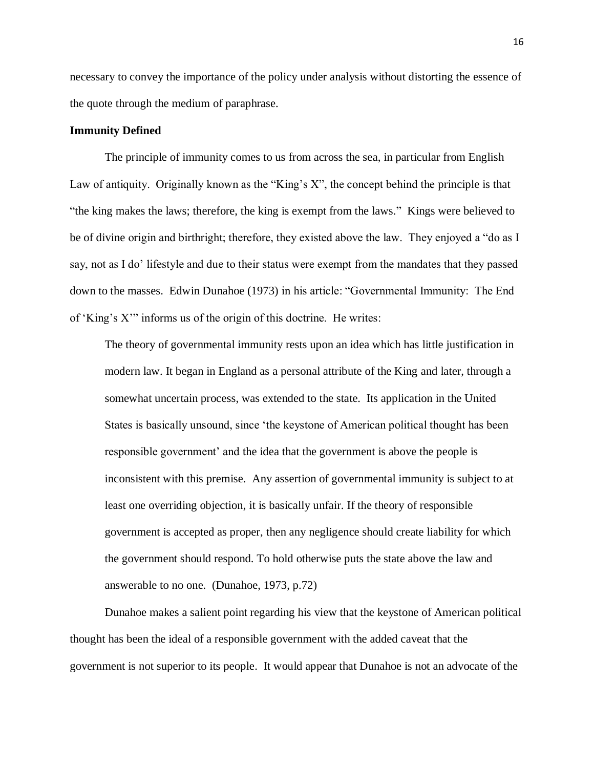necessary to convey the importance of the policy under analysis without distorting the essence of the quote through the medium of paraphrase.

# **Immunity Defined**

The principle of immunity comes to us from across the sea, in particular from English Law of antiquity. Originally known as the "King's X", the concept behind the principle is that "the king makes the laws; therefore, the king is exempt from the laws." Kings were believed to be of divine origin and birthright; therefore, they existed above the law. They enjoyed a "do as I say, not as I do' lifestyle and due to their status were exempt from the mandates that they passed down to the masses. Edwin Dunahoe (1973) in his article: "Governmental Immunity: The End of 'King's X'" informs us of the origin of this doctrine. He writes:

The theory of governmental immunity rests upon an idea which has little justification in modern law. It began in England as a personal attribute of the King and later, through a somewhat uncertain process, was extended to the state. Its application in the United States is basically unsound, since 'the keystone of American political thought has been responsible government' and the idea that the government is above the people is inconsistent with this premise. Any assertion of governmental immunity is subject to at least one overriding objection, it is basically unfair. If the theory of responsible government is accepted as proper, then any negligence should create liability for which the government should respond. To hold otherwise puts the state above the law and answerable to no one. (Dunahoe, 1973, p.72)

Dunahoe makes a salient point regarding his view that the keystone of American political thought has been the ideal of a responsible government with the added caveat that the government is not superior to its people. It would appear that Dunahoe is not an advocate of the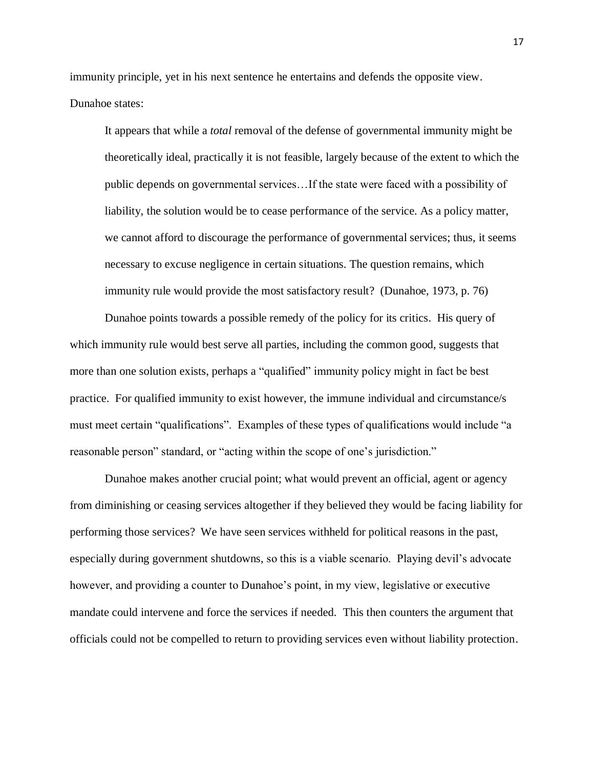immunity principle, yet in his next sentence he entertains and defends the opposite view. Dunahoe states:

It appears that while a *total* removal of the defense of governmental immunity might be theoretically ideal, practically it is not feasible, largely because of the extent to which the public depends on governmental services…If the state were faced with a possibility of liability, the solution would be to cease performance of the service. As a policy matter, we cannot afford to discourage the performance of governmental services; thus, it seems necessary to excuse negligence in certain situations. The question remains, which immunity rule would provide the most satisfactory result? (Dunahoe, 1973, p. 76)

Dunahoe points towards a possible remedy of the policy for its critics. His query of which immunity rule would best serve all parties, including the common good, suggests that more than one solution exists, perhaps a "qualified" immunity policy might in fact be best practice. For qualified immunity to exist however, the immune individual and circumstance/s must meet certain "qualifications". Examples of these types of qualifications would include "a reasonable person" standard, or "acting within the scope of one's jurisdiction."

Dunahoe makes another crucial point; what would prevent an official, agent or agency from diminishing or ceasing services altogether if they believed they would be facing liability for performing those services? We have seen services withheld for political reasons in the past, especially during government shutdowns, so this is a viable scenario. Playing devil's advocate however, and providing a counter to Dunahoe's point, in my view, legislative or executive mandate could intervene and force the services if needed. This then counters the argument that officials could not be compelled to return to providing services even without liability protection.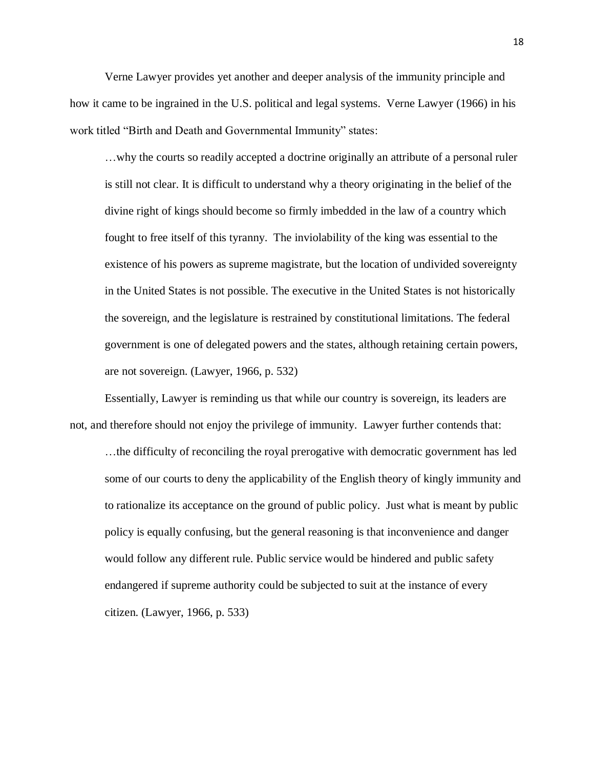Verne Lawyer provides yet another and deeper analysis of the immunity principle and how it came to be ingrained in the U.S. political and legal systems. Verne Lawyer (1966) in his work titled "Birth and Death and Governmental Immunity" states:

…why the courts so readily accepted a doctrine originally an attribute of a personal ruler is still not clear. It is difficult to understand why a theory originating in the belief of the divine right of kings should become so firmly imbedded in the law of a country which fought to free itself of this tyranny. The inviolability of the king was essential to the existence of his powers as supreme magistrate, but the location of undivided sovereignty in the United States is not possible. The executive in the United States is not historically the sovereign, and the legislature is restrained by constitutional limitations. The federal government is one of delegated powers and the states, although retaining certain powers, are not sovereign. (Lawyer, 1966, p. 532)

Essentially, Lawyer is reminding us that while our country is sovereign, its leaders are not, and therefore should not enjoy the privilege of immunity. Lawyer further contends that:

…the difficulty of reconciling the royal prerogative with democratic government has led some of our courts to deny the applicability of the English theory of kingly immunity and to rationalize its acceptance on the ground of public policy. Just what is meant by public policy is equally confusing, but the general reasoning is that inconvenience and danger would follow any different rule. Public service would be hindered and public safety endangered if supreme authority could be subjected to suit at the instance of every citizen. (Lawyer, 1966, p. 533)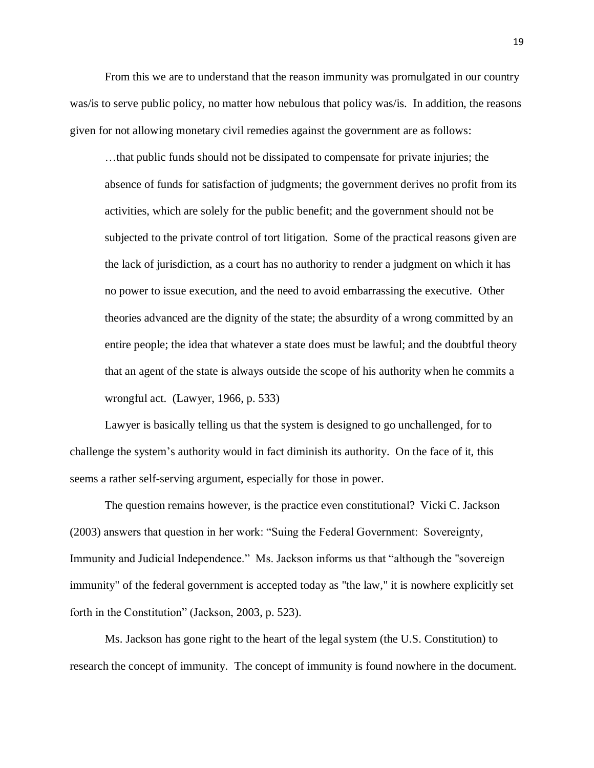From this we are to understand that the reason immunity was promulgated in our country was/is to serve public policy, no matter how nebulous that policy was/is. In addition, the reasons given for not allowing monetary civil remedies against the government are as follows:

…that public funds should not be dissipated to compensate for private injuries; the absence of funds for satisfaction of judgments; the government derives no profit from its activities, which are solely for the public benefit; and the government should not be subjected to the private control of tort litigation. Some of the practical reasons given are the lack of jurisdiction, as a court has no authority to render a judgment on which it has no power to issue execution, and the need to avoid embarrassing the executive. Other theories advanced are the dignity of the state; the absurdity of a wrong committed by an entire people; the idea that whatever a state does must be lawful; and the doubtful theory that an agent of the state is always outside the scope of his authority when he commits a wrongful act. (Lawyer, 1966, p. 533)

Lawyer is basically telling us that the system is designed to go unchallenged, for to challenge the system's authority would in fact diminish its authority. On the face of it, this seems a rather self-serving argument, especially for those in power.

The question remains however, is the practice even constitutional? Vicki C. Jackson (2003) answers that question in her work: "Suing the Federal Government: Sovereignty, Immunity and Judicial Independence." Ms. Jackson informs us that "although the "sovereign immunity" of the federal government is accepted today as "the law," it is nowhere explicitly set forth in the Constitution" (Jackson, 2003, p. 523).

Ms. Jackson has gone right to the heart of the legal system (the U.S. Constitution) to research the concept of immunity. The concept of immunity is found nowhere in the document.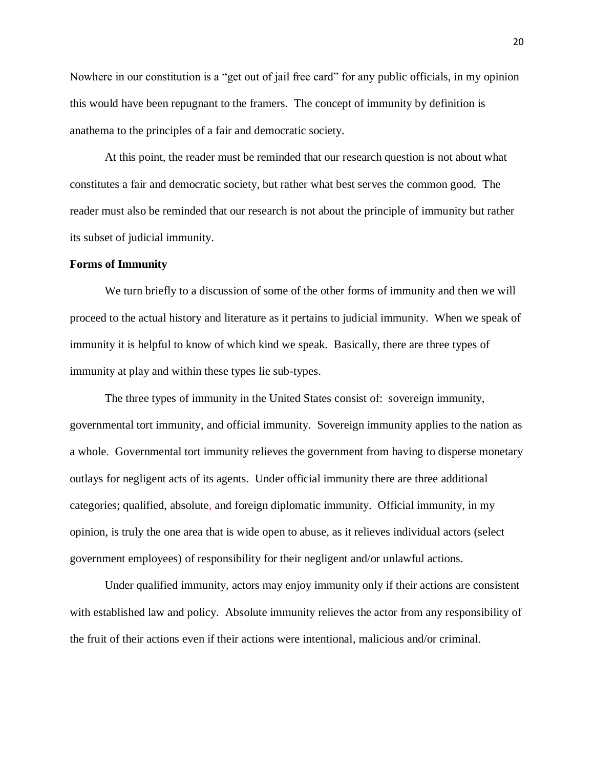Nowhere in our constitution is a "get out of jail free card" for any public officials, in my opinion this would have been repugnant to the framers. The concept of immunity by definition is anathema to the principles of a fair and democratic society.

At this point, the reader must be reminded that our research question is not about what constitutes a fair and democratic society, but rather what best serves the common good. The reader must also be reminded that our research is not about the principle of immunity but rather its subset of judicial immunity.

#### **Forms of Immunity**

We turn briefly to a discussion of some of the other forms of immunity and then we will proceed to the actual history and literature as it pertains to judicial immunity. When we speak of immunity it is helpful to know of which kind we speak. Basically, there are three types of immunity at play and within these types lie sub-types.

The three types of immunity in the United States consist of: sovereign immunity, governmental tort immunity, and official immunity. Sovereign immunity applies to the nation as a whole. Governmental tort immunity relieves the government from having to disperse monetary outlays for negligent acts of its agents. Under official immunity there are three additional categories; qualified, absolute, and foreign diplomatic immunity. Official immunity, in my opinion, is truly the one area that is wide open to abuse, as it relieves individual actors (select government employees) of responsibility for their negligent and/or unlawful actions.

Under qualified immunity, actors may enjoy immunity only if their actions are consistent with established law and policy. Absolute immunity relieves the actor from any responsibility of the fruit of their actions even if their actions were intentional, malicious and/or criminal.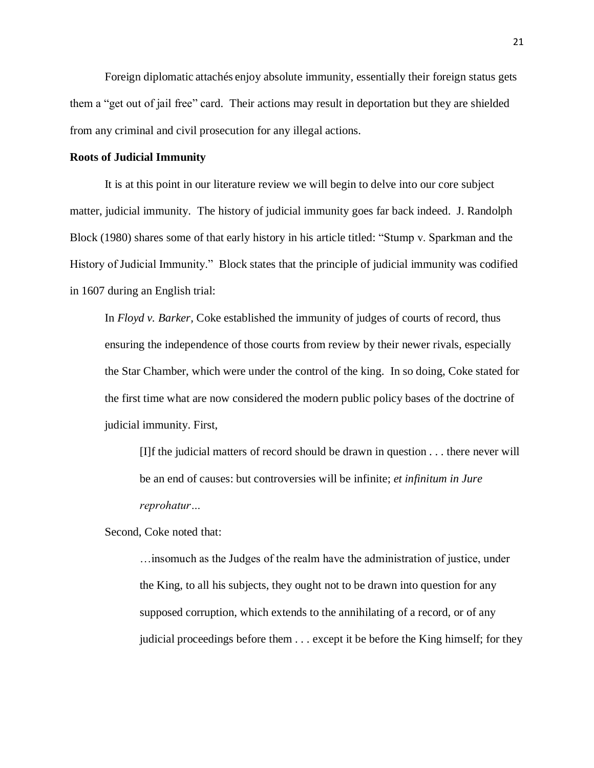Foreign diplomatic attachés enjoy absolute immunity, essentially their foreign status gets them a "get out of jail free" card. Their actions may result in deportation but they are shielded from any criminal and civil prosecution for any illegal actions.

#### **Roots of Judicial Immunity**

It is at this point in our literature review we will begin to delve into our core subject matter, judicial immunity. The history of judicial immunity goes far back indeed. J. Randolph Block (1980) shares some of that early history in his article titled: "Stump v. Sparkman and the History of Judicial Immunity." Block states that the principle of judicial immunity was codified in 1607 during an English trial:

In *Floyd v. Barker,* Coke established the immunity of judges of courts of record, thus ensuring the independence of those courts from review by their newer rivals, especially the Star Chamber, which were under the control of the king. In so doing, Coke stated for the first time what are now considered the modern public policy bases of the doctrine of judicial immunity. First,

[I]f the judicial matters of record should be drawn in question . . . there never will be an end of causes: but controversies will be infinite; *et infinitum in Jure reprohatur…*

Second, Coke noted that:

…insomuch as the Judges of the realm have the administration of justice, under the King, to all his subjects, they ought not to be drawn into question for any supposed corruption, which extends to the annihilating of a record, or of any judicial proceedings before them . . . except it be before the King himself; for they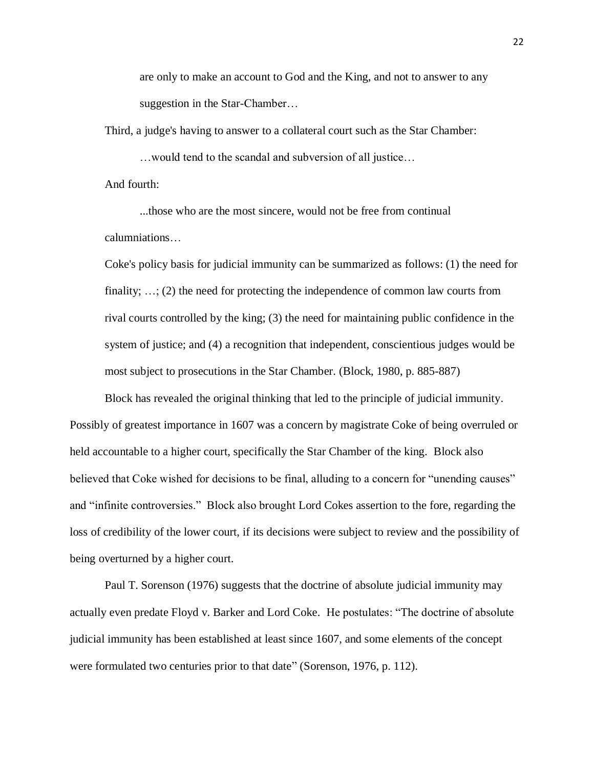are only to make an account to God and the King, and not to answer to any suggestion in the Star-Chamber…

Third, a judge's having to answer to a collateral court such as the Star Chamber:

…would tend to the scandal and subversion of all justice…

And fourth:

...those who are the most sincere, would not be free from continual calumniations…

Coke's policy basis for judicial immunity can be summarized as follows: (1) the need for finality;  $\ldots$ ; (2) the need for protecting the independence of common law courts from rival courts controlled by the king; (3) the need for maintaining public confidence in the system of justice; and (4) a recognition that independent, conscientious judges would be most subject to prosecutions in the Star Chamber. (Block, 1980, p. 885-887)

Block has revealed the original thinking that led to the principle of judicial immunity. Possibly of greatest importance in 1607 was a concern by magistrate Coke of being overruled or held accountable to a higher court, specifically the Star Chamber of the king. Block also believed that Coke wished for decisions to be final, alluding to a concern for "unending causes" and "infinite controversies." Block also brought Lord Cokes assertion to the fore, regarding the loss of credibility of the lower court, if its decisions were subject to review and the possibility of being overturned by a higher court.

Paul T. Sorenson (1976) suggests that the doctrine of absolute judicial immunity may actually even predate Floyd v. Barker and Lord Coke. He postulates: "The doctrine of absolute judicial immunity has been established at least since 1607, and some elements of the concept were formulated two centuries prior to that date" (Sorenson, 1976, p. 112).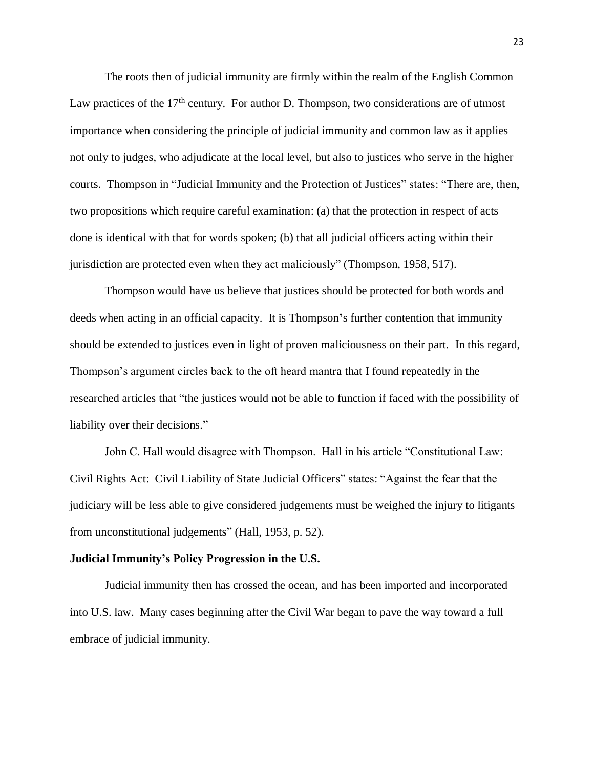The roots then of judicial immunity are firmly within the realm of the English Common Law practices of the  $17<sup>th</sup>$  century. For author D. Thompson, two considerations are of utmost importance when considering the principle of judicial immunity and common law as it applies not only to judges, who adjudicate at the local level, but also to justices who serve in the higher courts. Thompson in "Judicial Immunity and the Protection of Justices" states: "There are, then, two propositions which require careful examination: (a) that the protection in respect of acts done is identical with that for words spoken; (b) that all judicial officers acting within their jurisdiction are protected even when they act maliciously" (Thompson, 1958, 517).

Thompson would have us believe that justices should be protected for both words and deeds when acting in an official capacity. It is Thompson**'**s further contention that immunity should be extended to justices even in light of proven maliciousness on their part. In this regard, Thompson's argument circles back to the oft heard mantra that I found repeatedly in the researched articles that "the justices would not be able to function if faced with the possibility of liability over their decisions."

John C. Hall would disagree with Thompson. Hall in his article "Constitutional Law: Civil Rights Act: Civil Liability of State Judicial Officers" states: "Against the fear that the judiciary will be less able to give considered judgements must be weighed the injury to litigants from unconstitutional judgements" (Hall, 1953, p. 52).

#### **Judicial Immunity's Policy Progression in the U.S.**

Judicial immunity then has crossed the ocean, and has been imported and incorporated into U.S. law. Many cases beginning after the Civil War began to pave the way toward a full embrace of judicial immunity.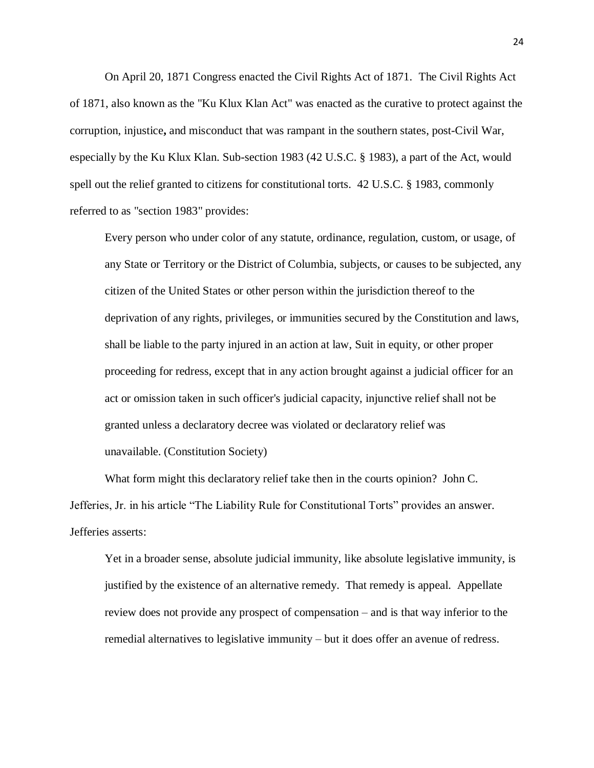On April 20, 1871 Congress enacted the Civil Rights Act of 1871. The Civil Rights Act of 1871, also known as the "Ku Klux Klan Act" was enacted as the curative to protect against the corruption, injustice**,** and misconduct that was rampant in the southern states, post-Civil War, especially by the Ku Klux Klan. Sub-section 1983 (42 U.S.C. § 1983), a part of the Act, would spell out the relief granted to citizens for constitutional torts. 42 U.S.C. § 1983, commonly referred to as "section 1983" provides:

Every person who under color of any statute, ordinance, regulation, custom, or usage, of any State or Territory or the District of Columbia, subjects, or causes to be subjected, any citizen of the United States or other person within the jurisdiction thereof to the deprivation of any rights, privileges, or immunities secured by the Constitution and laws, shall be liable to the party injured in an action at law, Suit in equity, or other proper proceeding for redress, except that in any action brought against a judicial officer for an act or omission taken in such officer's judicial capacity, injunctive relief shall not be granted unless a declaratory decree was violated or declaratory relief was unavailable. (Constitution Society)

What form might this declaratory relief take then in the courts opinion? John C. Jefferies, Jr. in his article "The Liability Rule for Constitutional Torts" provides an answer. Jefferies asserts:

Yet in a broader sense, absolute judicial immunity, like absolute legislative immunity, is justified by the existence of an alternative remedy. That remedy is appeal. Appellate review does not provide any prospect of compensation – and is that way inferior to the remedial alternatives to legislative immunity – but it does offer an avenue of redress.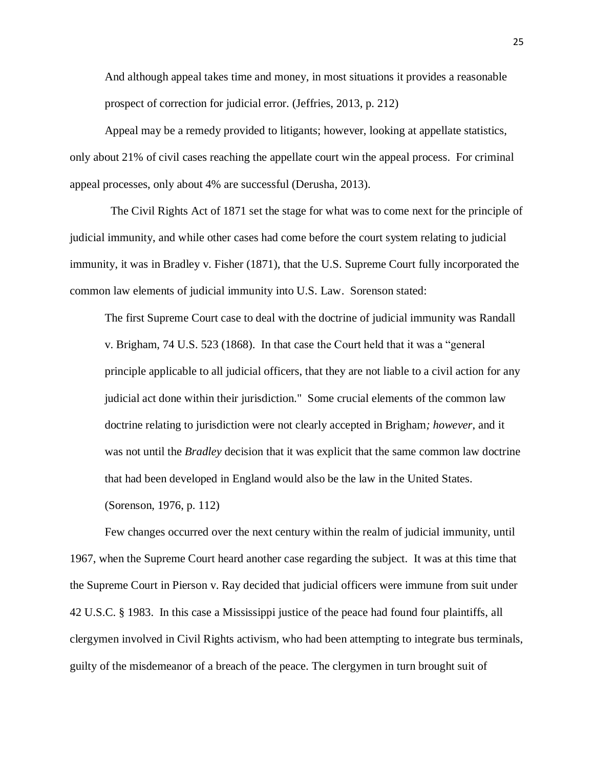And although appeal takes time and money, in most situations it provides a reasonable prospect of correction for judicial error. (Jeffries, 2013, p. 212)

Appeal may be a remedy provided to litigants; however, looking at appellate statistics, only about 21% of civil cases reaching the appellate court win the appeal process. For criminal appeal processes, only about 4% are successful (Derusha, 2013).

 The Civil Rights Act of 1871 set the stage for what was to come next for the principle of judicial immunity, and while other cases had come before the court system relating to judicial immunity, it was in Bradley v. Fisher (1871), that the U.S. Supreme Court fully incorporated the common law elements of judicial immunity into U.S. Law. Sorenson stated:

The first Supreme Court case to deal with the doctrine of judicial immunity was Randall v. Brigham, 74 U.S. 523 (1868). In that case the Court held that it was a "general principle applicable to all judicial officers, that they are not liable to a civil action for any judicial act done within their jurisdiction." Some crucial elements of the common law doctrine relating to jurisdiction were not clearly accepted in Brigham*; however*, and it was not until the *Bradley* decision that it was explicit that the same common law doctrine that had been developed in England would also be the law in the United States.

(Sorenson, 1976, p. 112)

Few changes occurred over the next century within the realm of judicial immunity, until 1967, when the Supreme Court heard another case regarding the subject. It was at this time that the Supreme Court in Pierson v. Ray decided that judicial officers were immune from suit under 42 U.S.C. § 1983. In this case a Mississippi justice of the peace had found four plaintiffs, all clergymen involved in Civil Rights activism, who had been attempting to integrate bus terminals, guilty of the misdemeanor of a breach of the peace. The clergymen in turn brought suit of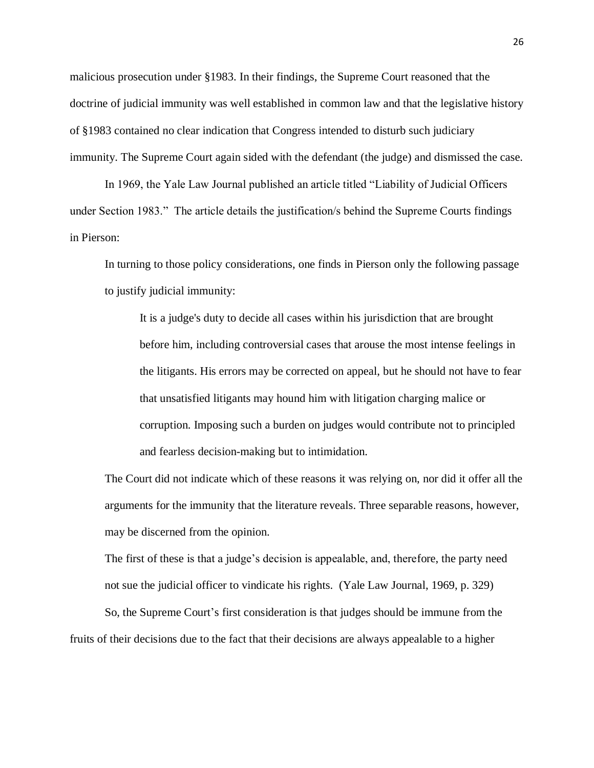malicious prosecution under §1983. In their findings, the Supreme Court reasoned that the doctrine of judicial immunity was well established in common law and that the legislative history of §1983 contained no clear indication that Congress intended to disturb such judiciary immunity. The Supreme Court again sided with the defendant (the judge) and dismissed the case.

In 1969, the Yale Law Journal published an article titled "Liability of Judicial Officers under Section 1983." The article details the justification/s behind the Supreme Courts findings in Pierson:

In turning to those policy considerations, one finds in Pierson only the following passage to justify judicial immunity:

It is a judge's duty to decide all cases within his jurisdiction that are brought before him, including controversial cases that arouse the most intense feelings in the litigants. His errors may be corrected on appeal, but he should not have to fear that unsatisfied litigants may hound him with litigation charging malice or corruption. Imposing such a burden on judges would contribute not to principled and fearless decision-making but to intimidation.

The Court did not indicate which of these reasons it was relying on, nor did it offer all the arguments for the immunity that the literature reveals. Three separable reasons, however, may be discerned from the opinion.

The first of these is that a judge's decision is appealable, and, therefore, the party need not sue the judicial officer to vindicate his rights. (Yale Law Journal, 1969, p. 329)

So, the Supreme Court's first consideration is that judges should be immune from the fruits of their decisions due to the fact that their decisions are always appealable to a higher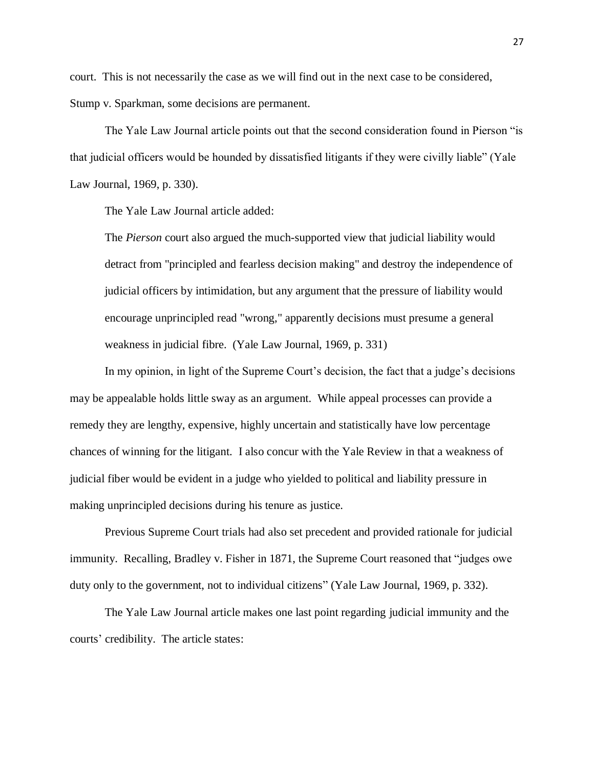court. This is not necessarily the case as we will find out in the next case to be considered, Stump v. Sparkman, some decisions are permanent.

The Yale Law Journal article points out that the second consideration found in Pierson "is that judicial officers would be hounded by dissatisfied litigants if they were civilly liable" (Yale Law Journal, 1969, p. 330).

The Yale Law Journal article added:

The *Pierson* court also argued the much-supported view that judicial liability would detract from "principled and fearless decision making" and destroy the independence of judicial officers by intimidation, but any argument that the pressure of liability would encourage unprincipled read "wrong," apparently decisions must presume a general weakness in judicial fibre. (Yale Law Journal, 1969, p. 331)

In my opinion, in light of the Supreme Court's decision, the fact that a judge's decisions may be appealable holds little sway as an argument. While appeal processes can provide a remedy they are lengthy, expensive, highly uncertain and statistically have low percentage chances of winning for the litigant. I also concur with the Yale Review in that a weakness of judicial fiber would be evident in a judge who yielded to political and liability pressure in making unprincipled decisions during his tenure as justice.

Previous Supreme Court trials had also set precedent and provided rationale for judicial immunity. Recalling, Bradley v. Fisher in 1871, the Supreme Court reasoned that "judges owe duty only to the government, not to individual citizens" (Yale Law Journal, 1969, p. 332).

The Yale Law Journal article makes one last point regarding judicial immunity and the courts' credibility. The article states: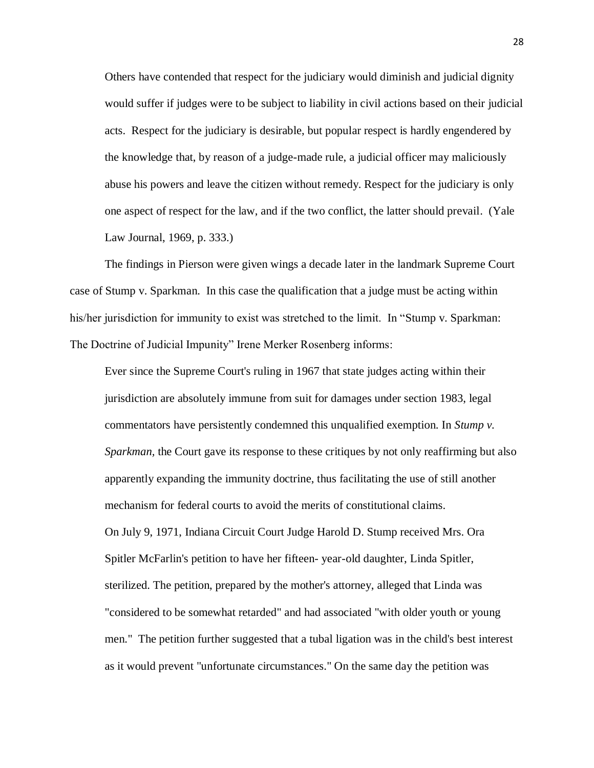Others have contended that respect for the judiciary would diminish and judicial dignity would suffer if judges were to be subject to liability in civil actions based on their judicial acts. Respect for the judiciary is desirable, but popular respect is hardly engendered by the knowledge that, by reason of a judge-made rule, a judicial officer may maliciously abuse his powers and leave the citizen without remedy. Respect for the judiciary is only one aspect of respect for the law, and if the two conflict, the latter should prevail. (Yale Law Journal, 1969, p. 333.)

 The findings in Pierson were given wings a decade later in the landmark Supreme Court case of Stump v. Sparkman. In this case the qualification that a judge must be acting within his/her jurisdiction for immunity to exist was stretched to the limit. In "Stump v. Sparkman: The Doctrine of Judicial Impunity" Irene Merker Rosenberg informs:

Ever since the Supreme Court's ruling in 1967 that state judges acting within their jurisdiction are absolutely immune from suit for damages under section 1983, legal commentators have persistently condemned this unqualified exemption. In *Stump v. Sparkman,* the Court gave its response to these critiques by not only reaffirming but also apparently expanding the immunity doctrine, thus facilitating the use of still another mechanism for federal courts to avoid the merits of constitutional claims. On July 9, 1971, Indiana Circuit Court Judge Harold D. Stump received Mrs. Ora Spitler McFarlin's petition to have her fifteen- year-old daughter, Linda Spitler, sterilized. The petition, prepared by the mother's attorney, alleged that Linda was "considered to be somewhat retarded" and had associated "with older youth or young men." The petition further suggested that a tubal ligation was in the child's best interest as it would prevent "unfortunate circumstances." On the same day the petition was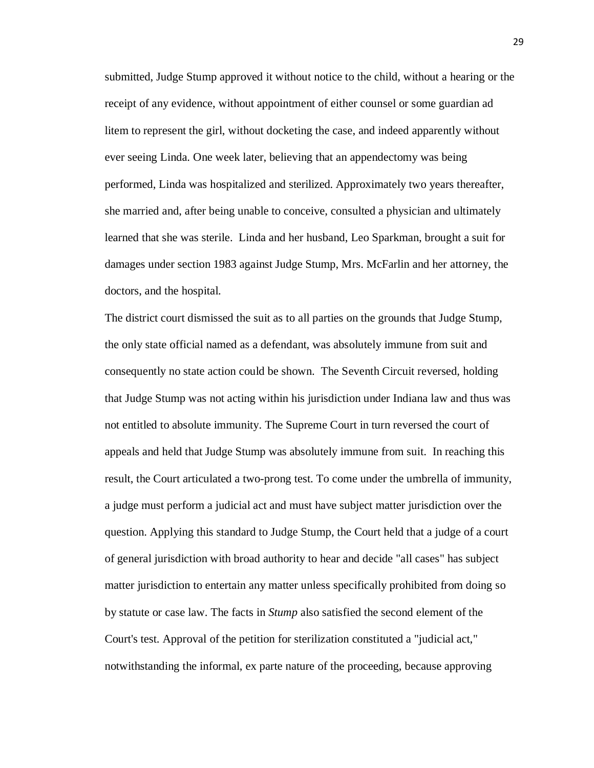submitted, Judge Stump approved it without notice to the child, without a hearing or the receipt of any evidence, without appointment of either counsel or some guardian ad litem to represent the girl, without docketing the case, and indeed apparently without ever seeing Linda. One week later, believing that an appendectomy was being performed, Linda was hospitalized and sterilized. Approximately two years thereafter, she married and, after being unable to conceive, consulted a physician and ultimately learned that she was sterile. Linda and her husband, Leo Sparkman, brought a suit for damages under section 1983 against Judge Stump, Mrs. McFarlin and her attorney, the doctors, and the hospital.

The district court dismissed the suit as to all parties on the grounds that Judge Stump, the only state official named as a defendant, was absolutely immune from suit and consequently no state action could be shown. The Seventh Circuit reversed, holding that Judge Stump was not acting within his jurisdiction under Indiana law and thus was not entitled to absolute immunity. The Supreme Court in turn reversed the court of appeals and held that Judge Stump was absolutely immune from suit. In reaching this result, the Court articulated a two-prong test. To come under the umbrella of immunity, a judge must perform a judicial act and must have subject matter jurisdiction over the question. Applying this standard to Judge Stump, the Court held that a judge of a court of general jurisdiction with broad authority to hear and decide "all cases" has subject matter jurisdiction to entertain any matter unless specifically prohibited from doing so by statute or case law. The facts in *Stump* also satisfied the second element of the Court's test. Approval of the petition for sterilization constituted a "judicial act," notwithstanding the informal, ex parte nature of the proceeding, because approving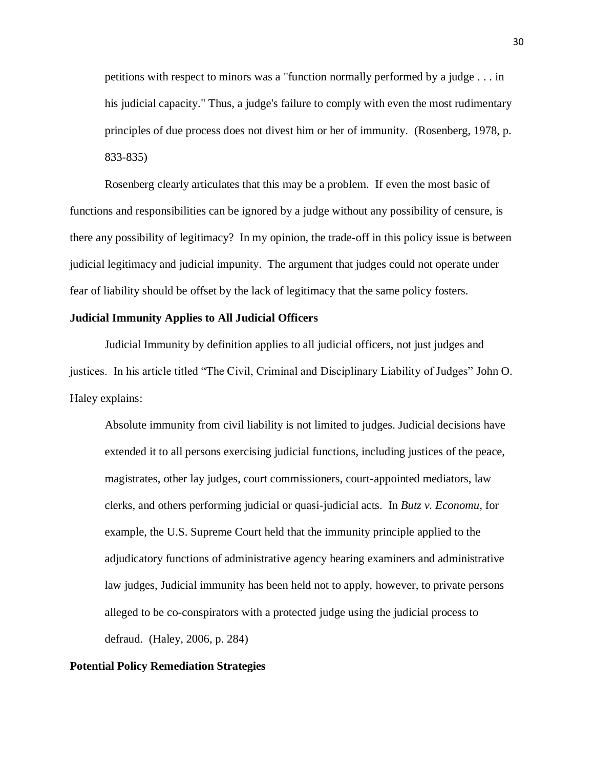petitions with respect to minors was a "function normally performed by a judge . . . in his judicial capacity." Thus, a judge's failure to comply with even the most rudimentary principles of due process does not divest him or her of immunity. (Rosenberg, 1978, p. 833-835)

Rosenberg clearly articulates that this may be a problem. If even the most basic of functions and responsibilities can be ignored by a judge without any possibility of censure, is there any possibility of legitimacy? In my opinion, the trade-off in this policy issue is between judicial legitimacy and judicial impunity. The argument that judges could not operate under fear of liability should be offset by the lack of legitimacy that the same policy fosters.

#### **Judicial Immunity Applies to All Judicial Officers**

Judicial Immunity by definition applies to all judicial officers, not just judges and justices. In his article titled "The Civil, Criminal and Disciplinary Liability of Judges" John O. Haley explains:

Absolute immunity from civil liability is not limited to judges. Judicial decisions have extended it to all persons exercising judicial functions, including justices of the peace, magistrates, other lay judges, court commissioners, court-appointed mediators, law clerks, and others performing judicial or quasi-judicial acts. In *Butz v. Economu,* for example, the U.S. Supreme Court held that the immunity principle applied to the adjudicatory functions of administrative agency hearing examiners and administrative law judges, Judicial immunity has been held not to apply, however, to private persons alleged to be co-conspirators with a protected judge using the judicial process to defraud. (Haley, 2006, p. 284)

#### **Potential Policy Remediation Strategies**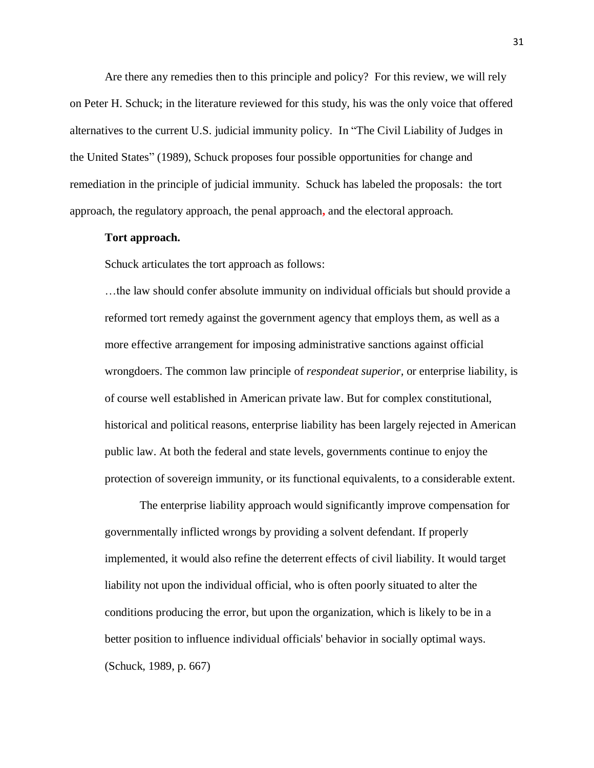Are there any remedies then to this principle and policy? For this review, we will rely on Peter H. Schuck; in the literature reviewed for this study, his was the only voice that offered alternatives to the current U.S. judicial immunity policy. In "The Civil Liability of Judges in the United States" (1989), Schuck proposes four possible opportunities for change and remediation in the principle of judicial immunity. Schuck has labeled the proposals: the tort approach, the regulatory approach, the penal approach**,** and the electoral approach.

#### **Tort approach.**

Schuck articulates the tort approach as follows:

…the law should confer absolute immunity on individual officials but should provide a reformed tort remedy against the government agency that employs them, as well as a more effective arrangement for imposing administrative sanctions against official wrongdoers. The common law principle of *respondeat superior,* or enterprise liability, is of course well established in American private law. But for complex constitutional, historical and political reasons, enterprise liability has been largely rejected in American public law. At both the federal and state levels, governments continue to enjoy the protection of sovereign immunity, or its functional equivalents, to a considerable extent.

The enterprise liability approach would significantly improve compensation for governmentally inflicted wrongs by providing a solvent defendant. If properly implemented, it would also refine the deterrent effects of civil liability. It would target liability not upon the individual official, who is often poorly situated to alter the conditions producing the error, but upon the organization*,* which is likely to be in a better position to influence individual officials' behavior in socially optimal ways. (Schuck, 1989, p. 667)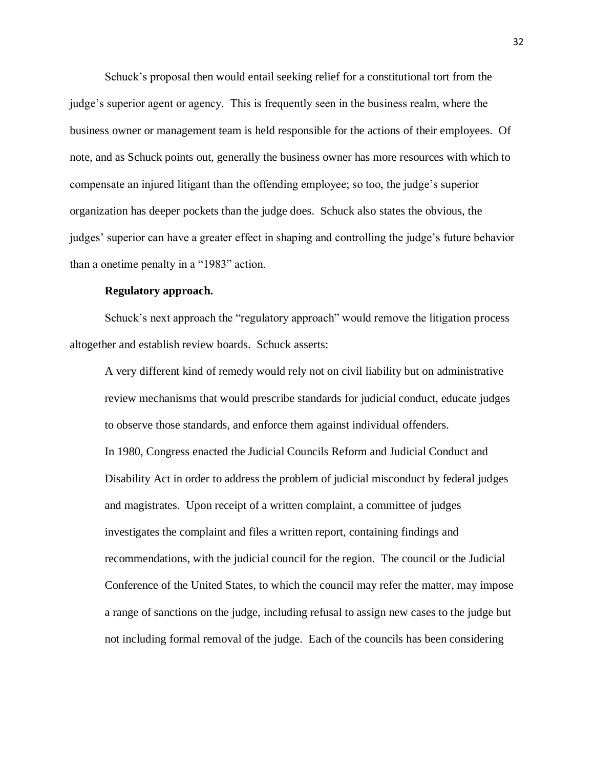Schuck's proposal then would entail seeking relief for a constitutional tort from the judge's superior agent or agency. This is frequently seen in the business realm, where the business owner or management team is held responsible for the actions of their employees. Of note, and as Schuck points out, generally the business owner has more resources with which to compensate an injured litigant than the offending employee; so too, the judge's superior organization has deeper pockets than the judge does. Schuck also states the obvious, the judges' superior can have a greater effect in shaping and controlling the judge's future behavior than a onetime penalty in a "1983" action.

# **Regulatory approach.**

Schuck's next approach the "regulatory approach" would remove the litigation process altogether and establish review boards. Schuck asserts:

A very different kind of remedy would rely not on civil liability but on administrative review mechanisms that would prescribe standards for judicial conduct, educate judges to observe those standards, and enforce them against individual offenders. In 1980, Congress enacted the Judicial Councils Reform and Judicial Conduct and Disability Act in order to address the problem of judicial misconduct by federal judges and magistrates. Upon receipt of a written complaint, a committee of judges investigates the complaint and files a written report, containing findings and recommendations, with the judicial council for the region. The council or the Judicial Conference of the United States, to which the council may refer the matter, may impose a range of sanctions on the judge, including refusal to assign new cases to the judge but not including formal removal of the judge. Each of the councils has been considering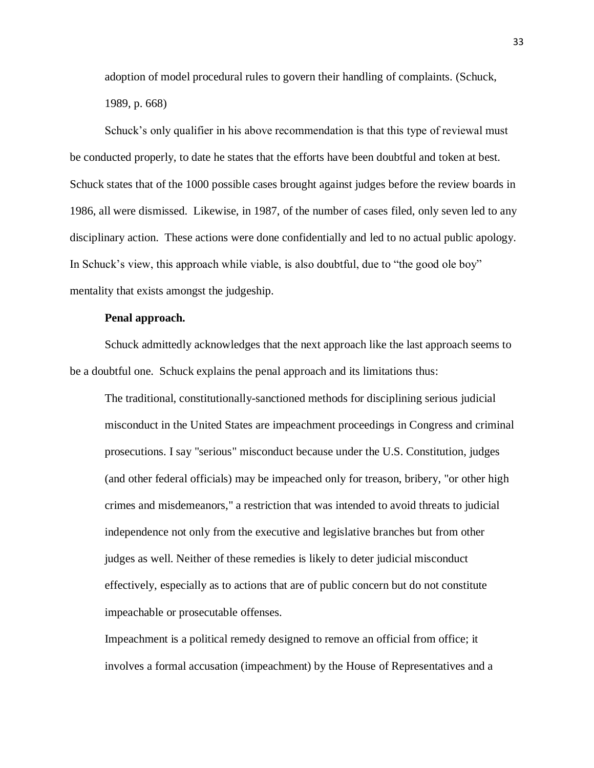adoption of model procedural rules to govern their handling of complaints. (Schuck, 1989, p. 668)

Schuck's only qualifier in his above recommendation is that this type of reviewal must be conducted properly, to date he states that the efforts have been doubtful and token at best. Schuck states that of the 1000 possible cases brought against judges before the review boards in 1986, all were dismissed. Likewise, in 1987, of the number of cases filed, only seven led to any disciplinary action. These actions were done confidentially and led to no actual public apology. In Schuck's view, this approach while viable, is also doubtful, due to "the good ole boy" mentality that exists amongst the judgeship.

#### **Penal approach.**

Schuck admittedly acknowledges that the next approach like the last approach seems to be a doubtful one. Schuck explains the penal approach and its limitations thus:

The traditional, constitutionally-sanctioned methods for disciplining serious judicial misconduct in the United States are impeachment proceedings in Congress and criminal prosecutions. I say "serious" misconduct because under the U.S. Constitution, judges (and other federal officials) may be impeached only for treason, bribery, "or other high crimes and misdemeanors," a restriction that was intended to avoid threats to judicial independence not only from the executive and legislative branches but from other judges as well. Neither of these remedies is likely to deter judicial misconduct effectively, especially as to actions that are of public concern but do not constitute impeachable or prosecutable offenses.

Impeachment is a political remedy designed to remove an official from office; it involves a formal accusation (impeachment) by the House of Representatives and a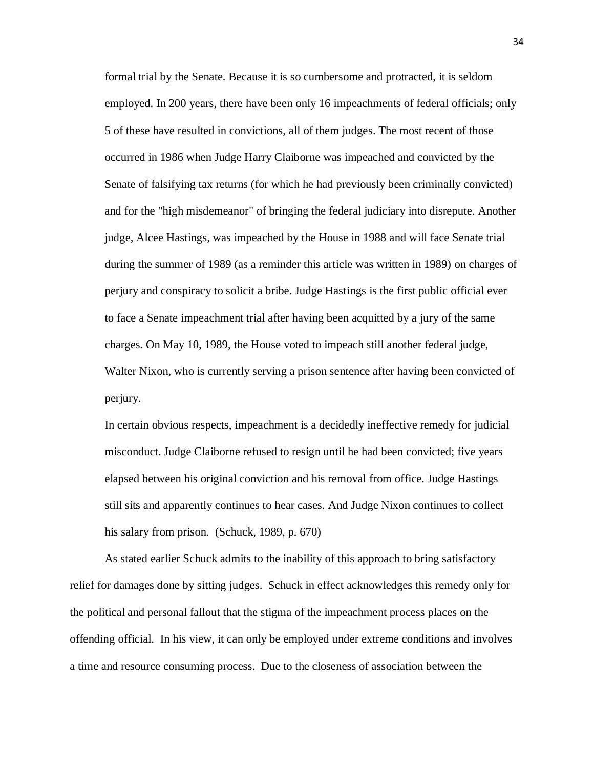formal trial by the Senate. Because it is so cumbersome and protracted, it is seldom employed. In 200 years, there have been only 16 impeachments of federal officials; only 5 of these have resulted in convictions, all of them judges. The most recent of those occurred in 1986 when Judge Harry Claiborne was impeached and convicted by the Senate of falsifying tax returns (for which he had previously been criminally convicted) and for the "high misdemeanor" of bringing the federal judiciary into disrepute. Another judge, Alcee Hastings, was impeached by the House in 1988 and will face Senate trial during the summer of 1989 (as a reminder this article was written in 1989) on charges of perjury and conspiracy to solicit a bribe. Judge Hastings is the first public official ever to face a Senate impeachment trial after having been acquitted by a jury of the same charges. On May 10, 1989, the House voted to impeach still another federal judge, Walter Nixon, who is currently serving a prison sentence after having been convicted of perjury.

In certain obvious respects, impeachment is a decidedly ineffective remedy for judicial misconduct. Judge Claiborne refused to resign until he had been convicted; five years elapsed between his original conviction and his removal from office. Judge Hastings still sits and apparently continues to hear cases. And Judge Nixon continues to collect his salary from prison. (Schuck, 1989, p. 670)

As stated earlier Schuck admits to the inability of this approach to bring satisfactory relief for damages done by sitting judges. Schuck in effect acknowledges this remedy only for the political and personal fallout that the stigma of the impeachment process places on the offending official. In his view, it can only be employed under extreme conditions and involves a time and resource consuming process. Due to the closeness of association between the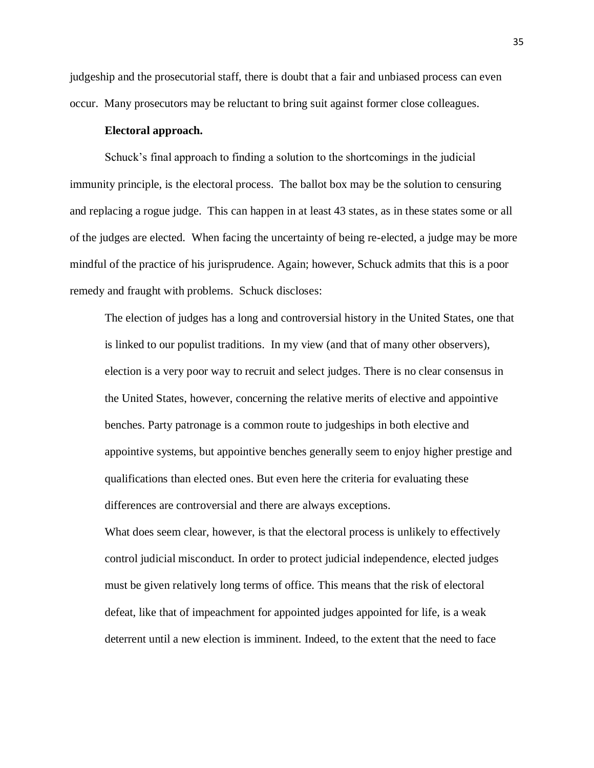judgeship and the prosecutorial staff, there is doubt that a fair and unbiased process can even occur. Many prosecutors may be reluctant to bring suit against former close colleagues.

# **Electoral approach.**

Schuck's final approach to finding a solution to the shortcomings in the judicial immunity principle, is the electoral process. The ballot box may be the solution to censuring and replacing a rogue judge. This can happen in at least 43 states, as in these states some or all of the judges are elected. When facing the uncertainty of being re-elected, a judge may be more mindful of the practice of his jurisprudence. Again; however, Schuck admits that this is a poor remedy and fraught with problems. Schuck discloses:

The election of judges has a long and controversial history in the United States, one that is linked to our populist traditions. In my view (and that of many other observers), election is a very poor way to recruit and select judges. There is no clear consensus in the United States, however, concerning the relative merits of elective and appointive benches. Party patronage is a common route to judgeships in both elective and appointive systems, but appointive benches generally seem to enjoy higher prestige and qualifications than elected ones. But even here the criteria for evaluating these differences are controversial and there are always exceptions.

What does seem clear, however, is that the electoral process is unlikely to effectively control judicial misconduct. In order to protect judicial independence, elected judges must be given relatively long terms of office. This means that the risk of electoral defeat, like that of impeachment for appointed judges appointed for life, is a weak deterrent until a new election is imminent. Indeed, to the extent that the need to face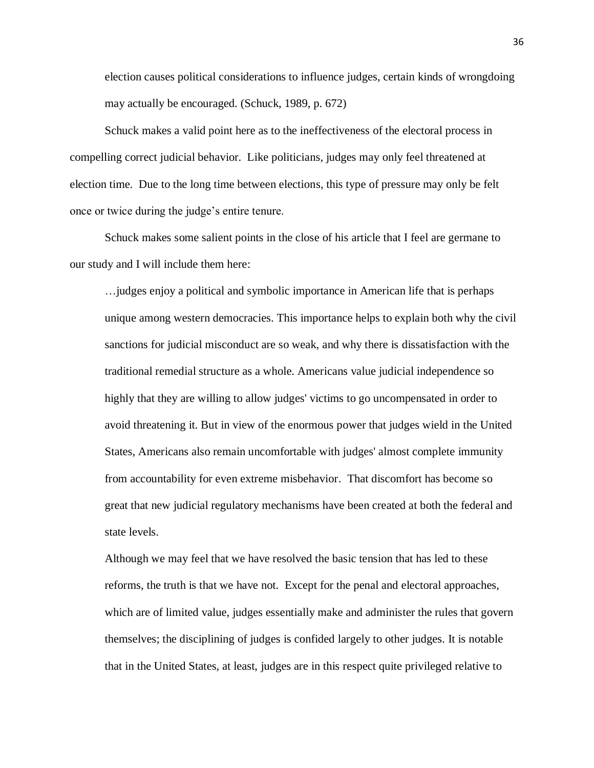election causes political considerations to influence judges, certain kinds of wrongdoing may actually be encouraged. (Schuck, 1989, p. 672)

Schuck makes a valid point here as to the ineffectiveness of the electoral process in compelling correct judicial behavior. Like politicians, judges may only feel threatened at election time. Due to the long time between elections, this type of pressure may only be felt once or twice during the judge's entire tenure.

Schuck makes some salient points in the close of his article that I feel are germane to our study and I will include them here:

…judges enjoy a political and symbolic importance in American life that is perhaps unique among western democracies. This importance helps to explain both why the civil sanctions for judicial misconduct are so weak, and why there is dissatisfaction with the traditional remedial structure as a whole. Americans value judicial independence so highly that they are willing to allow judges' victims to go uncompensated in order to avoid threatening it. But in view of the enormous power that judges wield in the United States, Americans also remain uncomfortable with judges' almost complete immunity from accountability for even extreme misbehavior. That discomfort has become so great that new judicial regulatory mechanisms have been created at both the federal and state levels.

Although we may feel that we have resolved the basic tension that has led to these reforms, the truth is that we have not. Except for the penal and electoral approaches, which are of limited value, judges essentially make and administer the rules that govern themselves; the disciplining of judges is confided largely to other judges. It is notable that in the United States, at least, judges are in this respect quite privileged relative to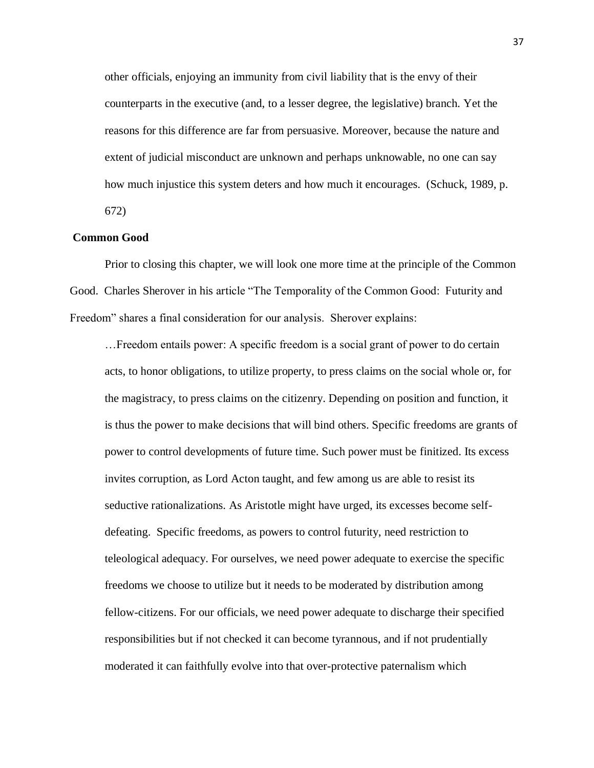other officials, enjoying an immunity from civil liability that is the envy of their counterparts in the executive (and, to a lesser degree, the legislative) branch. Yet the reasons for this difference are far from persuasive. Moreover, because the nature and extent of judicial misconduct are unknown and perhaps unknowable, no one can say how much injustice this system deters and how much it encourages. (Schuck, 1989, p. 672)

## **Common Good**

Prior to closing this chapter, we will look one more time at the principle of the Common Good. Charles Sherover in his article "The Temporality of the Common Good: Futurity and Freedom" shares a final consideration for our analysis. Sherover explains:

…Freedom entails power: A specific freedom is a social grant of power to do certain acts, to honor obligations, to utilize property, to press claims on the social whole or, for the magistracy, to press claims on the citizenry. Depending on position and function, it is thus the power to make decisions that will bind others. Specific freedoms are grants of power to control developments of future time. Such power must be finitized. Its excess invites corruption, as Lord Acton taught, and few among us are able to resist its seductive rationalizations. As Aristotle might have urged, its excesses become selfdefeating. Specific freedoms, as powers to control futurity, need restriction to teleological adequacy. For ourselves, we need power adequate to exercise the specific freedoms we choose to utilize but it needs to be moderated by distribution among fellow-citizens. For our officials, we need power adequate to discharge their specified responsibilities but if not checked it can become tyrannous, and if not prudentially moderated it can faithfully evolve into that over-protective paternalism which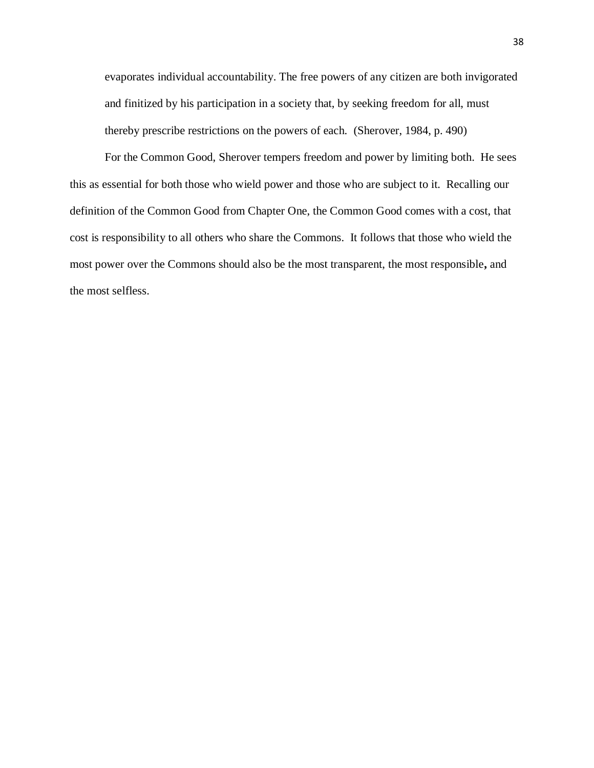evaporates individual accountability. The free powers of any citizen are both invigorated and finitized by his participation in a society that, by seeking freedom for all, must thereby prescribe restrictions on the powers of each. (Sherover, 1984, p. 490)

For the Common Good, Sherover tempers freedom and power by limiting both. He sees this as essential for both those who wield power and those who are subject to it. Recalling our definition of the Common Good from Chapter One, the Common Good comes with a cost, that cost is responsibility to all others who share the Commons. It follows that those who wield the most power over the Commons should also be the most transparent, the most responsible**,** and the most selfless.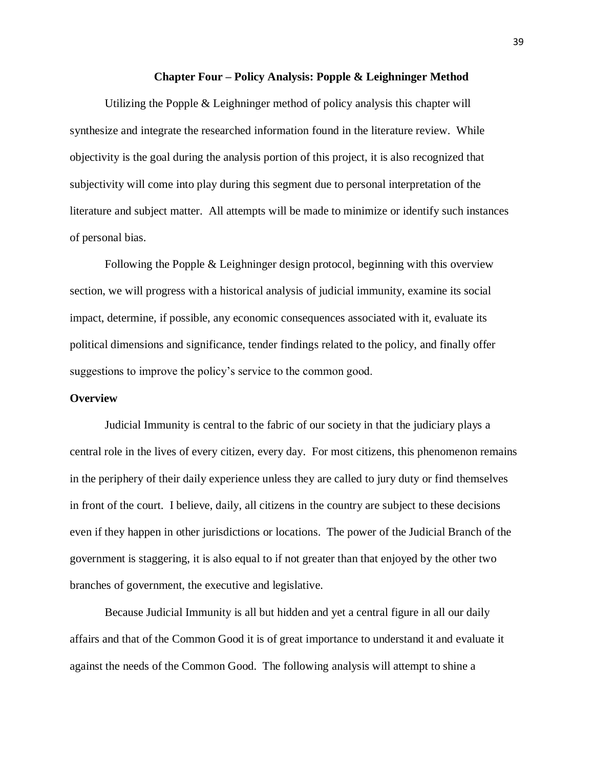#### **Chapter Four – Policy Analysis: Popple & Leighninger Method**

Utilizing the Popple & Leighninger method of policy analysis this chapter will synthesize and integrate the researched information found in the literature review. While objectivity is the goal during the analysis portion of this project, it is also recognized that subjectivity will come into play during this segment due to personal interpretation of the literature and subject matter. All attempts will be made to minimize or identify such instances of personal bias.

Following the Popple & Leighninger design protocol, beginning with this overview section, we will progress with a historical analysis of judicial immunity, examine its social impact, determine, if possible, any economic consequences associated with it, evaluate its political dimensions and significance, tender findings related to the policy, and finally offer suggestions to improve the policy's service to the common good.

#### **Overview**

Judicial Immunity is central to the fabric of our society in that the judiciary plays a central role in the lives of every citizen, every day. For most citizens, this phenomenon remains in the periphery of their daily experience unless they are called to jury duty or find themselves in front of the court. I believe, daily, all citizens in the country are subject to these decisions even if they happen in other jurisdictions or locations. The power of the Judicial Branch of the government is staggering, it is also equal to if not greater than that enjoyed by the other two branches of government, the executive and legislative.

Because Judicial Immunity is all but hidden and yet a central figure in all our daily affairs and that of the Common Good it is of great importance to understand it and evaluate it against the needs of the Common Good. The following analysis will attempt to shine a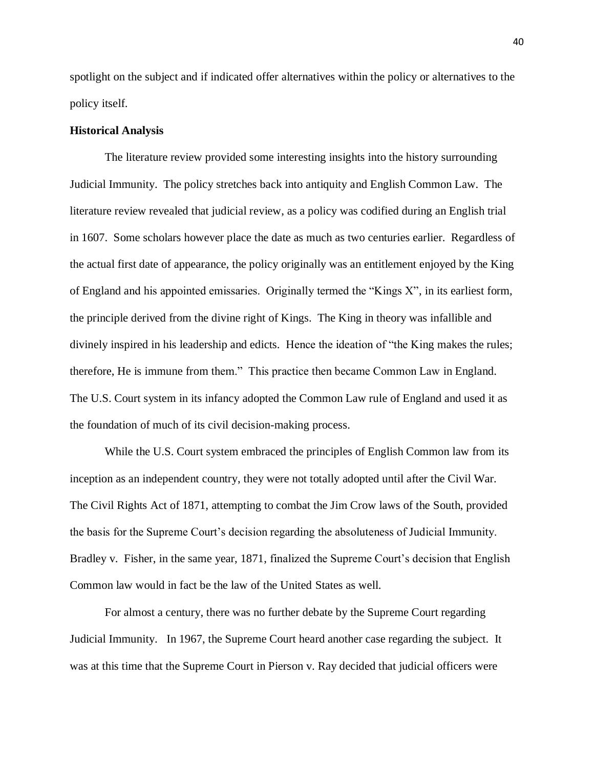spotlight on the subject and if indicated offer alternatives within the policy or alternatives to the policy itself.

## **Historical Analysis**

The literature review provided some interesting insights into the history surrounding Judicial Immunity. The policy stretches back into antiquity and English Common Law. The literature review revealed that judicial review, as a policy was codified during an English trial in 1607. Some scholars however place the date as much as two centuries earlier. Regardless of the actual first date of appearance, the policy originally was an entitlement enjoyed by the King of England and his appointed emissaries. Originally termed the "Kings X", in its earliest form, the principle derived from the divine right of Kings. The King in theory was infallible and divinely inspired in his leadership and edicts. Hence the ideation of "the King makes the rules; therefore, He is immune from them." This practice then became Common Law in England. The U.S. Court system in its infancy adopted the Common Law rule of England and used it as the foundation of much of its civil decision-making process.

While the U.S. Court system embraced the principles of English Common law from its inception as an independent country, they were not totally adopted until after the Civil War. The Civil Rights Act of 1871, attempting to combat the Jim Crow laws of the South, provided the basis for the Supreme Court's decision regarding the absoluteness of Judicial Immunity. Bradley v. Fisher, in the same year, 1871, finalized the Supreme Court's decision that English Common law would in fact be the law of the United States as well.

For almost a century, there was no further debate by the Supreme Court regarding Judicial Immunity. In 1967, the Supreme Court heard another case regarding the subject. It was at this time that the Supreme Court in Pierson v. Ray decided that judicial officers were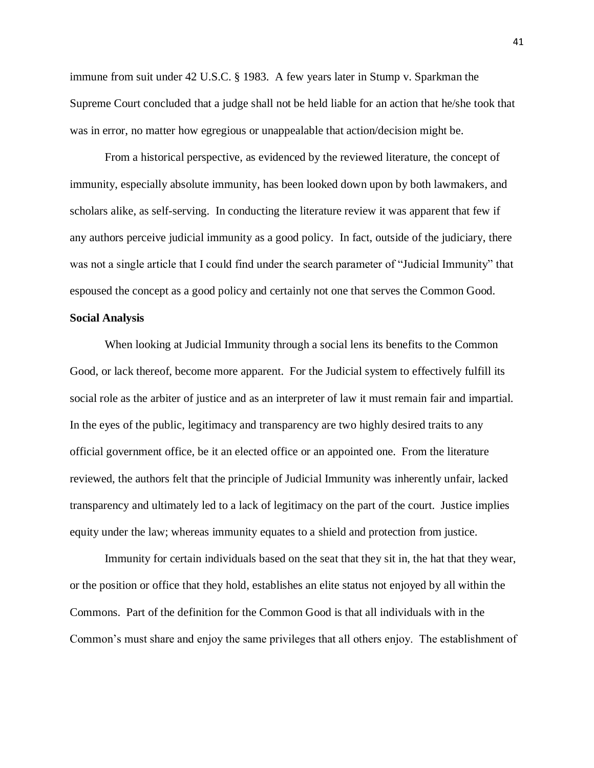immune from suit under 42 U.S.C. § 1983. A few years later in Stump v. Sparkman the Supreme Court concluded that a judge shall not be held liable for an action that he/she took that was in error, no matter how egregious or unappealable that action/decision might be.

From a historical perspective, as evidenced by the reviewed literature, the concept of immunity, especially absolute immunity, has been looked down upon by both lawmakers, and scholars alike, as self-serving. In conducting the literature review it was apparent that few if any authors perceive judicial immunity as a good policy. In fact, outside of the judiciary, there was not a single article that I could find under the search parameter of "Judicial Immunity" that espoused the concept as a good policy and certainly not one that serves the Common Good.

#### **Social Analysis**

When looking at Judicial Immunity through a social lens its benefits to the Common Good, or lack thereof, become more apparent. For the Judicial system to effectively fulfill its social role as the arbiter of justice and as an interpreter of law it must remain fair and impartial. In the eyes of the public, legitimacy and transparency are two highly desired traits to any official government office, be it an elected office or an appointed one. From the literature reviewed, the authors felt that the principle of Judicial Immunity was inherently unfair, lacked transparency and ultimately led to a lack of legitimacy on the part of the court. Justice implies equity under the law; whereas immunity equates to a shield and protection from justice.

Immunity for certain individuals based on the seat that they sit in, the hat that they wear, or the position or office that they hold, establishes an elite status not enjoyed by all within the Commons. Part of the definition for the Common Good is that all individuals with in the Common's must share and enjoy the same privileges that all others enjoy. The establishment of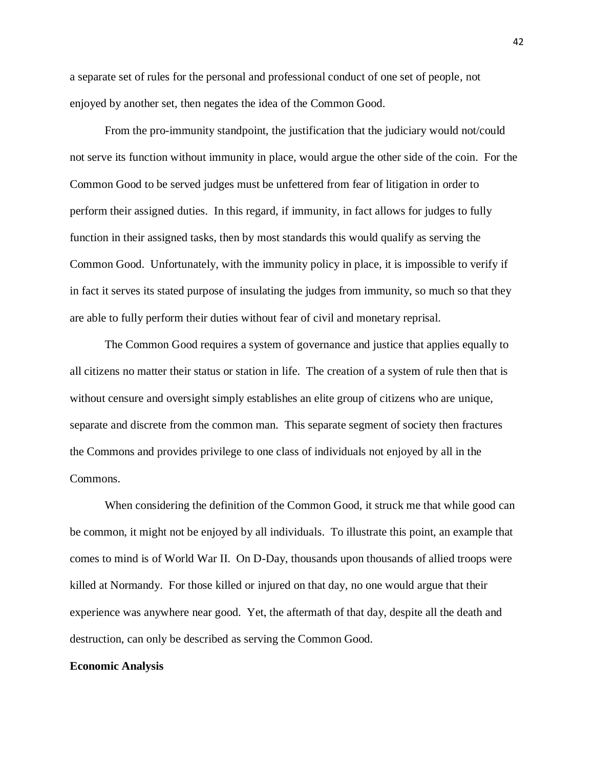a separate set of rules for the personal and professional conduct of one set of people, not enjoyed by another set, then negates the idea of the Common Good.

From the pro-immunity standpoint, the justification that the judiciary would not/could not serve its function without immunity in place, would argue the other side of the coin. For the Common Good to be served judges must be unfettered from fear of litigation in order to perform their assigned duties. In this regard, if immunity, in fact allows for judges to fully function in their assigned tasks, then by most standards this would qualify as serving the Common Good. Unfortunately, with the immunity policy in place, it is impossible to verify if in fact it serves its stated purpose of insulating the judges from immunity, so much so that they are able to fully perform their duties without fear of civil and monetary reprisal.

The Common Good requires a system of governance and justice that applies equally to all citizens no matter their status or station in life. The creation of a system of rule then that is without censure and oversight simply establishes an elite group of citizens who are unique, separate and discrete from the common man. This separate segment of society then fractures the Commons and provides privilege to one class of individuals not enjoyed by all in the Commons.

When considering the definition of the Common Good, it struck me that while good can be common, it might not be enjoyed by all individuals. To illustrate this point, an example that comes to mind is of World War II. On D-Day, thousands upon thousands of allied troops were killed at Normandy. For those killed or injured on that day, no one would argue that their experience was anywhere near good. Yet, the aftermath of that day, despite all the death and destruction, can only be described as serving the Common Good.

#### **Economic Analysis**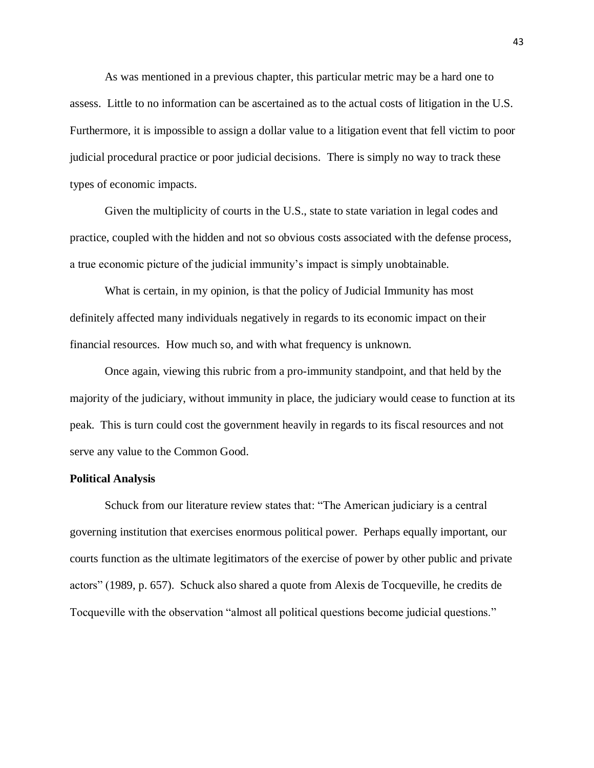As was mentioned in a previous chapter, this particular metric may be a hard one to assess. Little to no information can be ascertained as to the actual costs of litigation in the U.S. Furthermore, it is impossible to assign a dollar value to a litigation event that fell victim to poor judicial procedural practice or poor judicial decisions. There is simply no way to track these types of economic impacts.

Given the multiplicity of courts in the U.S., state to state variation in legal codes and practice, coupled with the hidden and not so obvious costs associated with the defense process, a true economic picture of the judicial immunity's impact is simply unobtainable.

What is certain, in my opinion, is that the policy of Judicial Immunity has most definitely affected many individuals negatively in regards to its economic impact on their financial resources. How much so, and with what frequency is unknown.

Once again, viewing this rubric from a pro-immunity standpoint, and that held by the majority of the judiciary, without immunity in place, the judiciary would cease to function at its peak. This is turn could cost the government heavily in regards to its fiscal resources and not serve any value to the Common Good.

#### **Political Analysis**

Schuck from our literature review states that: "The American judiciary is a central governing institution that exercises enormous political power. Perhaps equally important, our courts function as the ultimate legitimators of the exercise of power by other public and private actors" (1989, p. 657). Schuck also shared a quote from Alexis de Tocqueville, he credits de Tocqueville with the observation "almost all political questions become judicial questions."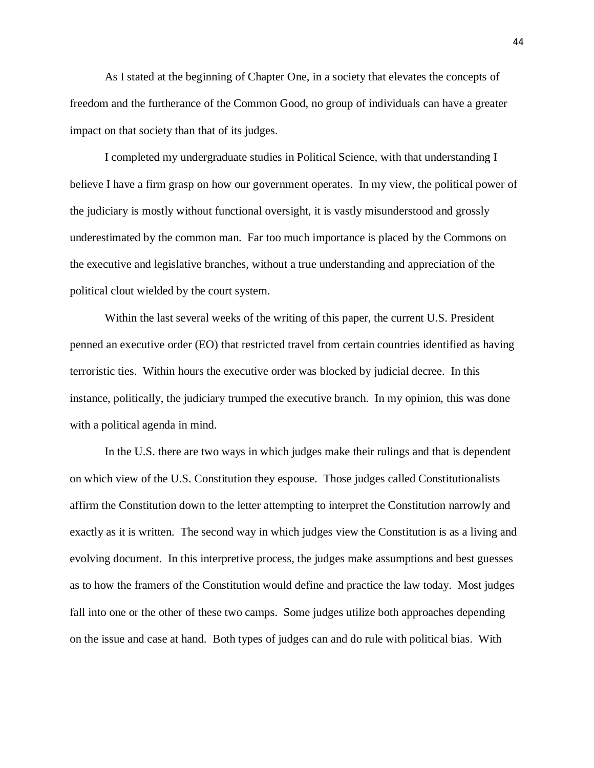As I stated at the beginning of Chapter One, in a society that elevates the concepts of freedom and the furtherance of the Common Good, no group of individuals can have a greater impact on that society than that of its judges.

I completed my undergraduate studies in Political Science, with that understanding I believe I have a firm grasp on how our government operates. In my view, the political power of the judiciary is mostly without functional oversight, it is vastly misunderstood and grossly underestimated by the common man. Far too much importance is placed by the Commons on the executive and legislative branches, without a true understanding and appreciation of the political clout wielded by the court system.

Within the last several weeks of the writing of this paper, the current U.S. President penned an executive order (EO) that restricted travel from certain countries identified as having terroristic ties. Within hours the executive order was blocked by judicial decree. In this instance, politically, the judiciary trumped the executive branch. In my opinion, this was done with a political agenda in mind.

In the U.S. there are two ways in which judges make their rulings and that is dependent on which view of the U.S. Constitution they espouse. Those judges called Constitutionalists affirm the Constitution down to the letter attempting to interpret the Constitution narrowly and exactly as it is written. The second way in which judges view the Constitution is as a living and evolving document. In this interpretive process, the judges make assumptions and best guesses as to how the framers of the Constitution would define and practice the law today. Most judges fall into one or the other of these two camps. Some judges utilize both approaches depending on the issue and case at hand. Both types of judges can and do rule with political bias. With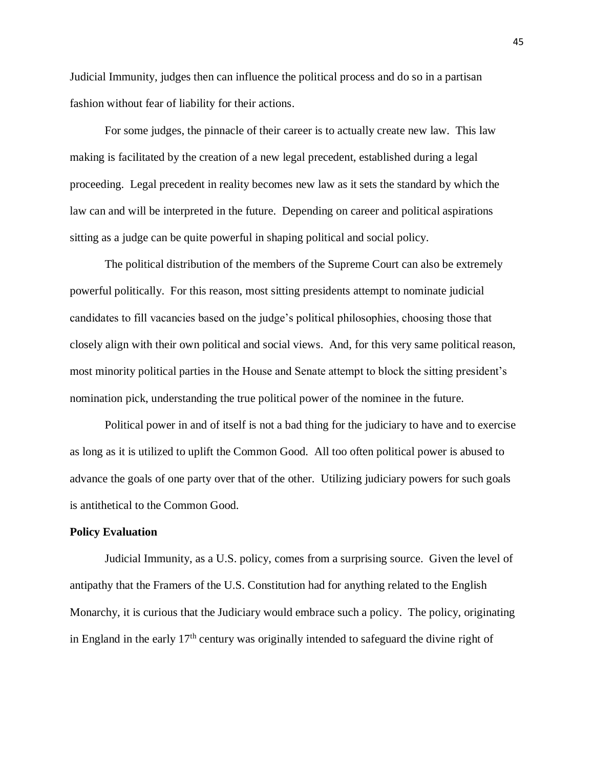Judicial Immunity, judges then can influence the political process and do so in a partisan fashion without fear of liability for their actions.

For some judges, the pinnacle of their career is to actually create new law. This law making is facilitated by the creation of a new legal precedent, established during a legal proceeding. Legal precedent in reality becomes new law as it sets the standard by which the law can and will be interpreted in the future. Depending on career and political aspirations sitting as a judge can be quite powerful in shaping political and social policy.

The political distribution of the members of the Supreme Court can also be extremely powerful politically. For this reason, most sitting presidents attempt to nominate judicial candidates to fill vacancies based on the judge's political philosophies, choosing those that closely align with their own political and social views. And, for this very same political reason, most minority political parties in the House and Senate attempt to block the sitting president's nomination pick, understanding the true political power of the nominee in the future.

Political power in and of itself is not a bad thing for the judiciary to have and to exercise as long as it is utilized to uplift the Common Good. All too often political power is abused to advance the goals of one party over that of the other. Utilizing judiciary powers for such goals is antithetical to the Common Good.

#### **Policy Evaluation**

Judicial Immunity, as a U.S. policy, comes from a surprising source. Given the level of antipathy that the Framers of the U.S. Constitution had for anything related to the English Monarchy, it is curious that the Judiciary would embrace such a policy. The policy, originating in England in the early  $17<sup>th</sup>$  century was originally intended to safeguard the divine right of

45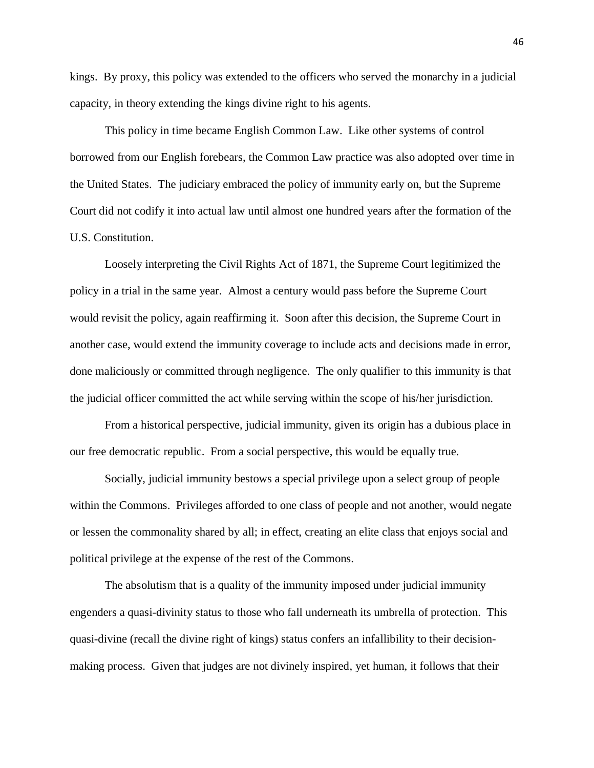kings. By proxy, this policy was extended to the officers who served the monarchy in a judicial capacity, in theory extending the kings divine right to his agents.

This policy in time became English Common Law. Like other systems of control borrowed from our English forebears, the Common Law practice was also adopted over time in the United States. The judiciary embraced the policy of immunity early on, but the Supreme Court did not codify it into actual law until almost one hundred years after the formation of the U.S. Constitution.

Loosely interpreting the Civil Rights Act of 1871, the Supreme Court legitimized the policy in a trial in the same year. Almost a century would pass before the Supreme Court would revisit the policy, again reaffirming it. Soon after this decision, the Supreme Court in another case, would extend the immunity coverage to include acts and decisions made in error, done maliciously or committed through negligence. The only qualifier to this immunity is that the judicial officer committed the act while serving within the scope of his/her jurisdiction.

From a historical perspective, judicial immunity, given its origin has a dubious place in our free democratic republic. From a social perspective, this would be equally true.

Socially, judicial immunity bestows a special privilege upon a select group of people within the Commons. Privileges afforded to one class of people and not another, would negate or lessen the commonality shared by all; in effect, creating an elite class that enjoys social and political privilege at the expense of the rest of the Commons.

The absolutism that is a quality of the immunity imposed under judicial immunity engenders a quasi-divinity status to those who fall underneath its umbrella of protection. This quasi-divine (recall the divine right of kings) status confers an infallibility to their decisionmaking process. Given that judges are not divinely inspired, yet human, it follows that their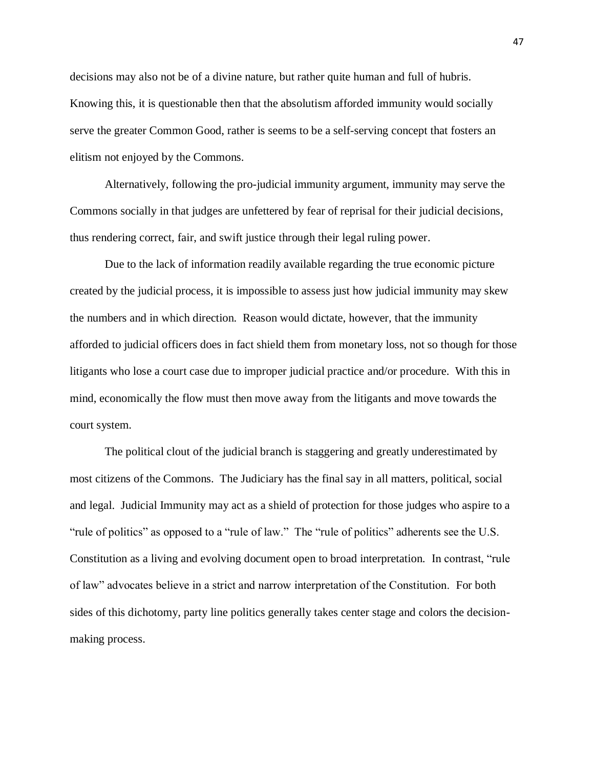decisions may also not be of a divine nature, but rather quite human and full of hubris. Knowing this, it is questionable then that the absolutism afforded immunity would socially serve the greater Common Good, rather is seems to be a self-serving concept that fosters an elitism not enjoyed by the Commons.

Alternatively, following the pro-judicial immunity argument, immunity may serve the Commons socially in that judges are unfettered by fear of reprisal for their judicial decisions, thus rendering correct, fair, and swift justice through their legal ruling power.

Due to the lack of information readily available regarding the true economic picture created by the judicial process, it is impossible to assess just how judicial immunity may skew the numbers and in which direction. Reason would dictate, however, that the immunity afforded to judicial officers does in fact shield them from monetary loss, not so though for those litigants who lose a court case due to improper judicial practice and/or procedure. With this in mind, economically the flow must then move away from the litigants and move towards the court system.

The political clout of the judicial branch is staggering and greatly underestimated by most citizens of the Commons. The Judiciary has the final say in all matters, political, social and legal. Judicial Immunity may act as a shield of protection for those judges who aspire to a "rule of politics" as opposed to a "rule of law." The "rule of politics" adherents see the U.S. Constitution as a living and evolving document open to broad interpretation. In contrast, "rule of law" advocates believe in a strict and narrow interpretation of the Constitution. For both sides of this dichotomy, party line politics generally takes center stage and colors the decisionmaking process.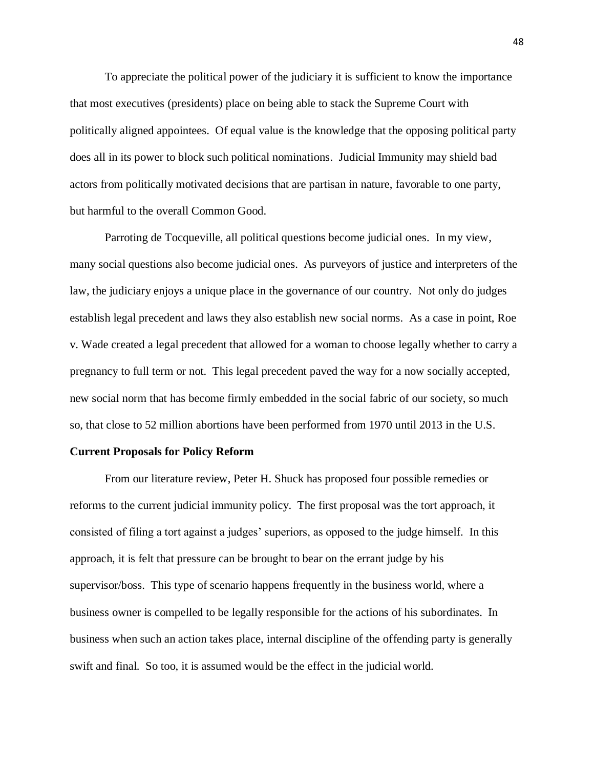To appreciate the political power of the judiciary it is sufficient to know the importance that most executives (presidents) place on being able to stack the Supreme Court with politically aligned appointees. Of equal value is the knowledge that the opposing political party does all in its power to block such political nominations. Judicial Immunity may shield bad actors from politically motivated decisions that are partisan in nature, favorable to one party, but harmful to the overall Common Good.

Parroting de Tocqueville, all political questions become judicial ones. In my view, many social questions also become judicial ones. As purveyors of justice and interpreters of the law, the judiciary enjoys a unique place in the governance of our country. Not only do judges establish legal precedent and laws they also establish new social norms. As a case in point, Roe v. Wade created a legal precedent that allowed for a woman to choose legally whether to carry a pregnancy to full term or not. This legal precedent paved the way for a now socially accepted, new social norm that has become firmly embedded in the social fabric of our society, so much so, that close to 52 million abortions have been performed from 1970 until 2013 in the U.S.

#### **Current Proposals for Policy Reform**

From our literature review, Peter H. Shuck has proposed four possible remedies or reforms to the current judicial immunity policy. The first proposal was the tort approach, it consisted of filing a tort against a judges' superiors, as opposed to the judge himself. In this approach, it is felt that pressure can be brought to bear on the errant judge by his supervisor/boss. This type of scenario happens frequently in the business world, where a business owner is compelled to be legally responsible for the actions of his subordinates. In business when such an action takes place, internal discipline of the offending party is generally swift and final. So too, it is assumed would be the effect in the judicial world.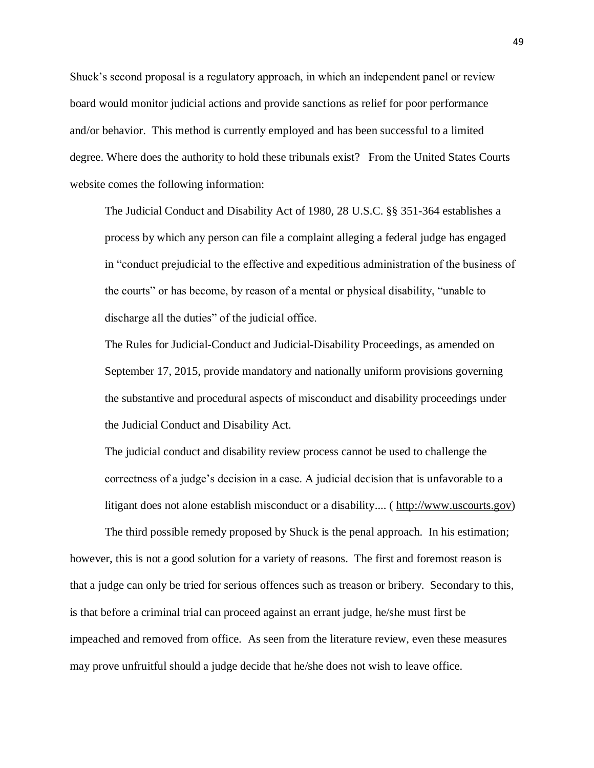Shuck's second proposal is a regulatory approach, in which an independent panel or review board would monitor judicial actions and provide sanctions as relief for poor performance and/or behavior. This method is currently employed and has been successful to a limited degree. Where does the authority to hold these tribunals exist? From the United States Courts website comes the following information:

The [Judicial Conduct and Disability Act of 1980, 28 U.S.C. §§](https://www.law.cornell.edu/uscode/text/28/part-I/chapter-16) 351-364 establishes a process by which any person can file a complaint alleging a federal judge has engaged in "conduct prejudicial to the effective and expeditious administration of the business of the courts" or has become, by reason of a mental or physical disability, "unable to discharge all the duties" of the judicial office.

The [Rules for Judicial-Conduct and Judicial-Disability Proceedings,](http://www.uscourts.gov/file/document/rules-judicial-conduct-and-judicial-disability-proceedings) as amended on September 17, 2015, provide mandatory and nationally uniform provisions governing the substantive and procedural aspects of misconduct and disability proceedings under the Judicial Conduct and Disability Act.

The judicial conduct and disability review process cannot be used to challenge the correctness of a judge's decision in a case. A judicial decision that is unfavorable to a litigant does not alone establish misconduct or a disability.... ( [http://www.uscourts.gov\)](http://www.uscourts.gov/)

The third possible remedy proposed by Shuck is the penal approach. In his estimation; however, this is not a good solution for a variety of reasons. The first and foremost reason is that a judge can only be tried for serious offences such as treason or bribery. Secondary to this, is that before a criminal trial can proceed against an errant judge, he/she must first be impeached and removed from office. As seen from the literature review, even these measures may prove unfruitful should a judge decide that he/she does not wish to leave office.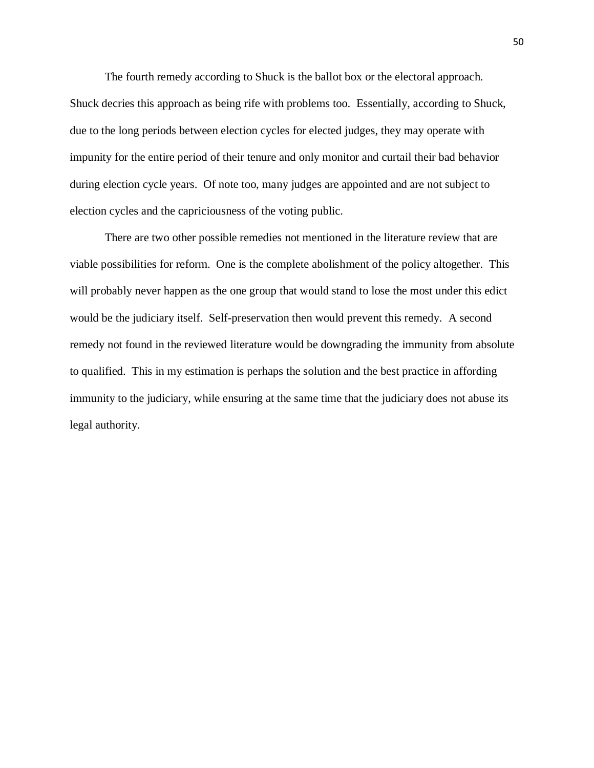The fourth remedy according to Shuck is the ballot box or the electoral approach. Shuck decries this approach as being rife with problems too. Essentially, according to Shuck, due to the long periods between election cycles for elected judges, they may operate with impunity for the entire period of their tenure and only monitor and curtail their bad behavior during election cycle years. Of note too, many judges are appointed and are not subject to election cycles and the capriciousness of the voting public.

There are two other possible remedies not mentioned in the literature review that are viable possibilities for reform. One is the complete abolishment of the policy altogether. This will probably never happen as the one group that would stand to lose the most under this edict would be the judiciary itself. Self-preservation then would prevent this remedy. A second remedy not found in the reviewed literature would be downgrading the immunity from absolute to qualified. This in my estimation is perhaps the solution and the best practice in affording immunity to the judiciary, while ensuring at the same time that the judiciary does not abuse its legal authority.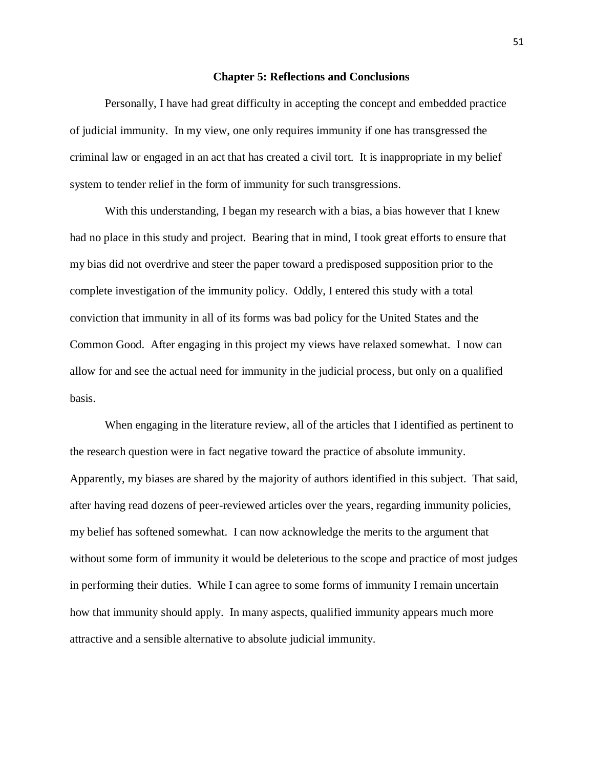#### **Chapter 5: Reflections and Conclusions**

Personally, I have had great difficulty in accepting the concept and embedded practice of judicial immunity. In my view, one only requires immunity if one has transgressed the criminal law or engaged in an act that has created a civil tort. It is inappropriate in my belief system to tender relief in the form of immunity for such transgressions.

With this understanding, I began my research with a bias, a bias however that I knew had no place in this study and project. Bearing that in mind, I took great efforts to ensure that my bias did not overdrive and steer the paper toward a predisposed supposition prior to the complete investigation of the immunity policy. Oddly, I entered this study with a total conviction that immunity in all of its forms was bad policy for the United States and the Common Good. After engaging in this project my views have relaxed somewhat. I now can allow for and see the actual need for immunity in the judicial process, but only on a qualified basis.

When engaging in the literature review, all of the articles that I identified as pertinent to the research question were in fact negative toward the practice of absolute immunity. Apparently, my biases are shared by the majority of authors identified in this subject. That said, after having read dozens of peer-reviewed articles over the years, regarding immunity policies, my belief has softened somewhat. I can now acknowledge the merits to the argument that without some form of immunity it would be deleterious to the scope and practice of most judges in performing their duties. While I can agree to some forms of immunity I remain uncertain how that immunity should apply. In many aspects, qualified immunity appears much more attractive and a sensible alternative to absolute judicial immunity.

51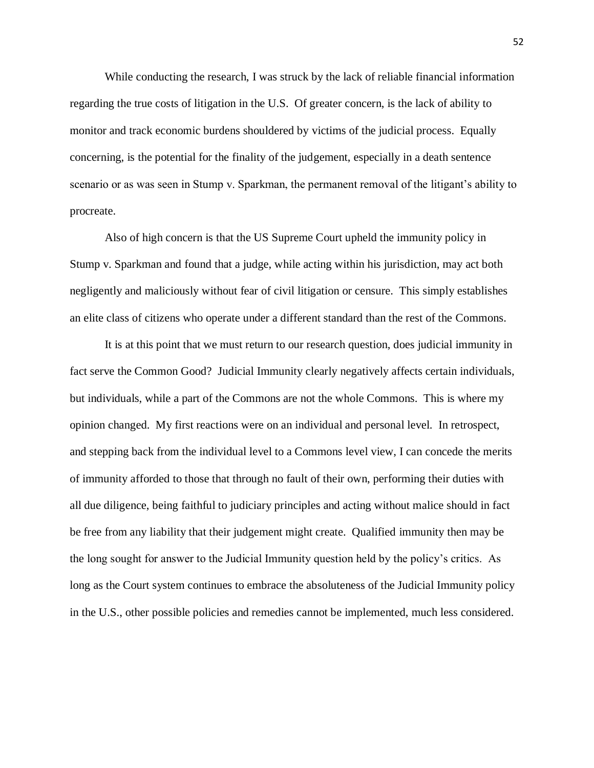While conducting the research, I was struck by the lack of reliable financial information regarding the true costs of litigation in the U.S. Of greater concern, is the lack of ability to monitor and track economic burdens shouldered by victims of the judicial process. Equally concerning, is the potential for the finality of the judgement, especially in a death sentence scenario or as was seen in Stump v. Sparkman, the permanent removal of the litigant's ability to procreate.

Also of high concern is that the US Supreme Court upheld the immunity policy in Stump v. Sparkman and found that a judge, while acting within his jurisdiction, may act both negligently and maliciously without fear of civil litigation or censure. This simply establishes an elite class of citizens who operate under a different standard than the rest of the Commons.

It is at this point that we must return to our research question, does judicial immunity in fact serve the Common Good? Judicial Immunity clearly negatively affects certain individuals, but individuals, while a part of the Commons are not the whole Commons. This is where my opinion changed. My first reactions were on an individual and personal level. In retrospect, and stepping back from the individual level to a Commons level view, I can concede the merits of immunity afforded to those that through no fault of their own, performing their duties with all due diligence, being faithful to judiciary principles and acting without malice should in fact be free from any liability that their judgement might create. Qualified immunity then may be the long sought for answer to the Judicial Immunity question held by the policy's critics. As long as the Court system continues to embrace the absoluteness of the Judicial Immunity policy in the U.S., other possible policies and remedies cannot be implemented, much less considered.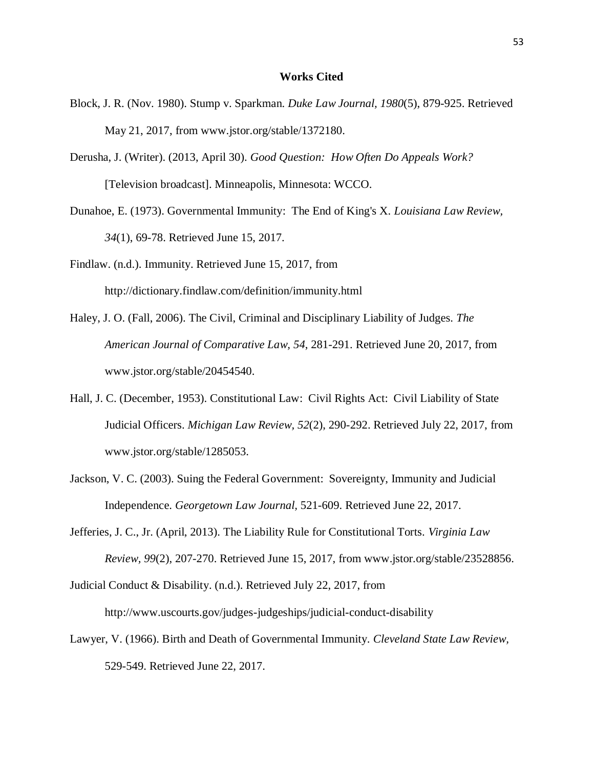#### **Works Cited**

- Block, J. R. (Nov. 1980). Stump v. Sparkman. *Duke Law Journal, 1980*(5), 879-925. Retrieved May 21, 2017, from www.jstor.org/stable/1372180.
- Derusha, J. (Writer). (2013, April 30). *Good Question: How Often Do Appeals Work?* [Television broadcast]. Minneapolis, Minnesota: WCCO.
- Dunahoe, E. (1973). Governmental Immunity: The End of King's X. *Louisiana Law Review, 34*(1), 69-78. Retrieved June 15, 2017.
- Findlaw. (n.d.). Immunity. Retrieved June 15, 2017, from http://dictionary.findlaw.com/definition/immunity.html
- Haley, J. O. (Fall, 2006). The Civil, Criminal and Disciplinary Liability of Judges. *The American Journal of Comparative Law, 54*, 281-291. Retrieved June 20, 2017, from www.jstor.org/stable/20454540.
- Hall, J. C. (December, 1953). Constitutional Law: Civil Rights Act: Civil Liability of State Judicial Officers. *Michigan Law Review, 52*(2), 290-292. Retrieved July 22, 2017, from www.jstor.org/stable/1285053.
- Jackson, V. C. (2003). Suing the Federal Government: Sovereignty, Immunity and Judicial Independence. *Georgetown Law Journal,* 521-609. Retrieved June 22, 2017.
- Jefferies, J. C., Jr. (April, 2013). The Liability Rule for Constitutional Torts. *Virginia Law Review, 99*(2), 207-270. Retrieved June 15, 2017, from www.jstor.org/stable/23528856.

Judicial Conduct & Disability. (n.d.). Retrieved July 22, 2017, from

http://www.uscourts.gov/judges-judgeships/judicial-conduct-disability

Lawyer, V. (1966). Birth and Death of Governmental Immunity. *Cleveland State Law Review,* 529-549. Retrieved June 22, 2017.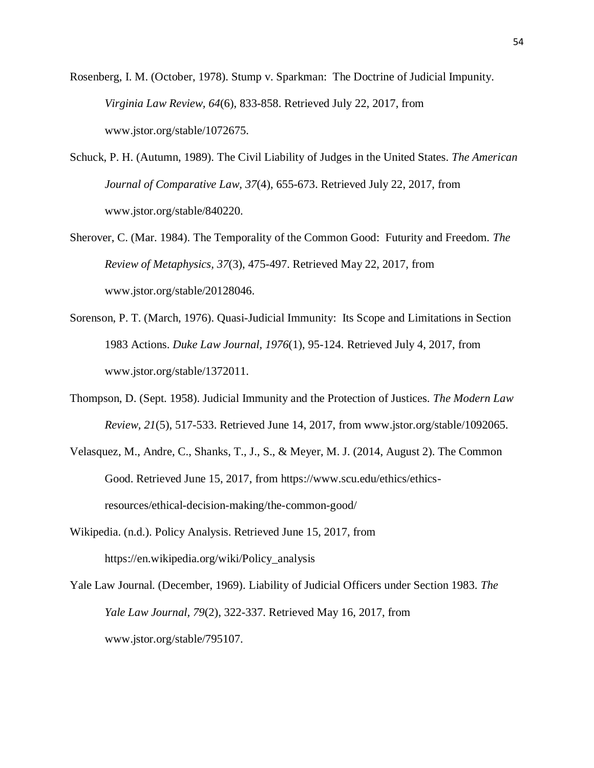Rosenberg, I. M. (October, 1978). Stump v. Sparkman: The Doctrine of Judicial Impunity. *Virginia Law Review, 64*(6), 833-858. Retrieved July 22, 2017, from www.jstor.org/stable/1072675.

- Schuck, P. H. (Autumn, 1989). The Civil Liability of Judges in the United States. *The American Journal of Comparative Law, 37*(4), 655-673. Retrieved July 22, 2017, from www.jstor.org/stable/840220.
- Sherover, C. (Mar. 1984). The Temporality of the Common Good: Futurity and Freedom. *The Review of Metaphysics, 37*(3), 475-497. Retrieved May 22, 2017, from www.jstor.org/stable/20128046.
- Sorenson, P. T. (March, 1976). Quasi-Judicial Immunity: Its Scope and Limitations in Section 1983 Actions. *Duke Law Journal, 1976*(1), 95-124. Retrieved July 4, 2017, from www.jstor.org/stable/1372011.
- Thompson, D. (Sept. 1958). Judicial Immunity and the Protection of Justices. *The Modern Law Review, 21*(5), 517-533. Retrieved June 14, 2017, from www.jstor.org/stable/1092065.
- Velasquez, M., Andre, C., Shanks, T., J., S., & Meyer, M. J. (2014, August 2). The Common Good. Retrieved June 15, 2017, from https://www.scu.edu/ethics/ethicsresources/ethical-decision-making/the-common-good/
- Wikipedia. (n.d.). Policy Analysis. Retrieved June 15, 2017, from https://en.wikipedia.org/wiki/Policy\_analysis
- Yale Law Journal. (December, 1969). Liability of Judicial Officers under Section 1983. *The Yale Law Journal, 79*(2), 322-337. Retrieved May 16, 2017, from www.jstor.org/stable/795107.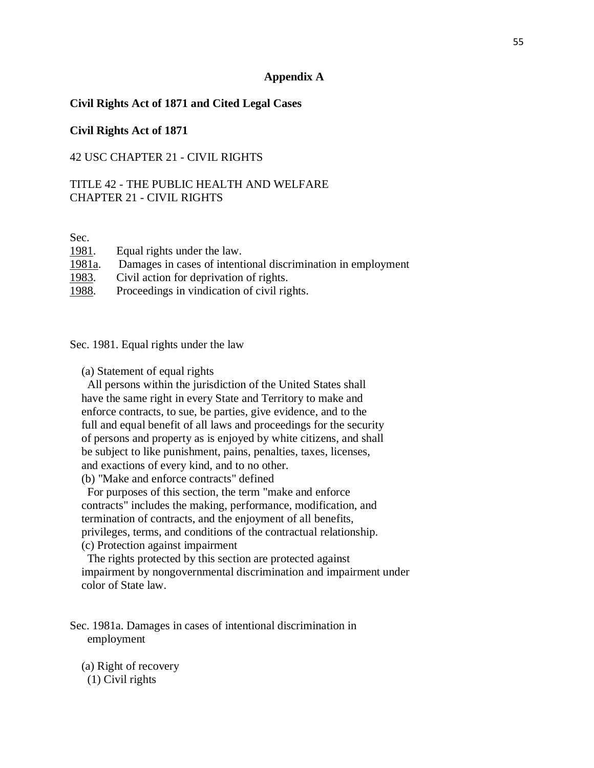## **Appendix A**

## **Civil Rights Act of 1871 and Cited Legal Cases**

## **Civil Rights Act of 1871**

## 42 USC CHAPTER 21 - CIVIL RIGHTS

## TITLE 42 - THE PUBLIC HEALTH AND WELFARE CHAPTER 21 - CIVIL RIGHTS

Sec.

| 1981. |  | Equal rights under the law. |
|-------|--|-----------------------------|
|       |  |                             |

- [1981a.](http://finduslaw.com/civil-rights-act-1866-civil-rights-act-1871-cra-42-us-code-21-1981-1981a-1983-1988#2) Damages in cases of intentional discrimination in employment
- [1983.](http://finduslaw.com/civil-rights-act-1866-civil-rights-act-1871-cra-42-us-code-21-1981-1981a-1983-1988#3) Civil action for deprivation of rights.
- [1988.](http://finduslaw.com/civil-rights-act-1866-civil-rights-act-1871-cra-42-us-code-21-1981-1981a-1983-1988#4) Proceedings in vindication of civil rights.

#### Sec. 1981. Equal rights under the law

(a) Statement of equal rights

 All persons within the jurisdiction of the United States shall have the same right in every State and Territory to make and enforce contracts, to sue, be parties, give evidence, and to the full and equal benefit of all laws and proceedings for the security of persons and property as is enjoyed by white citizens, and shall be subject to like punishment, pains, penalties, taxes, licenses, and exactions of every kind, and to no other.

(b) "Make and enforce contracts" defined

 For purposes of this section, the term "make and enforce contracts" includes the making, performance, modification, and termination of contracts, and the enjoyment of all benefits, privileges, terms, and conditions of the contractual relationship. (c) Protection against impairment

 The rights protected by this section are protected against impairment by nongovernmental discrimination and impairment under color of State law.

Sec. 1981a. Damages in cases of intentional discrimination in employment

 (a) Right of recovery (1) Civil rights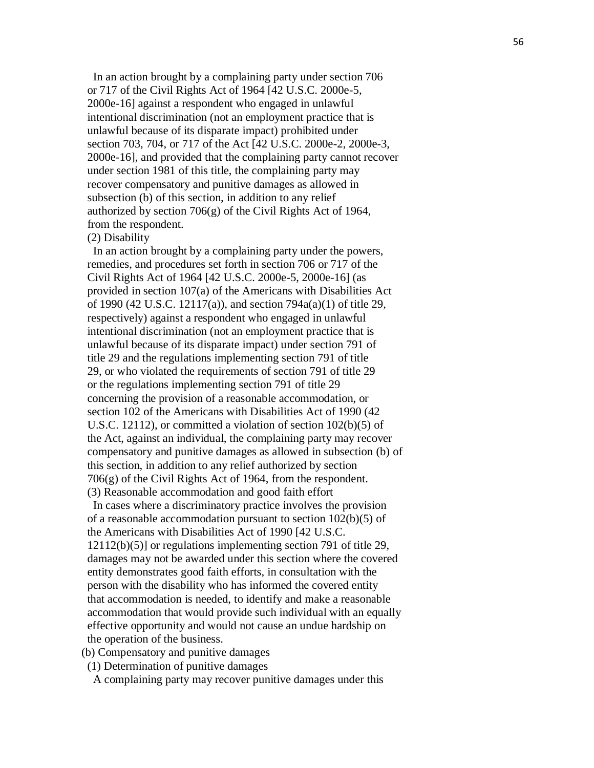In an action brought by a complaining party under section 706 or 717 of the Civil Rights Act of 1964 [42 U.S.C. 2000e -5, 2000e -16] against a respondent who engaged in unlawful intentional discrimination (not an employment practice that is unlawful because of its disparate impact) prohibited under section 703, 704, or 717 of the Act [42 U.S.C. 2000e-2, 2000e-3, 2000e -16], and provided that the complaining party cannot recover under section 1981 of this title, the complaining party may recover compensatory and punitive damages as allowed in subsection (b) of this section, in addition to any relief authorized by section 706(g) of the Civil Rights Act of 1964, from the respondent.

## (2) Disability

 In an action brought by a complaining party under the powers, remedies, and procedures set forth in section 706 or 717 of the Civil Rights Act of 1964 [42 U.S.C. 2000e -5, 2000e -16] (as provided in section 107(a) of the Americans with Disabilities Act of 1990 (42 U.S.C. 12117(a)), and section 794a(a)(1) of title 29, respectively) against a respondent who engaged in unlawful intentional discrimination (not an employment practice that is unlawful because of its disparate impact) under section 791 of title 29 and the regulations implementing section 791 of title 29, or who violated the requirements of section 791 of title 29 or the regulations implementing section 791 of title 29 concerning the provision of a reasonable accommodation, or section 102 of the Americans with Disabilities Act of 1990 (42 U.S.C. 12112), or committed a violation of section 102(b)(5) of the Act, against an individual, the complaining party may recover compensatory and punitive damages as allowed in subsection (b) of this section, in addition to any relief authorized by section 706(g) of the Civil Rights Act of 1964, from the respondent. (3) Reasonable accommodation and good faith effort

 In cases where a discriminatory practice involves the provision of a reasonable accommodation pursuant to section 102(b)(5) of the Americans with Disabilities Act of 1990 [42 U.S.C. 12112(b)(5)] or regulations implementing section 791 of title 29, damages may not be awarded under this section where the covered entity demonstrates good faith efforts, in consultation with the person with the disability who has informed the covered entity that accommodation is needed, to identify and make a reasonable accommodation that would provide such individual with an equally effective opportunity and would not cause an undue hardship on the operation of the business.

(b) Compensatory and punitive damages

(1) Determination of punitive damages

A complaining party may recover punitive damages under this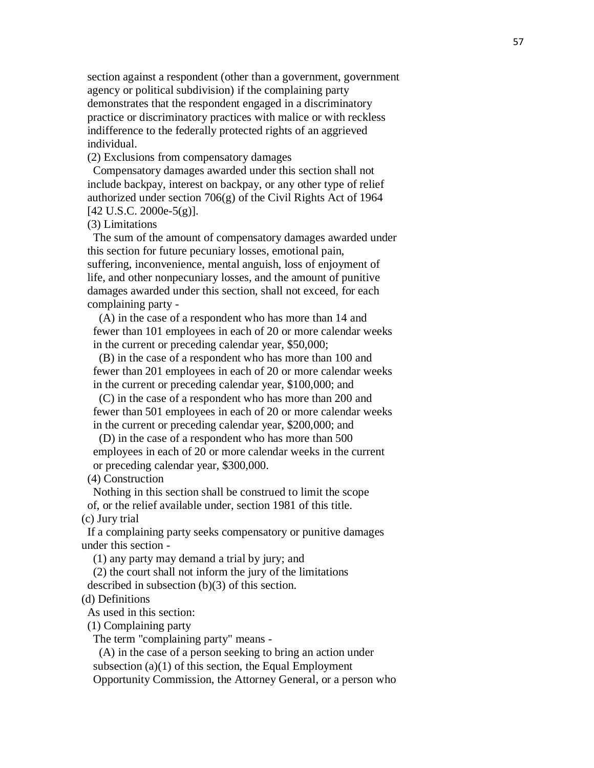section against a respondent (other than a government, government agency or political subdivision) if the complaining party demonstrates that the respondent engaged in a discriminatory practice or discriminatory practices with malice or with reckless indifference to the federally protected rights of an aggrieved individual.

#### (2) Exclusions from compensatory damages

 Compensatory damages awarded under this section shall not include backpay, interest on backpay, or any other type of relief authorized under section 706(g) of the Civil Rights Act of 1964  $[42 \text{ U.S.C. } 2000 \text{e-}5(\text{g})]$ .

(3) Limitations

 The sum of the amount of compensatory damages awarded under this section for future pecuniary losses, emotional pain, suffering, inconvenience, mental anguish, loss of enjoyment of life, and other nonpecuniary losses, and the amount of punitive damages awarded under this section, shall not exceed, for each complaining party -

 (A) in the case of a respondent who has more than 14 and fewer than 101 employees in each of 20 or more calendar weeks in the current or preceding calendar year, \$50,000;

 (B) in the case of a respondent who has more than 100 and fewer than 201 employees in each of 20 or more calendar weeks in the current or preceding calendar year, \$100,000; and

 (C) in the case of a respondent who has more than 200 and fewer than 501 employees in each of 20 or more calendar weeks in the current or preceding calendar year, \$200,000; and

 (D) in the case of a respondent who has more than 500 employees in each of 20 or more calendar weeks in the current or preceding calendar year, \$300,000.

(4) Construction

 Nothing in this section shall be construed to limit the scope of, or the relief available under, section 1981 of this title.

(c) Jury trial

 If a complaining party seeks compensatory or punitive damages under this section -

(1) any party may demand a trial by jury; and

 (2) the court shall not inform the jury of the limitations described in subsection (b)(3) of this section.

## (d) Definitions

As used in this section:

(1) Complaining party

The term "complaining party" means -

(A) in the case of a person seeking to bring an action under

subsection  $(a)(1)$  of this section, the Equal Employment

Opportunity Commission, the Attorney General, or a person who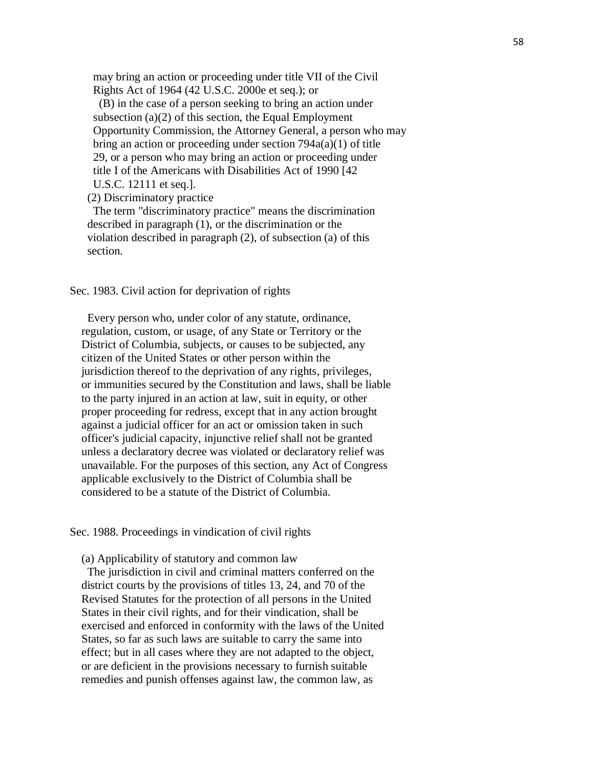may bring an action or proceeding under title VII of the Civil Rights Act of 1964 (42 U.S.C. 2000e et seq.); or

 (B) in the case of a person seeking to bring an action under subsection (a)(2) of this section, the Equal Employment Opportunity Commission, the Attorney General, a person who may bring an action or proceeding under section 794a(a)(1) of title 29, or a person who may bring an action or proceeding under title I of the Americans with Disabilities Act of 1990 [42 U.S.C. 12111 et seq.].

(2) Discriminatory practice

 The term "discriminatory practice" means the discrimination described in paragraph (1), or the discrimination or the violation described in paragraph (2), of subsection (a) of this section.

Sec. 1983. Civil action for deprivation of rights

 Every person who, under color of any statute, ordinance, regulation, custom, or usage, of any State or Territory or the District of Columbia, subjects, or causes to be subjected, any citizen of the United States or other person within the jurisdiction thereof to the deprivation of any rights, privileges, or immunities secured by the Constitution and laws, shall be liable to the party injured in an action at law, suit in equity, or other proper proceeding for redress, except that in any action brought against a judicial officer for an act or omission taken in such officer's judicial capacity, injunctive relief shall not be granted unless a declaratory decree was violated or declaratory relief was unavailable. For the purposes of this section, any Act of Congress applicable exclusively to the District of Columbia shall be considered to be a statute of the District of Columbia.

Sec. 1988. Proceedings in vindication of civil rights

(a) Applicability of statutory and common law

 The jurisdiction in civil and criminal matters conferred on the district courts by the provisions of titles 13, 24, and 70 of the Revised Statutes for the protection of all persons in the United States in their civil rights, and for their vindication, shall be exercised and enforced in conformity with the laws of the United States, so far as such laws are suitable to carry the same into effect; but in all cases where they are not adapted to the object, or are deficient in the provisions necessary to furnish suitable remedies and punish offenses against law, the common law, as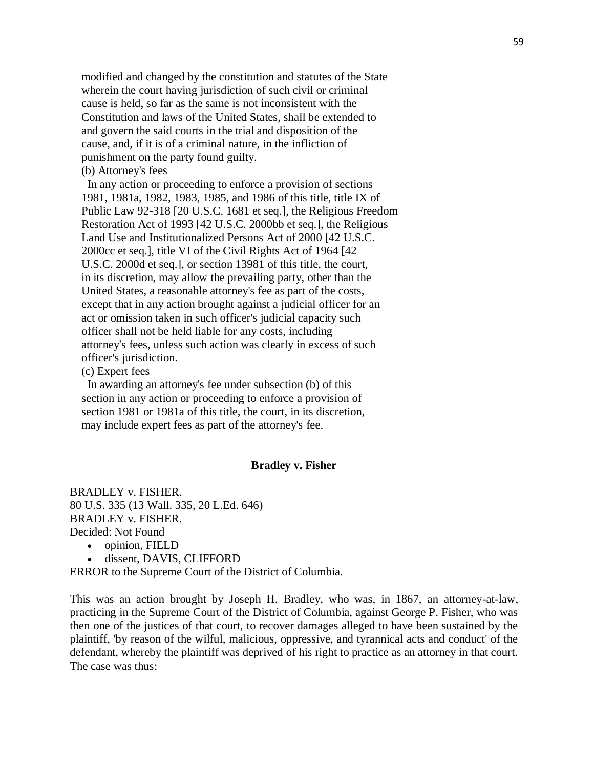modified and changed by the constitution and statutes of the State wherein the court having jurisdiction of such civil or criminal cause is held, so far as the same is not inconsistent with the Constitution and laws of the United States, shall be extended to and govern the said courts in the trial and disposition of the cause, and, if it is of a criminal nature, in the infliction of punishment on the party found guilty.

# (b) Attorney's fees

 In any action or proceeding to enforce a provision of sections 1981, 1981a, 1982, 1983, 1985, and 1986 of this title, title IX of Public Law 92-318 [20 U.S.C. 1681 et seq.], the Religious Freedom Restoration Act of 1993 [42 U.S.C. 2000bb et seq.], the Religious Land Use and Institutionalized Persons Act of 2000 [42 U.S.C. 2000cc et seq.], title VI of the Civil Rights Act of 1964 [42 U.S.C. 2000d et seq.], or section 13981 of this title, the court, in its discretion, may allow the prevailing party, other than the United States, a reasonable attorney's fee as part of the costs, except that in any action brought against a judicial officer for an act or omission taken in such officer's judicial capacity such officer shall not be held liable for any costs, including attorney's fees, unless such action was clearly in excess of such officer's jurisdiction.

## (c) Expert fees

 In awarding an attorney's fee under subsection (b) of this section in any action or proceeding to enforce a provision of section 1981 or 1981a of this title, the court, in its discretion, may include expert fees as part of the attorney's fee.

## **Bradley v. Fisher**

BRADLEY v. FISHER. 80 U.S. 335 (13 Wall. 335, 20 L.Ed. 646) BRADLEY v. FISHER. Decided: Not Found

## • opinion, FIELD

• dissent, DAVIS, CLIFFORD

ERROR to the Supreme Court of the District of Columbia.

This was an action brought by Joseph H. Bradley, who was, in 1867, an attorney-at-law, practicing in the Supreme Court of the District of Columbia, against George P. Fisher, who was then one of the justices of that court, to recover damages alleged to have been sustained by the plaintiff, 'by reason of the wilful, malicious, oppressive, and tyrannical acts and conduct' of the defendant, whereby the plaintiff was deprived of his right to practice as an attorney in that court. The case was thus: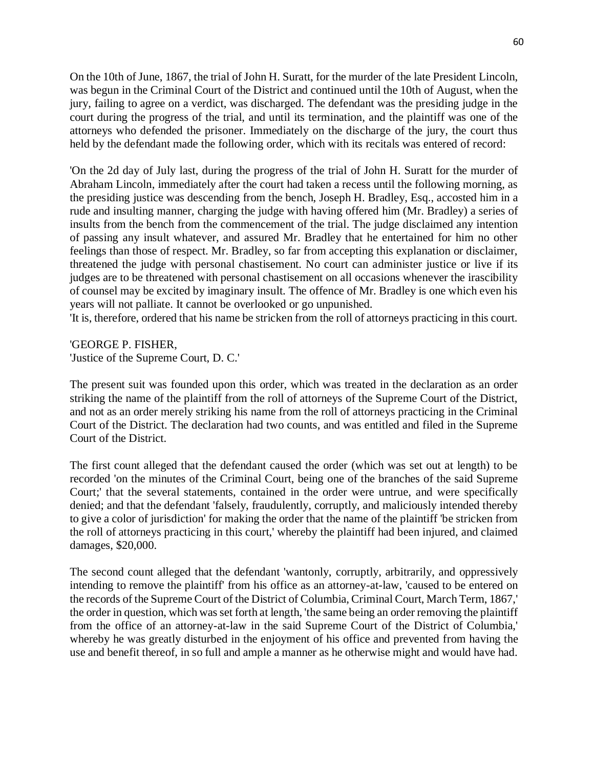On the 10th of June, 1867, the trial of John H. Suratt, for the murder of the late President Lincoln, was begun in the Criminal Court of the District and continued until the 10th of August, when the jury, failing to agree on a verdict, was discharged. The defendant was the presiding judge in the court during the progress of the trial, and until its termination, and the plaintiff was one of the attorneys who defended the prisoner. Immediately on the discharge of the jury, the court thus held by the defendant made the following order, which with its recitals was entered of record:

'On the 2d day of July last, during the progress of the trial of John H. Suratt for the murder of Abraham Lincoln, immediately after the court had taken a recess until the following morning, as the presiding justice was descending from the bench, Joseph H. Bradley, Esq., accosted him in a rude and insulting manner, charging the judge with having offered him (Mr. Bradley) a series of insults from the bench from the commencement of the trial. The judge disclaimed any intention of passing any insult whatever, and assured Mr. Bradley that he entertained for him no other feelings than those of respect. Mr. Bradley, so far from accepting this explanation or disclaimer, threatened the judge with personal chastisement. No court can administer justice or live if its judges are to be threatened with personal chastisement on all occasions whenever the irascibility of counsel may be excited by imaginary insult. The offence of Mr. Bradley is one which even his years will not palliate. It cannot be overlooked or go unpunished.

'It is, therefore, ordered that his name be stricken from the roll of attorneys practicing in this court.

'GEORGE P. FISHER,

'Justice of the Supreme Court, D. C.'

The present suit was founded upon this order, which was treated in the declaration as an order striking the name of the plaintiff from the roll of attorneys of the Supreme Court of the District, and not as an order merely striking his name from the roll of attorneys practicing in the Criminal Court of the District. The declaration had two counts, and was entitled and filed in the Supreme Court of the District.

The first count alleged that the defendant caused the order (which was set out at length) to be recorded 'on the minutes of the Criminal Court, being one of the branches of the said Supreme Court;' that the several statements, contained in the order were untrue, and were specifically denied; and that the defendant 'falsely, fraudulently, corruptly, and maliciously intended thereby to give a color of jurisdiction' for making the order that the name of the plaintiff 'be stricken from the roll of attorneys practicing in this court,' whereby the plaintiff had been injured, and claimed damages, \$20,000.

The second count alleged that the defendant 'wantonly, corruptly, arbitrarily, and oppressively intending to remove the plaintiff' from his office as an attorney-at-law, 'caused to be entered on the records of the Supreme Court of the District of Columbia, Criminal Court, March Term, 1867,' the order in question, which was set forth at length, 'the same being an order removing the plaintiff from the office of an attorney-at-law in the said Supreme Court of the District of Columbia,' whereby he was greatly disturbed in the enjoyment of his office and prevented from having the use and benefit thereof, in so full and ample a manner as he otherwise might and would have had.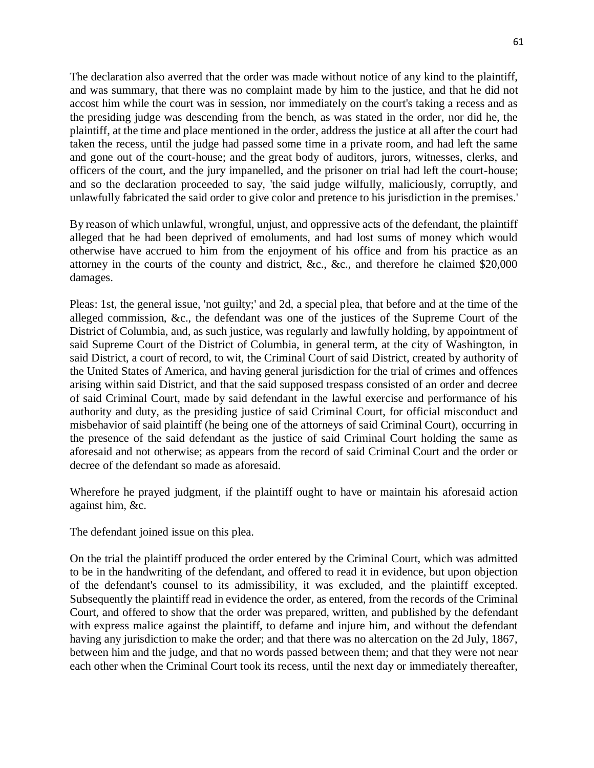The declaration also averred that the order was made without notice of any kind to the plaintiff, and was summary, that there was no complaint made by him to the justice, and that he did not accost him while the court was in session, nor immediately on the court's taking a recess and as the presiding judge was descending from the bench, as was stated in the order, nor did he, the plaintiff, at the time and place mentioned in the order, address the justice at all after the court had taken the recess, until the judge had passed some time in a private room, and had left the same and gone out of the court-house; and the great body of auditors, jurors, witnesses, clerks, and officers of the court, and the jury impanelled, and the prisoner on trial had left the court-house; and so the declaration proceeded to say, 'the said judge wilfully, maliciously, corruptly, and unlawfully fabricated the said order to give color and pretence to his jurisdiction in the premises.'

By reason of which unlawful, wrongful, unjust, and oppressive acts of the defendant, the plaintiff alleged that he had been deprived of emoluments, and had lost sums of money which would otherwise have accrued to him from the enjoyment of his office and from his practice as an attorney in the courts of the county and district, &c., &c., and therefore he claimed \$20,000 damages.

Pleas: 1st, the general issue, 'not guilty;' and 2d, a special plea, that before and at the time of the alleged commission, &c., the defendant was one of the justices of the Supreme Court of the District of Columbia, and, as such justice, was regularly and lawfully holding, by appointment of said Supreme Court of the District of Columbia, in general term, at the city of Washington, in said District, a court of record, to wit, the Criminal Court of said District, created by authority of the United States of America, and having general jurisdiction for the trial of crimes and offences arising within said District, and that the said supposed trespass consisted of an order and decree of said Criminal Court, made by said defendant in the lawful exercise and performance of his authority and duty, as the presiding justice of said Criminal Court, for official misconduct and misbehavior of said plaintiff (he being one of the attorneys of said Criminal Court), occurring in the presence of the said defendant as the justice of said Criminal Court holding the same as aforesaid and not otherwise; as appears from the record of said Criminal Court and the order or decree of the defendant so made as aforesaid.

Wherefore he prayed judgment, if the plaintiff ought to have or maintain his aforesaid action against him, &c.

The defendant joined issue on this plea.

On the trial the plaintiff produced the order entered by the Criminal Court, which was admitted to be in the handwriting of the defendant, and offered to read it in evidence, but upon objection of the defendant's counsel to its admissibility, it was excluded, and the plaintiff excepted. Subsequently the plaintiff read in evidence the order, as entered, from the records of the Criminal Court, and offered to show that the order was prepared, written, and published by the defendant with express malice against the plaintiff, to defame and injure him, and without the defendant having any jurisdiction to make the order; and that there was no altercation on the 2d July, 1867, between him and the judge, and that no words passed between them; and that they were not near each other when the Criminal Court took its recess, until the next day or immediately thereafter,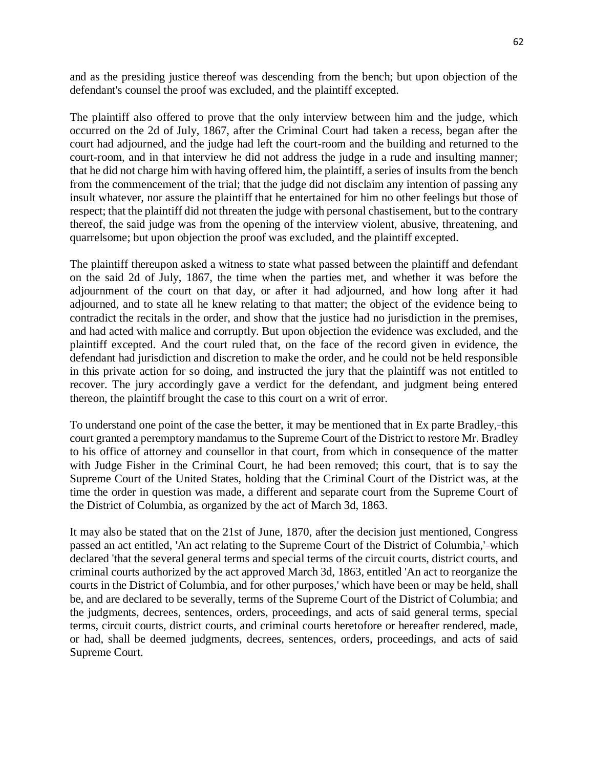and as the presiding justice thereof was descending from the bench; but upon objection of the defendant's counsel the proof was excluded, and the plaintiff excepted.

The plaintiff also offered to prove that the only interview between him and the judge, which occurred on the 2d of July, 1867, after the Criminal Court had taken a recess, began after the court had adjourned, and the judge had left the court-room and the building and returned to the court-room, and in that interview he did not address the judge in a rude and insulting manner; that he did not charge him with having offered him, the plaintiff, a series of insults from the bench from the commencement of the trial; that the judge did not disclaim any intention of passing any insult whatever, nor assure the plaintiff that he entertained for him no other feelings but those of respect; that the plaintiff did not threaten the judge with personal chastisement, but to the contrary thereof, the said judge was from the opening of the interview violent, abusive, threatening, and quarrelsome; but upon objection the proof was excluded, and the plaintiff excepted.

The plaintiff thereupon asked a witness to state what passed between the plaintiff and defendant on the said 2d of July, 1867, the time when the parties met, and whether it was before the adjournment of the court on that day, or after it had adjourned, and how long after it had adjourned, and to state all he knew relating to that matter; the object of the evidence being to contradict the recitals in the order, and show that the justice had no jurisdiction in the premises, and had acted with malice and corruptly. But upon objection the evidence was excluded, and the plaintiff excepted. And the court ruled that, on the face of the record given in evidence, the defendant had jurisdiction and discretion to make the order, and he could not be held responsible in this private action for so doing, and instructed the jury that the plaintiff was not entitled to recover. The jury accordingly gave a verdict for the defendant, and judgment being entered thereon, the plaintiff brought the case to this court on a writ of error.

To understand one point of the case the better, it may be mentioned that in Ex parte Bradley, [t](https://www.law.cornell.edu/supremecourt/text/80/335#fn1)his court granted a peremptory mandamus to the Supreme Court of the District to restore Mr. Bradley to his office of attorney and counsellor in that court, from which in consequence of the matter with Judge Fisher in the Criminal Court, he had been removed; this court, that is to say the Supreme Court of the United States, holding that the Criminal Court of the District was, at the time the order in question was made, a different and separate court from the Supreme Court of the District of Columbia, as organized by the act of March 3d, 1863.

It may also be stated that on the 21st of June, 1870, after the decision just mentioned, Congress passed an act entitled, 'An act relating to the Supreme Court of the District of Columbia,'-[w](https://www.law.cornell.edu/supremecourt/text/80/335#fn2)hich declared 'that the several general terms and special terms of the circuit courts, district courts, and criminal courts authorized by the act approved March 3d, 1863, entitled 'An act to reorganize the courts in the District of Columbia, and for other purposes,' which have been or may be held, shall be, and are declared to be severally, terms of the Supreme Court of the District of Columbia; and the judgments, decrees, sentences, orders, proceedings, and acts of said general terms, special terms, circuit courts, district courts, and criminal courts heretofore or hereafter rendered, made, or had, shall be deemed judgments, decrees, sentences, orders, proceedings, and acts of said Supreme Court.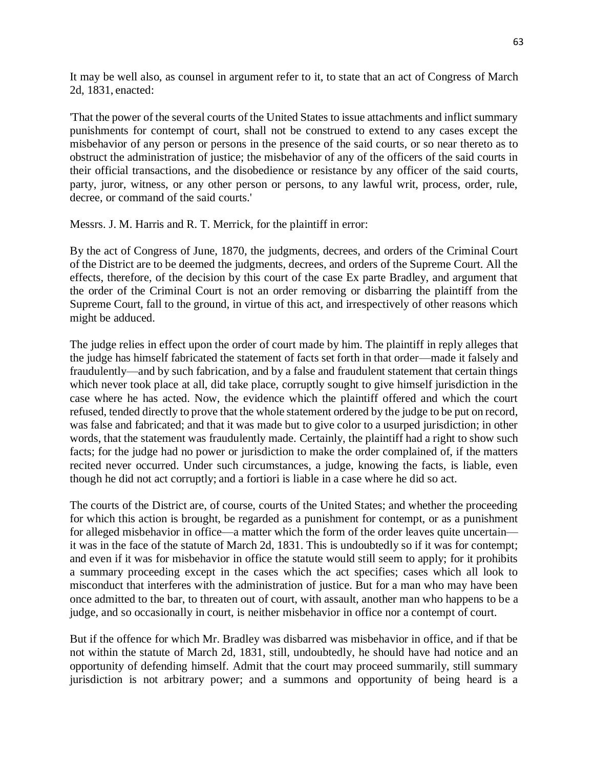It may be well also, as counsel in argument refer to it, to state that an act of Congress of March 2d, 1831, enacted:

'That the power of the several courts of the United States to issue attachments and inflict summary punishments for contempt of court, shall not be construed to extend to any cases except the misbehavior of any person or persons in the presence of the said courts, or so near thereto as to obstruct the administration of justice; the misbehavior of any of the officers of the said courts in their official transactions, and the disobedience or resistance by any officer of the said courts, party, juror, witness, or any other person or persons, to any lawful writ, process, order, rule, decree, or command of the said courts.'

Messrs. J. M. Harris and R. T. Merrick, for the plaintiff in error:

By the act of Congress of June, 1870, the judgments, decrees, and orders of the Criminal Court of the District are to be deemed the judgments, decrees, and orders of the Supreme Court. All the effects, therefore, of the decision by this court of the case Ex parte Bradley, and argument that the order of the Criminal Court is not an order removing or disbarring the plaintiff from the Supreme Court, fall to the ground, in virtue of this act, and irrespectively of other reasons which might be adduced.

The judge relies in effect upon the order of court made by him. The plaintiff in reply alleges that the judge has himself fabricated the statement of facts set forth in that order—made it falsely and fraudulently—and by such fabrication, and by a false and fraudulent statement that certain things which never took place at all, did take place, corruptly sought to give himself jurisdiction in the case where he has acted. Now, the evidence which the plaintiff offered and which the court refused, tended directly to prove that the whole statement ordered by the judge to be put on record, was false and fabricated; and that it was made but to give color to a usurped jurisdiction; in other words, that the statement was fraudulently made. Certainly, the plaintiff had a right to show such facts; for the judge had no power or jurisdiction to make the order complained of, if the matters recited never occurred. Under such circumstances, a judge, knowing the facts, is liable, even though he did not act corruptly; and a fortiori is liable in a case where he did so act.

The courts of the District are, of course, courts of the United States; and whether the proceeding for which this action is brought, be regarded as a punishment for contempt, or as a punishment for alleged misbehavior in office—a matter which the form of the order leaves quite uncertain it was in the face of the statute of March 2d, 1831. This is undoubtedly so if it was for contempt; and even if it was for misbehavior in office the statute would still seem to apply; for it prohibits a summary proceeding except in the cases which the act specifies; cases which all look to misconduct that interferes with the administration of justice. But for a man who may have been once admitted to the bar, to threaten out of court, with assault, another man who happens to be a judge, and so occasionally in court, is neither misbehavior in office nor a contempt of court.

But if the offence for which Mr. Bradley was disbarred was misbehavior in office, and if that be not within the statute of March 2d, 1831, still, undoubtedly, he should have had notice and an opportunity of defending himself. Admit that the court may proceed summarily, still summary jurisdiction is not arbitrary power; and a summons and opportunity of being heard is a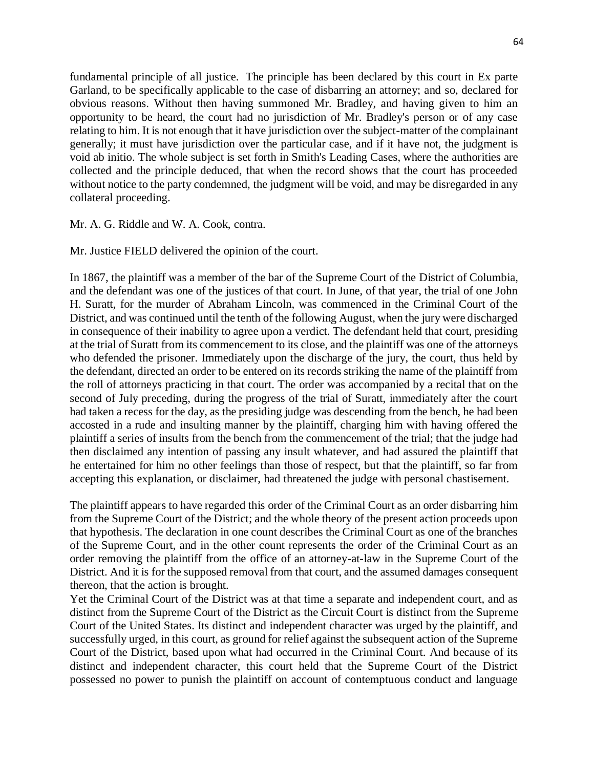fundamental principle of all justice. The principle has been declared by this court in Ex parte Garland, to be specifically applicable to the case of disbarring an attorney; and so, declared for obvious reasons. Without then having summoned Mr. Bradley, and having given to him an opportunity to be heard, the court had no jurisdiction of Mr. Bradley's person or of any case relating to him. It is not enough that it have jurisdiction over the subject-matter of the complainant generally; it must have jurisdiction over the particular case, and if it have not, the judgment is void ab initio. The whole subject is set forth in Smith's Leading Cases, where the authorities are collected and the principle deduced, that when the record shows that the court has proceeded without notice to the party condemned, the judgment will be void, and may be disregarded in any collateral proceeding.

Mr. A. G. Riddle and W. A. Cook, contra.

Mr. Justice FIELD delivered the opinion of the court.

In 1867, the plaintiff was a member of the bar of the Supreme Court of the District of Columbia, and the defendant was one of the justices of that court. In June, of that year, the trial of one John H. Suratt, for the murder of Abraham Lincoln, was commenced in the Criminal Court of the District, and was continued until the tenth of the following August, when the jury were discharged in consequence of their inability to agree upon a verdict. The defendant held that court, presiding at the trial of Suratt from its commencement to its close, and the plaintiff was one of the attorneys who defended the prisoner. Immediately upon the discharge of the jury, the court, thus held by the defendant, directed an order to be entered on its records striking the name of the plaintiff from the roll of attorneys practicing in that court. The order was accompanied by a recital that on the second of July preceding, during the progress of the trial of Suratt, immediately after the court had taken a recess for the day, as the presiding judge was descending from the bench, he had been accosted in a rude and insulting manner by the plaintiff, charging him with having offered the plaintiff a series of insults from the bench from the commencement of the trial; that the judge had then disclaimed any intention of passing any insult whatever, and had assured the plaintiff that he entertained for him no other feelings than those of respect, but that the plaintiff, so far from accepting this explanation, or disclaimer, had threatened the judge with personal chastisement.

The plaintiff appears to have regarded this order of the Criminal Court as an order disbarring him from the Supreme Court of the District; and the whole theory of the present action proceeds upon that hypothesis. The declaration in one count describes the Criminal Court as one of the branches of the Supreme Court, and in the other count represents the order of the Criminal Court as an order removing the plaintiff from the office of an attorney-at-law in the Supreme Court of the District. And it is for the supposed removal from that court, and the assumed damages consequent thereon, that the action is brought.

Yet the Criminal Court of the District was at that time a separate and independent court, and as distinct from the Supreme Court of the District as the Circuit Court is distinct from the Supreme Court of the United States. Its distinct and independent character was urged by the plaintiff, and successfully urged, in this court, as ground for relief against the subsequent action of the Supreme Court of the District, based upon what had occurred in the Criminal Court. And because of its distinct and independent character, this court held that the Supreme Court of the District possessed no power to punish the plaintiff on account of contemptuous conduct and language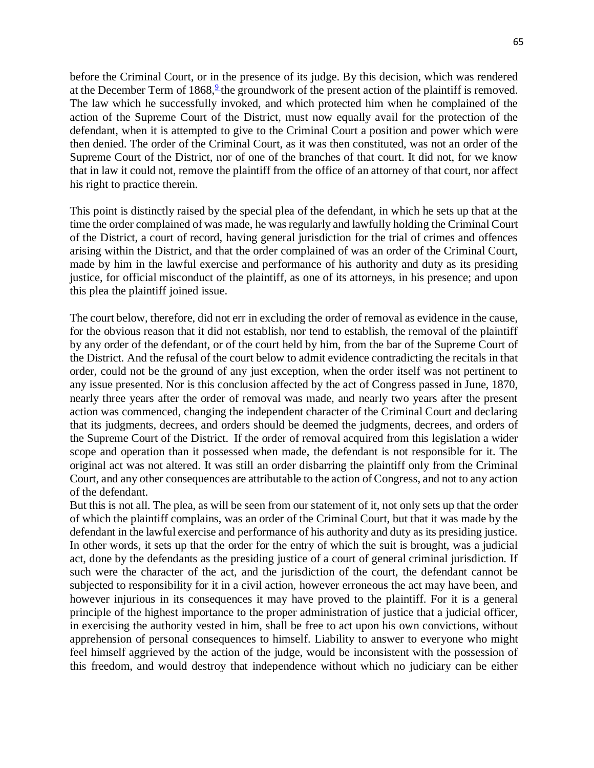before the Criminal Court, or in the presence of its judge. By this decision, which was rendered at the December Term of  $1868$ , <sup>[9](https://www.law.cornell.edu/supremecourt/text/80/335#fn9)</sup> the groundwork of the present action of the plaintiff is removed. The law which he successfully invoked, and which protected him when he complained of the action of the Supreme Court of the District, must now equally avail for the protection of the defendant, when it is attempted to give to the Criminal Court a position and power which were then denied. The order of the Criminal Court, as it was then constituted, was not an order of the Supreme Court of the District, nor of one of the branches of that court. It did not, for we know that in law it could not, remove the plaintiff from the office of an attorney of that court, nor affect his right to practice therein.

This point is distinctly raised by the special plea of the defendant, in which he sets up that at the time the order complained of was made, he was regularly and lawfully holding the Criminal Court of the District, a court of record, having general jurisdiction for the trial of crimes and offences arising within the District, and that the order complained of was an order of the Criminal Court, made by him in the lawful exercise and performance of his authority and duty as its presiding justice, for official misconduct of the plaintiff, as one of its attorneys, in his presence; and upon this plea the plaintiff joined issue.

The court below, therefore, did not err in excluding the order of removal as evidence in the cause, for the obvious reason that it did not establish, nor tend to establish, the removal of the plaintiff by any order of the defendant, or of the court held by him, from the bar of the Supreme Court of the District. And the refusal of the court below to admit evidence contradicting the recitals in that order, could not be the ground of any just exception, when the order itself was not pertinent to any issue presented. Nor is this conclusion affected by the act of Congress passed in June, 1870, nearly three years after the order of removal was made, and nearly two years after the present action was commenced, changing the independent character of the Criminal Court and declaring that its judgments, decrees, and orders should be deemed the judgments, decrees, and orders of the Supreme Court of the District. If the order of removal acquired from this legislation a wider scope and operation than it possessed when made, the defendant is not responsible for it. The original act was not altered. It was still an order disbarring the plaintiff only from the Criminal Court, and any other consequences are attributable to the action of Congress, and not to any action of the defendant.

But this is not all. The plea, as will be seen from our statement of it, not only sets up that the order of which the plaintiff complains, was an order of the Criminal Court, but that it was made by the defendant in the lawful exercise and performance of his authority and duty as its presiding justice. In other words, it sets up that the order for the entry of which the suit is brought, was a judicial act, done by the defendants as the presiding justice of a court of general criminal jurisdiction. If such were the character of the act, and the jurisdiction of the court, the defendant cannot be subjected to responsibility for it in a civil action, however erroneous the act may have been, and however injurious in its consequences it may have proved to the plaintiff. For it is a general principle of the highest importance to the proper administration of justice that a judicial officer, in exercising the authority vested in him, shall be free to act upon his own convictions, without apprehension of personal consequences to himself. Liability to answer to everyone who might feel himself aggrieved by the action of the judge, would be inconsistent with the possession of this freedom, and would destroy that independence without which no judiciary can be either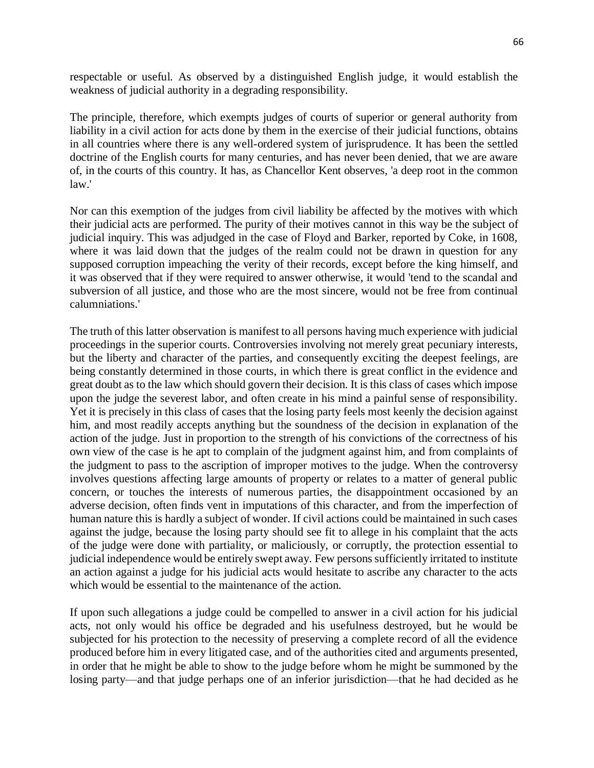respectable or useful. As observed by a distinguished English judge, it would establish the weakness of judicial authority in a degrading responsibility.

The principle, therefore, which exempts judges of courts of superior or general authority from liability in a civil action for acts done by them in the exercise of their judicial functions, obtains in all countries where there is any well-ordered system of jurisprudence. It has been the settled doctrine of the English courts for many centuries, and has never been denied, that we are aware of, in the courts of this country. It has, as Chancellor Kent observes, 'a deep root in the common law.'

Nor can this exemption of the judges from civil liability be affected by the motives with which their judicial acts are performed. The purity of their motives cannot in this way be the subject of judicial inquiry. This was adjudged in the case of Floyd and Barker, reported by Coke, in 1608, where it was laid down that the judges of the realm could not be drawn in question for any supposed corruption impeaching the verity of their records, except before the king himself, and it was observed that if they were required to answer otherwise, it would 'tend to the scandal and subversion of all justice, and those who are the most sincere, would not be free from continual calumniations.'

The truth of this latter observation is manifest to all persons having much experience with judicial proceedings in the superior courts. Controversies involving not merely great pecuniary interests, but the liberty and character of the parties, and consequently exciting the deepest feelings, are being constantly determined in those courts, in which there is great conflict in the evidence and great doubt as to the law which should govern their decision. It is this class of cases which impose upon the judge the severest labor, and often create in his mind a painful sense of responsibility. Yet it is precisely in this class of cases that the losing party feels most keenly the decision against him, and most readily accepts anything but the soundness of the decision in explanation of the action of the judge. Just in proportion to the strength of his convictions of the correctness of his own view of the case is he apt to complain of the judgment against him, and from complaints of the judgment to pass to the ascription of improper motives to the judge. When the controversy involves questions affecting large amounts of property or relates to a matter of general public concern, or touches the interests of numerous parties, the disappointment occasioned by an adverse decision, often finds vent in imputations of this character, and from the imperfection of human nature this is hardly a subject of wonder. If civil actions could be maintained in such cases against the judge, because the losing party should see fit to allege in his complaint that the acts of the judge were done with partiality, or maliciously, or corruptly, the protection essential to judicial independence would be entirely swept away. Few persons sufficiently irritated to institute an action against a judge for his judicial acts would hesitate to ascribe any character to the acts which would be essential to the maintenance of the action.

If upon such allegations a judge could be compelled to answer in a civil action for his judicial acts, not only would his office be degraded and his usefulness destroyed, but he would be subjected for his protection to the necessity of preserving a complete record of all the evidence produced before him in every litigated case, and of the authorities cited and arguments presented, in order that he might be able to show to the judge before whom he might be summoned by the losing party—and that judge perhaps one of an inferior jurisdiction—that he had decided as he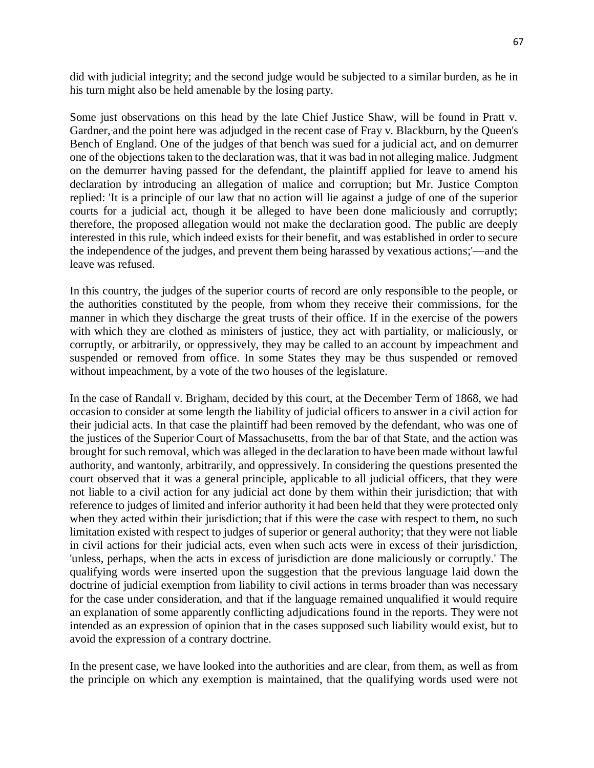did with judicial integrity; and the second judge would be subjected to a similar burden, as he in his turn might also be held amenable by the losing party.

Some just observations on this head by the late Chief Justice Shaw, will be found in Pratt v. Gardner, [a](https://www.law.cornell.edu/supremecourt/text/80/335#fn14)nd the point here was adjudged in the recent case of Fray v. Blackburn, by the Queen's Bench of England. One of the judges of that bench was sued for a judicial act, and on demurrer one of the objections taken to the declaration was, that it was bad in not alleging malice. Judgment on the demurrer having passed for the defendant, the plaintiff applied for leave to amend his declaration by introducing an allegation of malice and corruption; but Mr. Justice Compton replied: 'It is a principle of our law that no action will lie against a judge of one of the superior courts for a judicial act, though it be alleged to have been done maliciously and corruptly; therefore, the proposed allegation would not make the declaration good. The public are deeply interested in this rule, which indeed exists for their benefit, and was established in order to secure the independence of the judges, and prevent them being harassed by vexatious actions;'—and the leave was refused.

In this country, the judges of the superior courts of record are only responsible to the people, or the authorities constituted by the people, from whom they receive their commissions, for the manner in which they discharge the great trusts of their office. If in the exercise of the powers with which they are clothed as ministers of justice, they act with partiality, or maliciously, or corruptly, or arbitrarily, or oppressively, they may be called to an account by impeachment and suspended or removed from office. In some States they may be thus suspended or removed without impeachment, by a vote of the two houses of the legislature.

In the case of Randall v. Brigham, decided by this court, at the December Term of 1868, we had occasion to consider at some length the liability of judicial officers to answer in a civil action for their judicial acts. In that case the plaintiff had been removed by the defendant, who was one of the justices of the Superior Court of Massachusetts, from the bar of that State, and the action was brought for such removal, which was alleged in the declaration to have been made without lawful authority, and wantonly, arbitrarily, and oppressively. In considering the questions presented the court observed that it was a general principle, applicable to all judicial officers, that they were not liable to a civil action for any judicial act done by them within their jurisdiction; that with reference to judges of limited and inferior authority it had been held that they were protected only when they acted within their jurisdiction; that if this were the case with respect to them, no such limitation existed with respect to judges of superior or general authority; that they were not liable in civil actions for their judicial acts, even when such acts were in excess of their jurisdiction, 'unless, perhaps, when the acts in excess of jurisdiction are done maliciously or corruptly.' The qualifying words were inserted upon the suggestion that the previous language laid down the doctrine of judicial exemption from liability to civil actions in terms broader than was necessary for the case under consideration, and that if the language remained unqualified it would require an explanation of some apparently conflicting adjudications found in the reports. They were not intended as an expression of opinion that in the cases supposed such liability would exist, but to avoid the expression of a contrary doctrine.

In the present case, we have looked into the authorities and are clear, from them, as well as from the principle on which any exemption is maintained, that the qualifying words used were not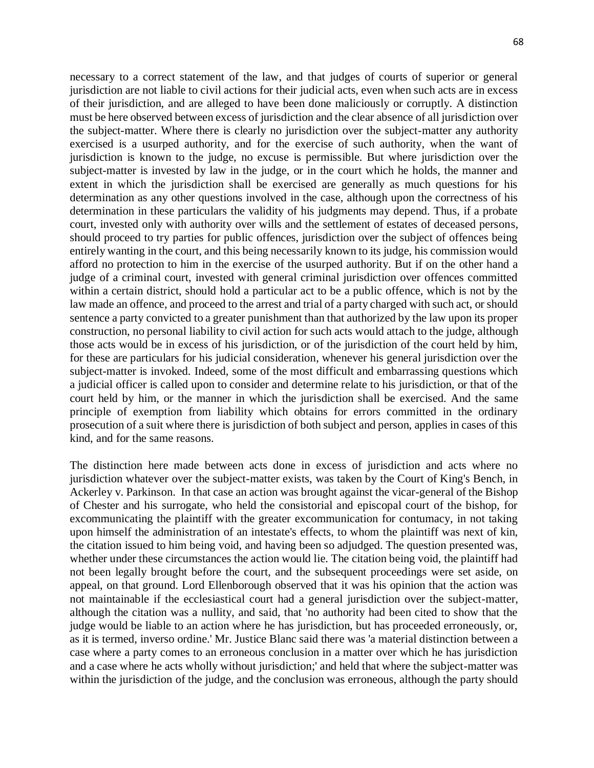necessary to a correct statement of the law, and that judges of courts of superior or general jurisdiction are not liable to civil actions for their judicial acts, even when such acts are in excess of their jurisdiction, and are alleged to have been done maliciously or corruptly. A distinction must be here observed between excess of jurisdiction and the clear absence of all jurisdiction over the subject-matter. Where there is clearly no jurisdiction over the subject-matter any authority exercised is a usurped authority, and for the exercise of such authority, when the want of jurisdiction is known to the judge, no excuse is permissible. But where jurisdiction over the subject-matter is invested by law in the judge, or in the court which he holds, the manner and extent in which the jurisdiction shall be exercised are generally as much questions for his determination as any other questions involved in the case, although upon the correctness of his determination in these particulars the validity of his judgments may depend. Thus, if a probate court, invested only with authority over wills and the settlement of estates of deceased persons, should proceed to try parties for public offences, jurisdiction over the subject of offences being entirely wanting in the court, and this being necessarily known to its judge, his commission would afford no protection to him in the exercise of the usurped authority. But if on the other hand a judge of a criminal court, invested with general criminal jurisdiction over offences committed within a certain district, should hold a particular act to be a public offence, which is not by the law made an offence, and proceed to the arrest and trial of a party charged with such act, or should sentence a party convicted to a greater punishment than that authorized by the law upon its proper construction, no personal liability to civil action for such acts would attach to the judge, although those acts would be in excess of his jurisdiction, or of the jurisdiction of the court held by him, for these are particulars for his judicial consideration, whenever his general jurisdiction over the subject-matter is invoked. Indeed, some of the most difficult and embarrassing questions which a judicial officer is called upon to consider and determine relate to his jurisdiction, or that of the court held by him, or the manner in which the jurisdiction shall be exercised. And the same principle of exemption from liability which obtains for errors committed in the ordinary prosecution of a suit where there is jurisdiction of both subject and person, applies in cases of this kind, and for the same reasons.

The distinction here made between acts done in excess of jurisdiction and acts where no jurisdiction whatever over the subject-matter exists, was taken by the Court of King's Bench, in Ackerley v. Parkinson. In that case an action was brought against the vicar-general of the Bishop of Chester and his surrogate, who held the consistorial and episcopal court of the bishop, for excommunicating the plaintiff with the greater excommunication for contumacy, in not taking upon himself the administration of an intestate's effects, to whom the plaintiff was next of kin, the citation issued to him being void, and having been so adjudged. The question presented was, whether under these circumstances the action would lie. The citation being void, the plaintiff had not been legally brought before the court, and the subsequent proceedings were set aside, on appeal, on that ground. Lord Ellenborough observed that it was his opinion that the action was not maintainable if the ecclesiastical court had a general jurisdiction over the subject-matter, although the citation was a nullity, and said, that 'no authority had been cited to show that the judge would be liable to an action where he has jurisdiction, but has proceeded erroneously, or, as it is termed, inverso ordine.' Mr. Justice Blanc said there was 'a material distinction between a case where a party comes to an erroneous conclusion in a matter over which he has jurisdiction and a case where he acts wholly without jurisdiction;' and held that where the subject-matter was within the jurisdiction of the judge, and the conclusion was erroneous, although the party should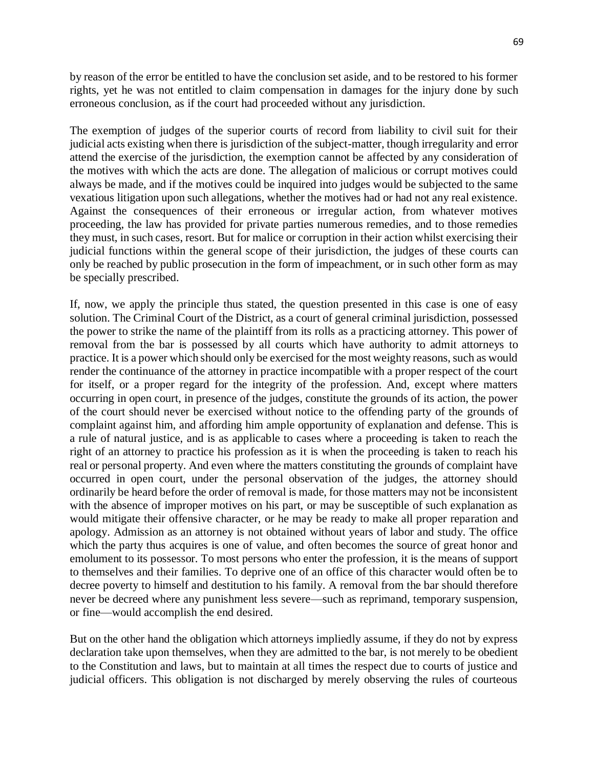by reason of the error be entitled to have the conclusion set aside, and to be restored to his former rights, yet he was not entitled to claim compensation in damages for the injury done by such erroneous conclusion, as if the court had proceeded without any jurisdiction.

The exemption of judges of the superior courts of record from liability to civil suit for their judicial acts existing when there is jurisdiction of the subject-matter, though irregularity and error attend the exercise of the jurisdiction, the exemption cannot be affected by any consideration of the motives with which the acts are done. The allegation of malicious or corrupt motives could always be made, and if the motives could be inquired into judges would be subjected to the same vexatious litigation upon such allegations, whether the motives had or had not any real existence. Against the consequences of their erroneous or irregular action, from whatever motives proceeding, the law has provided for private parties numerous remedies, and to those remedies they must, in such cases, resort. But for malice or corruption in their action whilst exercising their judicial functions within the general scope of their jurisdiction, the judges of these courts can only be reached by public prosecution in the form of impeachment, or in such other form as may be specially prescribed.

If, now, we apply the principle thus stated, the question presented in this case is one of easy solution. The Criminal Court of the District, as a court of general criminal jurisdiction, possessed the power to strike the name of the plaintiff from its rolls as a practicing attorney. This power of removal from the bar is possessed by all courts which have authority to admit attorneys to practice. It is a power which should only be exercised for the most weighty reasons, such as would render the continuance of the attorney in practice incompatible with a proper respect of the court for itself, or a proper regard for the integrity of the profession. And, except where matters occurring in open court, in presence of the judges, constitute the grounds of its action, the power of the court should never be exercised without notice to the offending party of the grounds of complaint against him, and affording him ample opportunity of explanation and defense. This is a rule of natural justice, and is as applicable to cases where a proceeding is taken to reach the right of an attorney to practice his profession as it is when the proceeding is taken to reach his real or personal property. And even where the matters constituting the grounds of complaint have occurred in open court, under the personal observation of the judges, the attorney should ordinarily be heard before the order of removal is made, for those matters may not be inconsistent with the absence of improper motives on his part, or may be susceptible of such explanation as would mitigate their offensive character, or he may be ready to make all proper reparation and apology. Admission as an attorney is not obtained without years of labor and study. The office which the party thus acquires is one of value, and often becomes the source of great honor and emolument to its possessor. To most persons who enter the profession, it is the means of support to themselves and their families. To deprive one of an office of this character would often be to decree poverty to himself and destitution to his family. A removal from the bar should therefore never be decreed where any punishment less severe—such as reprimand, temporary suspension, or fine—would accomplish the end desired.

But on the other hand the obligation which attorneys impliedly assume, if they do not by express declaration take upon themselves, when they are admitted to the bar, is not merely to be obedient to the Constitution and laws, but to maintain at all times the respect due to courts of justice and judicial officers. This obligation is not discharged by merely observing the rules of courteous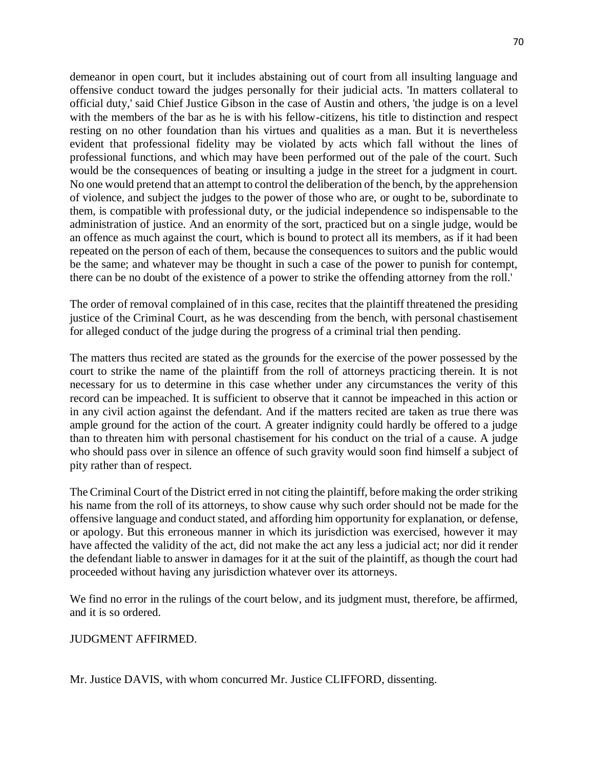demeanor in open court, but it includes abstaining out of court from all insulting language and offensive conduct toward the judges personally for their judicial acts. 'In matters collateral to official duty,' said Chief Justice Gibson in the case of Austin and others, 'the judge is on a level with the members of the bar as he is with his fellow-citizens, his title to distinction and respect resting on no other foundation than his virtues and qualities as a man. But it is nevertheless evident that professional fidelity may be violated by acts which fall without the lines of professional functions, and which may have been performed out of the pale of the court. Such would be the consequences of beating or insulting a judge in the street for a judgment in court. No one would pretend that an attempt to control the deliberation of the bench, by the apprehension of violence, and subject the judges to the power of those who are, or ought to be, subordinate to them, is compatible with professional duty, or the judicial independence so indispensable to the administration of justice. And an enormity of the sort, practiced but on a single judge, would be an offence as much against the court, which is bound to protect all its members, as if it had been repeated on the person of each of them, because the consequences to suitors and the public would be the same; and whatever may be thought in such a case of the power to punish for contempt, there can be no doubt of the existence of a power to strike the offending attorney from the roll.'

The order of removal complained of in this case, recites that the plaintiff threatened the presiding justice of the Criminal Court, as he was descending from the bench, with personal chastisement for alleged conduct of the judge during the progress of a criminal trial then pending.

The matters thus recited are stated as the grounds for the exercise of the power possessed by the court to strike the name of the plaintiff from the roll of attorneys practicing therein. It is not necessary for us to determine in this case whether under any circumstances the verity of this record can be impeached. It is sufficient to observe that it cannot be impeached in this action or in any civil action against the defendant. And if the matters recited are taken as true there was ample ground for the action of the court. A greater indignity could hardly be offered to a judge than to threaten him with personal chastisement for his conduct on the trial of a cause. A judge who should pass over in silence an offence of such gravity would soon find himself a subject of pity rather than of respect.

The Criminal Court of the District erred in not citing the plaintiff, before making the order striking his name from the roll of its attorneys, to show cause why such order should not be made for the offensive language and conduct stated, and affording him opportunity for explanation, or defense, or apology. But this erroneous manner in which its jurisdiction was exercised, however it may have affected the validity of the act, did not make the act any less a judicial act; nor did it render the defendant liable to answer in damages for it at the suit of the plaintiff, as though the court had proceeded without having any jurisdiction whatever over its attorneys.

We find no error in the rulings of the court below, and its judgment must, therefore, be affirmed, and it is so ordered.

## JUDGMENT AFFIRMED.

Mr. Justice DAVIS, with whom concurred Mr. Justice CLIFFORD, dissenting.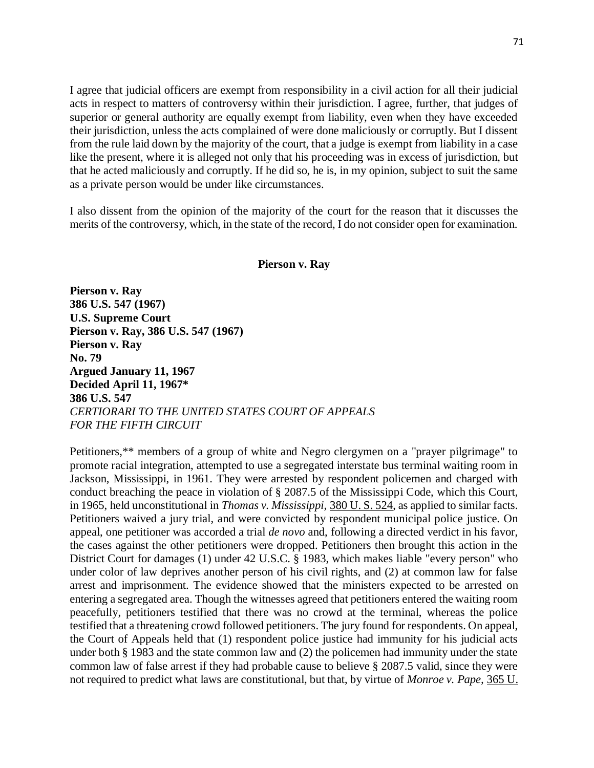I agree that judicial officers are exempt from responsibility in a civil action for all their judicial acts in respect to matters of controversy within their jurisdiction. I agree, further, that judges of superior or general authority are equally exempt from liability, even when they have exceeded their jurisdiction, unless the acts complained of were done maliciously or corruptly. But I dissent from the rule laid down by the majority of the court, that a judge is exempt from liability in a case like the present, where it is alleged not only that his proceeding was in excess of jurisdiction, but that he acted maliciously and corruptly. If he did so, he is, in my opinion, subject to suit the same as a private person would be under like circumstances.

I also dissent from the opinion of the majority of the court for the reason that it discusses the merits of the controversy, which, in the state of the record, I do not consider open for examination.

### **Pierson v. Ray**

**Pierson v. Ray 386 U.S. 547 (1967) U.S. Supreme Court Pierson v. Ray, 386 U.S. 547 (1967) Pierson v. Ray No. 79 Argued January 11, 1967 Decided April 11, 1967\* 386 U.S. 547** *CERTIORARI TO THE UNITED STATES COURT OF APPEALS FOR THE FIFTH CIRCUIT*

Petitioners,\*\* members of a group of white and Negro clergymen on a "prayer pilgrimage" to promote racial integration, attempted to use a segregated interstate bus terminal waiting room in Jackson, Mississippi, in 1961. They were arrested by respondent policemen and charged with conduct breaching the peace in violation of § 2087.5 of the Mississippi Code, which this Court, in 1965, held unconstitutional in *Thomas v. Mississippi,* [380 U. S. 524,](https://supreme.justia.com/cases/federal/us/380/524/case.html) as applied to similar facts. Petitioners waived a jury trial, and were convicted by respondent municipal police justice. On appeal, one petitioner was accorded a trial *de novo* and, following a directed verdict in his favor, the cases against the other petitioners were dropped. Petitioners then brought this action in the District Court for damages (1) under 42 U.S.C. § 1983, which makes liable "every person" who under color of law deprives another person of his civil rights, and (2) at common law for false arrest and imprisonment. The evidence showed that the ministers expected to be arrested on entering a segregated area. Though the witnesses agreed that petitioners entered the waiting room peacefully, petitioners testified that there was no crowd at the terminal, whereas the police testified that a threatening crowd followed petitioners. The jury found for respondents. On appeal, the Court of Appeals held that (1) respondent police justice had immunity for his judicial acts under both § 1983 and the state common law and (2) the policemen had immunity under the state common law of false arrest if they had probable cause to believe § 2087.5 valid, since they were not required to predict what laws are constitutional, but that, by virtue of *Monroe v. Pape,* [365 U.](https://supreme.justia.com/cases/federal/us/365/167/case.html)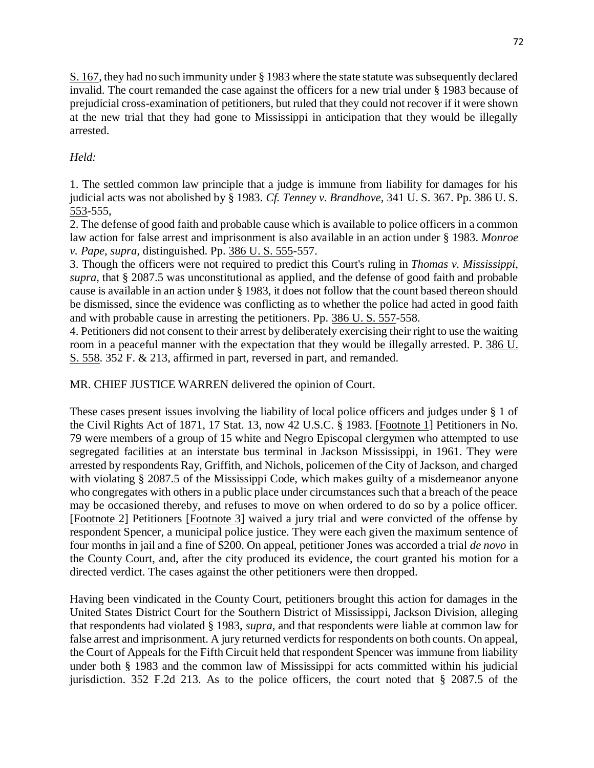[S. 167,](https://supreme.justia.com/cases/federal/us/365/167/case.html) they had no such immunity under § 1983 where the state statute was subsequently declared invalid. The court remanded the case against the officers for a new trial under § 1983 because of prejudicial cross-examination of petitioners, but ruled that they could not recover if it were shown at the new trial that they had gone to Mississippi in anticipation that they would be illegally arrested.

# *Held:*

1. The settled common law principle that a judge is immune from liability for damages for his judicial acts was not abolished by § 1983. *Cf. Tenney v. Brandhove,* [341 U. S. 367.](https://supreme.justia.com/cases/federal/us/341/367/case.html) Pp. [386 U. S.](https://supreme.justia.com/cases/federal/us/386/547/case.html#553)  [553-](https://supreme.justia.com/cases/federal/us/386/547/case.html#553)555,

2. The defense of good faith and probable cause which is available to police officers in a common law action for false arrest and imprisonment is also available in an action under § 1983. *Monroe v. Pape, supra,* distinguished. Pp. [386 U. S. 555-](https://supreme.justia.com/cases/federal/us/386/547/case.html#555)557.

3. Though the officers were not required to predict this Court's ruling in *Thomas v. Mississippi, supra,* that § 2087.5 was unconstitutional as applied, and the defense of good faith and probable cause is available in an action under § 1983, it does not follow that the count based thereon should be dismissed, since the evidence was conflicting as to whether the police had acted in good faith and with probable cause in arresting the petitioners. Pp. [386 U. S. 557-](https://supreme.justia.com/cases/federal/us/386/547/case.html#557)558.

4. Petitioners did not consent to their arrest by deliberately exercising their right to use the waiting room in a peaceful manner with the expectation that they would be illegally arrested. P. [386](https://supreme.justia.com/cases/federal/us/386/547/case.html#558) U. [S. 558.](https://supreme.justia.com/cases/federal/us/386/547/case.html#558) 352 F. & 213, affirmed in part, reversed in part, and remanded.

MR. CHIEF JUSTICE WARREN delivered the opinion of Court.

These cases present issues involving the liability of local police officers and judges under § 1 of the Civil Rights Act of 1871, 17 Stat. 13, now 42 U.S.C. § 1983. [\[Footnote 1\]](https://supreme.justia.com/cases/federal/us/386/547/case.html#F1) Petitioners in No. 79 were members of a group of 15 white and Negro Episcopal clergymen who attempted to use segregated facilities at an interstate bus terminal in Jackson Mississippi, in 1961. They were arrested by respondents Ray, Griffith, and Nichols, policemen of the City of Jackson, and charged with violating § 2087.5 of the Mississippi Code, which makes guilty of a misdemeanor anyone who congregates with others in a public place under circumstances such that a breach of the peace may be occasioned thereby, and refuses to move on when ordered to do so by a police officer. [\[Footnote 2\]](https://supreme.justia.com/cases/federal/us/386/547/case.html#F2) Petitioners [\[Footnote 3\]](https://supreme.justia.com/cases/federal/us/386/547/case.html#F3) waived a jury trial and were convicted of the offense by respondent Spencer, a municipal police justice. They were each given the maximum sentence of four months in jail and a fine of \$200. On appeal, petitioner Jones was accorded a trial *de novo* in the County Court, and, after the city produced its evidence, the court granted his motion for a directed verdict. The cases against the other petitioners were then dropped.

Having been vindicated in the County Court, petitioners brought this action for damages in the United States District Court for the Southern District of Mississippi, Jackson Division, alleging that respondents had violated § 1983, *supra,* and that respondents were liable at common law for false arrest and imprisonment. A jury returned verdicts for respondents on both counts. On appeal, the Court of Appeals for the Fifth Circuit held that respondent Spencer was immune from liability under both § 1983 and the common law of Mississippi for acts committed within his judicial jurisdiction. 352 F.2d 213. As to the police officers, the court noted that § 2087.5 of the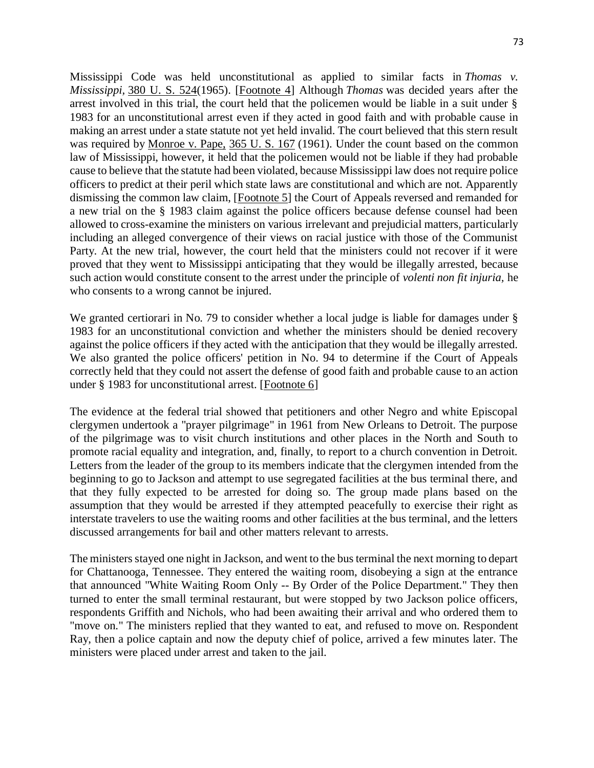Mississippi Code was held unconstitutional as applied to similar facts in *Thomas v. Mississippi,* [380 U. S. 524\(](https://supreme.justia.com/cases/federal/us/380/524/case.html)1965). [\[Footnote 4\]](https://supreme.justia.com/cases/federal/us/386/547/case.html#F4) Although *Thomas* was decided years after the arrest involved in this trial, the court held that the policemen would be liable in a suit under § 1983 for an unconstitutional arrest even if they acted in good faith and with probable cause in making an arrest under a state statute not yet held invalid. The court believed that this stern result was required by <u>[Monroe v. Pape,](https://supreme.justia.com/cases/federal/us/365/167/case.html) [365 U. S. 167](https://supreme.justia.com/cases/federal/us/365/167/case.html)</u> (1961). Under the count based on the common law of Mississippi, however, it held that the policemen would not be liable if they had probable cause to believe that the statute had been violated, because Mississippi law does not require police officers to predict at their peril which state laws are constitutional and which are not. Apparently dismissing the common law claim, [\[Footnote 5\]](https://supreme.justia.com/cases/federal/us/386/547/case.html#F5) the Court of Appeals reversed and remanded for a new trial on the § 1983 claim against the police officers because defense counsel had been allowed to cross-examine the ministers on various irrelevant and prejudicial matters, particularly including an alleged convergence of their views on racial justice with those of the Communist Party. At the new trial, however, the court held that the ministers could not recover if it were proved that they went to Mississippi anticipating that they would be illegally arrested, because such action would constitute consent to the arrest under the principle of *volenti non fit injuria,* he who consents to a wrong cannot be injured.

We granted certiorari in No. 79 to consider whether a local judge is liable for damages under § 1983 for an unconstitutional conviction and whether the ministers should be denied recovery against the police officers if they acted with the anticipation that they would be illegally arrested. We also granted the police officers' petition in No. 94 to determine if the Court of Appeals correctly held that they could not assert the defense of good faith and probable cause to an action under § 1983 for unconstitutional arrest. [\[Footnote 6\]](https://supreme.justia.com/cases/federal/us/386/547/case.html#F6)

The evidence at the federal trial showed that petitioners and other Negro and white Episcopal clergymen undertook a "prayer pilgrimage" in 1961 from New Orleans to Detroit. The purpose of the pilgrimage was to visit church institutions and other places in the North and South to promote racial equality and integration, and, finally, to report to a church convention in Detroit. Letters from the leader of the group to its members indicate that the clergymen intended from the beginning to go to Jackson and attempt to use segregated facilities at the bus terminal there, and that they fully expected to be arrested for doing so. The group made plans based on the assumption that they would be arrested if they attempted peacefully to exercise their right as interstate travelers to use the waiting rooms and other facilities at the bus terminal, and the letters discussed arrangements for bail and other matters relevant to arrests.

The ministers stayed one night in Jackson, and went to the bus terminal the next morning to depart for Chattanooga, Tennessee. They entered the waiting room, disobeying a sign at the entrance that announced "White Waiting Room Only -- By Order of the Police Department." They then turned to enter the small terminal restaurant, but were stopped by two Jackson police officers, respondents Griffith and Nichols, who had been awaiting their arrival and who ordered them to "move on." The ministers replied that they wanted to eat, and refused to move on. Respondent Ray, then a police captain and now the deputy chief of police, arrived a few minutes later. The ministers were placed under arrest and taken to the jail.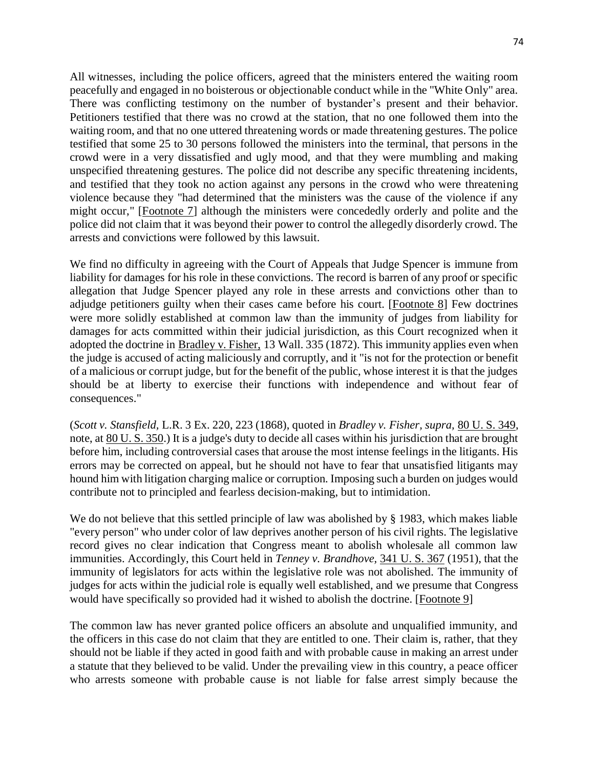All witnesses, including the police officers, agreed that the ministers entered the waiting room peacefully and engaged in no boisterous or objectionable conduct while in the "White Only" area. There was conflicting testimony on the number of bystander's present and their behavior. Petitioners testified that there was no crowd at the station, that no one followed them into the waiting room, and that no one uttered threatening words or made threatening gestures. The police testified that some 25 to 30 persons followed the ministers into the terminal, that persons in the crowd were in a very dissatisfied and ugly mood, and that they were mumbling and making unspecified threatening gestures. The police did not describe any specific threatening incidents, and testified that they took no action against any persons in the crowd who were threatening violence because they "had determined that the ministers was the cause of the violence if any might occur," [\[Footnote 7\]](https://supreme.justia.com/cases/federal/us/386/547/case.html#F7) although the ministers were concededly orderly and polite and the police did not claim that it was beyond their power to control the allegedly disorderly crowd. The arrests and convictions were followed by this lawsuit.

We find no difficulty in agreeing with the Court of Appeals that Judge Spencer is immune from liability for damages for his role in these convictions. The record is barren of any proof or specific allegation that Judge Spencer played any role in these arrests and convictions other than to adjudge petitioners guilty when their cases came before his court. [\[Footnote 8\]](https://supreme.justia.com/cases/federal/us/386/547/case.html#F8) Few doctrines were more solidly established at common law than the immunity of judges from liability for damages for acts committed within their judicial jurisdiction, as this Court recognized when it adopted the doctrine in [Bradley v. Fisher,](https://supreme.justia.com/cases/federal/us/80/335/case.html) 13 Wall. 335 (1872). This immunity applies even when the judge is accused of acting maliciously and corruptly, and it "is not for the protection or benefit of a malicious or corrupt judge, but for the benefit of the public, whose interest it is that the judges should be at liberty to exercise their functions with independence and without fear of consequences."

(*Scott v. Stansfield,* L.R. 3 Ex. 220, 223 (1868), quoted in *Bradley v. Fisher, supra,* [80 U. S. 349,](https://supreme.justia.com/cases/federal/us/80/335/case.html#349) note, at [80 U. S. 350.](https://supreme.justia.com/cases/federal/us/80/335/case.html#350)) It is a judge's duty to decide all cases within his jurisdiction that are brought before him, including controversial cases that arouse the most intense feelings in the litigants. His errors may be corrected on appeal, but he should not have to fear that unsatisfied litigants may hound him with litigation charging malice or corruption. Imposing such a burden on judges would contribute not to principled and fearless decision-making, but to intimidation.

We do not believe that this settled principle of law was abolished by § 1983, which makes liable "every person" who under color of law deprives another person of his civil rights. The legislative record gives no clear indication that Congress meant to abolish wholesale all common law immunities. Accordingly, this Court held in *Tenney v. Brandhove,* [341 U. S. 367](https://supreme.justia.com/cases/federal/us/341/367/case.html) (1951), that the immunity of legislators for acts within the legislative role was not abolished. The immunity of judges for acts within the judicial role is equally well established, and we presume that Congress would have specifically so provided had it wished to abolish the doctrine. [\[Footnote 9\]](https://supreme.justia.com/cases/federal/us/386/547/case.html#F9)

The common law has never granted police officers an absolute and unqualified immunity, and the officers in this case do not claim that they are entitled to one. Their claim is, rather, that they should not be liable if they acted in good faith and with probable cause in making an arrest under a statute that they believed to be valid. Under the prevailing view in this country, a peace officer who arrests someone with probable cause is not liable for false arrest simply because the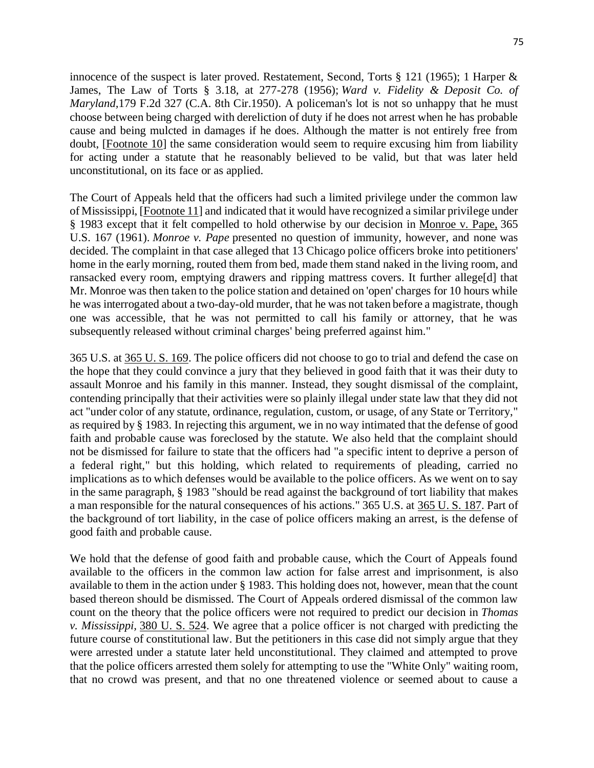innocence of the suspect is later proved. Restatement, Second, Torts § 121 (1965); 1 Harper & James, The Law of Torts § 3.18, at 277-278 (1956); *Ward v. Fidelity & Deposit Co. of Maryland,*179 F.2d 327 (C.A. 8th Cir.1950). A policeman's lot is not so unhappy that he must choose between being charged with dereliction of duty if he does not arrest when he has probable cause and being mulcted in damages if he does. Although the matter is not entirely free from doubt, [\[Footnote 10\]](https://supreme.justia.com/cases/federal/us/386/547/case.html#F10) the same consideration would seem to require excusing him from liability for acting under a statute that he reasonably believed to be valid, but that was later held unconstitutional, on its face or as applied.

The Court of Appeals held that the officers had such a limited privilege under the common law of Mississippi, [\[Footnote 11\]](https://supreme.justia.com/cases/federal/us/386/547/case.html#F11) and indicated that it would have recognized a similar privilege under § 1983 except that it felt compelled to hold otherwise by our decision in [Monroe v. Pape,](https://supreme.justia.com/cases/federal/us/365/167/case.html) 365 U.S. 167 (1961). *Monroe v. Pape* presented no question of immunity, however, and none was decided. The complaint in that case alleged that 13 Chicago police officers broke into petitioners' home in the early morning, routed them from bed, made them stand naked in the living room, and ransacked every room, emptying drawers and ripping mattress covers. It further allege[d] that Mr. Monroe was then taken to the police station and detained on 'open' charges for 10 hours while he was interrogated about a two-day-old murder, that he was not taken before a magistrate, though one was accessible, that he was not permitted to call his family or attorney, that he was subsequently released without criminal charges' being preferred against him."

365 U.S. at [365 U. S. 169.](https://supreme.justia.com/cases/federal/us/365/167/case.html#169) The police officers did not choose to go to trial and defend the case on the hope that they could convince a jury that they believed in good faith that it was their duty to assault Monroe and his family in this manner. Instead, they sought dismissal of the complaint, contending principally that their activities were so plainly illegal under state law that they did not act "under color of any statute, ordinance, regulation, custom, or usage, of any State or Territory," as required by § 1983. In rejecting this argument, we in no way intimated that the defense of good faith and probable cause was foreclosed by the statute. We also held that the complaint should not be dismissed for failure to state that the officers had "a specific intent to deprive a person of a federal right," but this holding, which related to requirements of pleading, carried no implications as to which defenses would be available to the police officers. As we went on to say in the same paragraph, § 1983 "should be read against the background of tort liability that makes a man responsible for the natural consequences of his actions." 365 U.S. at [365 U. S. 187.](https://supreme.justia.com/cases/federal/us/365/167/case.html#187) Part of the background of tort liability, in the case of police officers making an arrest, is the defense of good faith and probable cause.

We hold that the defense of good faith and probable cause, which the Court of Appeals found available to the officers in the common law action for false arrest and imprisonment, is also available to them in the action under § 1983. This holding does not, however, mean that the count based thereon should be dismissed. The Court of Appeals ordered dismissal of the common law count on the theory that the police officers were not required to predict our decision in *Thomas v. Mississippi,* [380 U. S. 524.](https://supreme.justia.com/cases/federal/us/380/524/case.html) We agree that a police officer is not charged with predicting the future course of constitutional law. But the petitioners in this case did not simply argue that they were arrested under a statute later held unconstitutional. They claimed and attempted to prove that the police officers arrested them solely for attempting to use the "White Only" waiting room, that no crowd was present, and that no one threatened violence or seemed about to cause a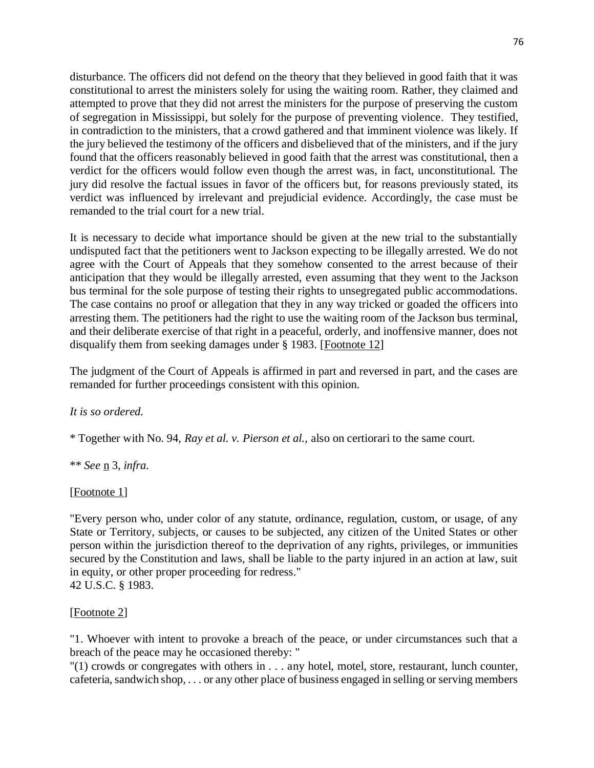disturbance. The officers did not defend on the theory that they believed in good faith that it was constitutional to arrest the ministers solely for using the waiting room. Rather, they claimed and attempted to prove that they did not arrest the ministers for the purpose of preserving the custom of segregation in Mississippi, but solely for the purpose of preventing violence. They testified, in contradiction to the ministers, that a crowd gathered and that imminent violence was likely. If the jury believed the testimony of the officers and disbelieved that of the ministers, and if the jury found that the officers reasonably believed in good faith that the arrest was constitutional, then a verdict for the officers would follow even though the arrest was, in fact, unconstitutional. The jury did resolve the factual issues in favor of the officers but, for reasons previously stated, its verdict was influenced by irrelevant and prejudicial evidence. Accordingly, the case must be remanded to the trial court for a new trial.

It is necessary to decide what importance should be given at the new trial to the substantially undisputed fact that the petitioners went to Jackson expecting to be illegally arrested. We do not agree with the Court of Appeals that they somehow consented to the arrest because of their anticipation that they would be illegally arrested, even assuming that they went to the Jackson bus terminal for the sole purpose of testing their rights to unsegregated public accommodations. The case contains no proof or allegation that they in any way tricked or goaded the officers into arresting them. The petitioners had the right to use the waiting room of the Jackson bus terminal, and their deliberate exercise of that right in a peaceful, orderly, and inoffensive manner, does not disqualify them from seeking damages under § 1983. [\[Footnote 12\]](https://supreme.justia.com/cases/federal/us/386/547/case.html#F12)

The judgment of the Court of Appeals is affirmed in part and reversed in part, and the cases are remanded for further proceedings consistent with this opinion.

#### *It is so ordered.*

\* Together with No. 94, *Ray et al. v. Pierson et al.,* also on certiorari to the same court.

\*\* *See* [n](https://supreme.justia.com/cases/federal/us/386/547/case.html#F3) 3, *infra.*

#### [\[Footnote 1\]](https://supreme.justia.com/cases/federal/us/386/547/case.html#T1)

"Every person who, under color of any statute, ordinance, regulation, custom, or usage, of any State or Territory, subjects, or causes to be subjected, any citizen of the United States or other person within the jurisdiction thereof to the deprivation of any rights, privileges, or immunities secured by the Constitution and laws, shall be liable to the party injured in an action at law, suit in equity, or other proper proceeding for redress." 42 U.S.C. § 1983.

#### [\[Footnote 2\]](https://supreme.justia.com/cases/federal/us/386/547/case.html#T2)

"1. Whoever with intent to provoke a breach of the peace, or under circumstances such that a breach of the peace may he occasioned thereby: "

 $''(1)$  crowds or congregates with others in  $\dots$  any hotel, motel, store, restaurant, lunch counter, cafeteria, sandwich shop, . . . or any other place of business engaged in selling or serving members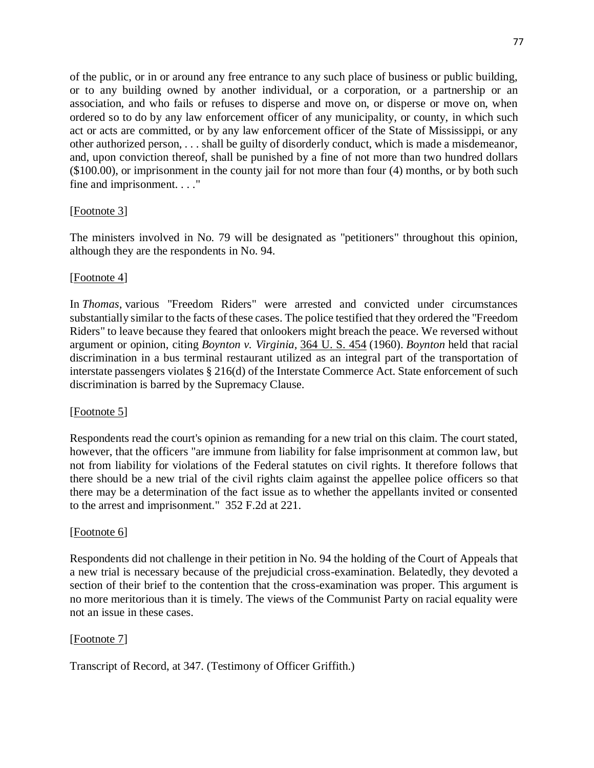of the public, or in or around any free entrance to any such place of business or public building, or to any building owned by another individual, or a corporation, or a partnership or an association, and who fails or refuses to disperse and move on, or disperse or move on, when ordered so to do by any law enforcement officer of any municipality, or county, in which such act or acts are committed, or by any law enforcement officer of the State of Mississippi, or any other authorized person, . . . shall be guilty of disorderly conduct, which is made a misdemeanor, and, upon conviction thereof, shall be punished by a fine of not more than two hundred dollars (\$100.00), or imprisonment in the county jail for not more than four (4) months, or by both such fine and imprisonment. . . ."

## [\[Footnote 3\]](https://supreme.justia.com/cases/federal/us/386/547/case.html#T3)

The ministers involved in No. 79 will be designated as "petitioners" throughout this opinion, although they are the respondents in No. 94.

## [\[Footnote 4\]](https://supreme.justia.com/cases/federal/us/386/547/case.html#T4)

In *Thomas,* various "Freedom Riders" were arrested and convicted under circumstances substantially similar to the facts of these cases. The police testified that they ordered the "Freedom Riders" to leave because they feared that onlookers might breach the peace. We reversed without argument or opinion, citing *Boynton v. Virginia,* 364 [U. S. 454](https://supreme.justia.com/cases/federal/us/364/454/case.html) (1960). *Boynton* held that racial discrimination in a bus terminal restaurant utilized as an integral part of the transportation of interstate passengers violates § 216(d) of the Interstate Commerce Act. State enforcement of such discrimination is barred by the Supremacy Clause.

# [\[Footnote 5\]](https://supreme.justia.com/cases/federal/us/386/547/case.html#T5)

Respondents read the court's opinion as remanding for a new trial on this claim. The court stated, however, that the officers "are immune from liability for false imprisonment at common law, but not from liability for violations of the Federal statutes on civil rights. It therefore follows that there should be a new trial of the civil rights claim against the appellee police officers so that there may be a determination of the fact issue as to whether the appellants invited or consented to the arrest and imprisonment." 352 F.2d at 221.

#### [\[Footnote 6\]](https://supreme.justia.com/cases/federal/us/386/547/case.html#T6)

Respondents did not challenge in their petition in No. 94 the holding of the Court of Appeals that a new trial is necessary because of the prejudicial cross-examination. Belatedly, they devoted a section of their brief to the contention that the cross-examination was proper. This argument is no more meritorious than it is timely. The views of the Communist Party on racial equality were not an issue in these cases.

#### [\[Footnote 7\]](https://supreme.justia.com/cases/federal/us/386/547/case.html#T7)

Transcript of Record, at 347. (Testimony of Officer Griffith.)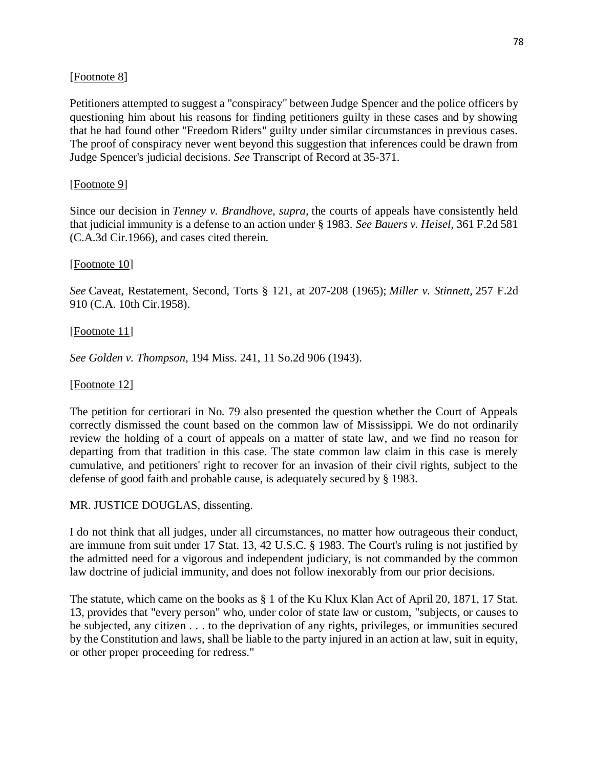#### [\[Footnote 8\]](https://supreme.justia.com/cases/federal/us/386/547/case.html#T8)

Petitioners attempted to suggest a "conspiracy" between Judge Spencer and the police officers by questioning him about his reasons for finding petitioners guilty in these cases and by showing that he had found other "Freedom Riders" guilty under similar circumstances in previous cases. The proof of conspiracy never went beyond this suggestion that inferences could be drawn from Judge Spencer's judicial decisions. *See* Transcript of Record at 35-371.

#### [\[Footnote 9\]](https://supreme.justia.com/cases/federal/us/386/547/case.html#T9)

Since our decision in *Tenney v. Brandhove, supra,* the courts of appeals have consistently held that judicial immunity is a defense to an action under § 1983. *See Bauers v. Heisel,* 361 F.2d 581 (C.A.3d Cir.1966), and cases cited therein.

#### [\[Footnote 10\]](https://supreme.justia.com/cases/federal/us/386/547/case.html#T10)

*See* Caveat, Restatement, Second, Torts § 121, at 207-208 (1965); *Miller v. Stinnett,* 257 F.2d 910 (C.A. 10th Cir.1958).

## [\[Footnote 11\]](https://supreme.justia.com/cases/federal/us/386/547/case.html#T11)

*See Golden v. Thompson,* 194 Miss. 241, 11 So.2d 906 (1943).

#### [\[Footnote 12\]](https://supreme.justia.com/cases/federal/us/386/547/case.html#T12)

The petition for certiorari in No. 79 also presented the question whether the Court of Appeals correctly dismissed the count based on the common law of Mississippi. We do not ordinarily review the holding of a court of appeals on a matter of state law, and we find no reason for departing from that tradition in this case. The state common law claim in this case is merely cumulative, and petitioners' right to recover for an invasion of their civil rights, subject to the defense of good faith and probable cause, is adequately secured by § 1983.

#### MR. JUSTICE DOUGLAS, dissenting.

I do not think that all judges, under all circumstances, no matter how outrageous their conduct, are immune from suit under 17 Stat. 13, 42 U.S.C. § 1983. The Court's ruling is not justified by the admitted need for a vigorous and independent judiciary, is not commanded by the common law doctrine of judicial immunity, and does not follow inexorably from our prior decisions.

The statute, which came on the books as § 1 of the Ku Klux Klan Act of April 20, 1871, 17 Stat. 13, provides that "every person" who, under color of state law or custom, "subjects, or causes to be subjected, any citizen . . . to the deprivation of any rights, privileges, or immunities secured by the Constitution and laws, shall be liable to the party injured in an action at law, suit in equity, or other proper proceeding for redress."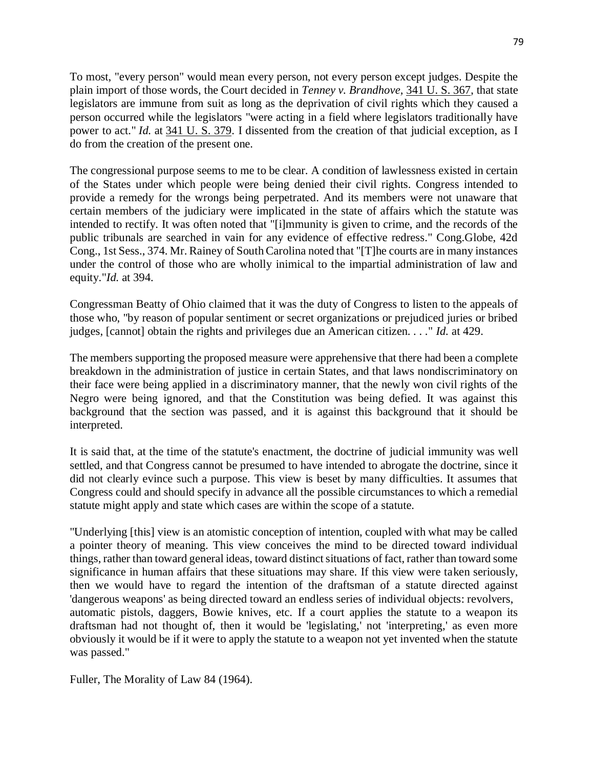To most, "every person" would mean every person, not every person except judges. Despite the plain import of those words, the Court decided in *Tenney v. Brandhove,* [341 U. S. 367,](https://supreme.justia.com/cases/federal/us/341/367/case.html) that state legislators are immune from suit as long as the deprivation of civil rights which they caused a person occurred while the legislators "were acting in a field where legislators traditionally have power to act." *Id.* at [341 U. S. 379.](https://supreme.justia.com/cases/federal/us/341/367/case.html#379) I dissented from the creation of that judicial exception, as I do from the creation of the present one.

The congressional purpose seems to me to be clear. A condition of lawlessness existed in certain of the States under which people were being denied their civil rights. Congress intended to provide a remedy for the wrongs being perpetrated. And its members were not unaware that certain members of the judiciary were implicated in the state of affairs which the statute was intended to rectify. It was often noted that "[i]mmunity is given to crime, and the records of the public tribunals are searched in vain for any evidence of effective redress." Cong.Globe, 42d Cong., 1st Sess., 374. Mr. Rainey of South Carolina noted that "[T]he courts are in many instances under the control of those who are wholly inimical to the impartial administration of law and equity."*Id.* at 394.

Congressman Beatty of Ohio claimed that it was the duty of Congress to listen to the appeals of those who, "by reason of popular sentiment or secret organizations or prejudiced juries or bribed judges, [cannot] obtain the rights and privileges due an American citizen. . . ." *Id.* at 429.

The members supporting the proposed measure were apprehensive that there had been a complete breakdown in the administration of justice in certain States, and that laws nondiscriminatory on their face were being applied in a discriminatory manner, that the newly won civil rights of the Negro were being ignored, and that the Constitution was being defied. It was against this background that the section was passed, and it is against this background that it should be interpreted.

It is said that, at the time of the statute's enactment, the doctrine of judicial immunity was well settled, and that Congress cannot be presumed to have intended to abrogate the doctrine, since it did not clearly evince such a purpose. This view is beset by many difficulties. It assumes that Congress could and should specify in advance all the possible circumstances to which a remedial statute might apply and state which cases are within the scope of a statute.

"Underlying [this] view is an atomistic conception of intention, coupled with what may be called a pointer theory of meaning. This view conceives the mind to be directed toward individual things, rather than toward general ideas, toward distinct situations of fact, rather than toward some significance in human affairs that these situations may share. If this view were taken seriously, then we would have to regard the intention of the draftsman of a statute directed against 'dangerous weapons' as being directed toward an endless series of individual objects: revolvers, automatic pistols, daggers, Bowie knives, etc. If a court applies the statute to a weapon its draftsman had not thought of, then it would be 'legislating,' not 'interpreting,' as even more obviously it would be if it were to apply the statute to a weapon not yet invented when the statute was passed."

Fuller, The Morality of Law 84 (1964).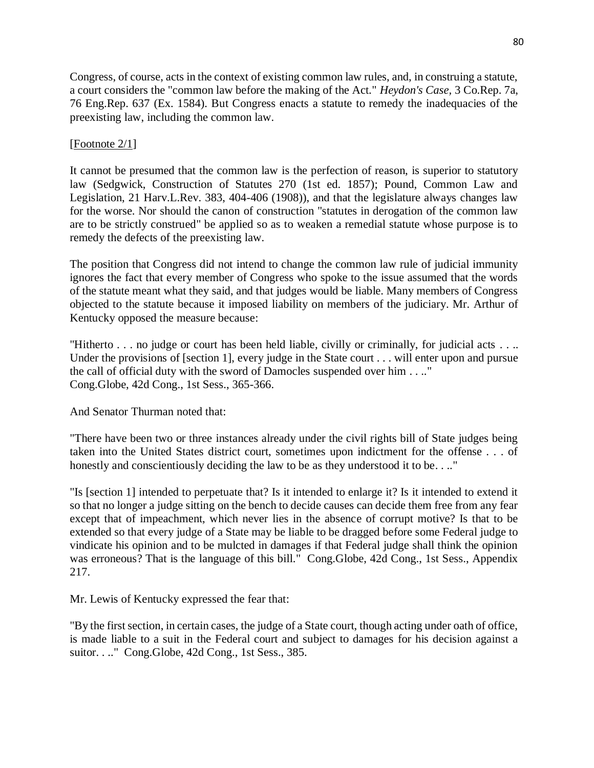Congress, of course, acts in the context of existing common law rules, and, in construing a statute, a court considers the "common law before the making of the Act." *Heydon's Case,* 3 Co.Rep. 7a, 76 Eng.Rep. 637 (Ex. 1584). But Congress enacts a statute to remedy the inadequacies of the preexisting law, including the common law.

## [\[Footnote 2/1\]](https://supreme.justia.com/cases/federal/us/386/547/case.html#F2/1)

It cannot be presumed that the common law is the perfection of reason, is superior to statutory law (Sedgwick, Construction of Statutes 270 (1st ed. 1857); Pound, Common Law and Legislation, 21 Harv.L.Rev. 383, 404-406 (1908)), and that the legislature always changes law for the worse. Nor should the canon of construction "statutes in derogation of the common law are to be strictly construed" be applied so as to weaken a remedial statute whose purpose is to remedy the defects of the preexisting law.

The position that Congress did not intend to change the common law rule of judicial immunity ignores the fact that every member of Congress who spoke to the issue assumed that the words of the statute meant what they said, and that judges would be liable. Many members of Congress objected to the statute because it imposed liability on members of the judiciary. Mr. Arthur of Kentucky opposed the measure because:

"Hitherto . . . no judge or court has been held liable, civilly or criminally, for judicial acts . . .. Under the provisions of [section 1], every judge in the State court . . . will enter upon and pursue the call of official duty with the sword of Damocles suspended over him . . .." Cong.Globe, 42d Cong., 1st Sess., 365-366.

And Senator Thurman noted that:

"There have been two or three instances already under the civil rights bill of State judges being taken into the United States district court, sometimes upon indictment for the offense . . . of honestly and conscientiously deciding the law to be as they understood it to be...."

"Is [section 1] intended to perpetuate that? Is it intended to enlarge it? Is it intended to extend it so that no longer a judge sitting on the bench to decide causes can decide them free from any fear except that of impeachment, which never lies in the absence of corrupt motive? Is that to be extended so that every judge of a State may be liable to be dragged before some Federal judge to vindicate his opinion and to be mulcted in damages if that Federal judge shall think the opinion was erroneous? That is the language of this bill." Cong.Globe, 42d Cong., 1st Sess., Appendix 217.

Mr. Lewis of Kentucky expressed the fear that:

"By the first section, in certain cases, the judge of a State court, though acting under oath of office, is made liable to a suit in the Federal court and subject to damages for his decision against a suitor. . .." Cong.Globe, 42d Cong., 1st Sess., 385.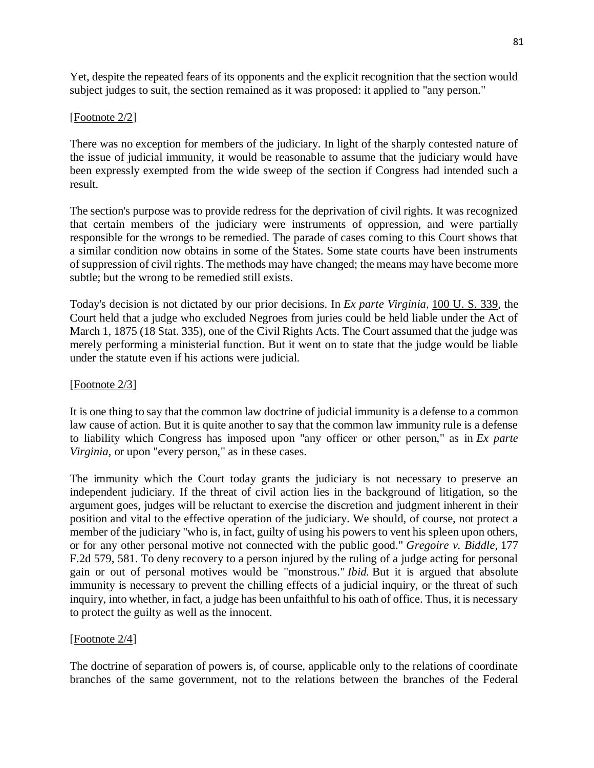Yet, despite the repeated fears of its opponents and the explicit recognition that the section would subject judges to suit, the section remained as it was proposed: it applied to "any person."

# [\[Footnote 2/2\]](https://supreme.justia.com/cases/federal/us/386/547/case.html#F2/2)

There was no exception for members of the judiciary. In light of the sharply contested nature of the issue of judicial immunity, it would be reasonable to assume that the judiciary would have been expressly exempted from the wide sweep of the section if Congress had intended such a result.

The section's purpose was to provide redress for the deprivation of civil rights. It was recognized that certain members of the judiciary were instruments of oppression, and were partially responsible for the wrongs to be remedied. The parade of cases coming to this Court shows that a similar condition now obtains in some of the States. Some state courts have been instruments of suppression of civil rights. The methods may have changed; the means may have become more subtle; but the wrong to be remedied still exists.

Today's decision is not dictated by our prior decisions. In *Ex parte Virginia,* [100 U.](https://supreme.justia.com/cases/federal/us/100/339/case.html) S. 339, the Court held that a judge who excluded Negroes from juries could be held liable under the Act of March 1, 1875 (18 Stat. 335), one of the Civil Rights Acts. The Court assumed that the judge was merely performing a ministerial function. But it went on to state that the judge would be liable under the statute even if his actions were judicial.

#### [\[Footnote 2/3\]](https://supreme.justia.com/cases/federal/us/386/547/case.html#F2/3)

It is one thing to say that the common law doctrine of judicial immunity is a defense to a common law cause of action. But it is quite another to say that the common law immunity rule is a defense to liability which Congress has imposed upon "any officer or other person," as in *Ex parte Virginia,* or upon "every person," as in these cases.

The immunity which the Court today grants the judiciary is not necessary to preserve an independent judiciary. If the threat of civil action lies in the background of litigation, so the argument goes, judges will be reluctant to exercise the discretion and judgment inherent in their position and vital to the effective operation of the judiciary. We should, of course, not protect a member of the judiciary "who is, in fact, guilty of using his powers to vent his spleen upon others, or for any other personal motive not connected with the public good." *Gregoire v. Biddle,* 177 F.2d 579, 581. To deny recovery to a person injured by the ruling of a judge acting for personal gain or out of personal motives would be "monstrous." *Ibid.* But it is argued that absolute immunity is necessary to prevent the chilling effects of a judicial inquiry, or the threat of such inquiry, into whether, in fact, a judge has been unfaithful to his oath of office. Thus, it is necessary to protect the guilty as well as the innocent.

#### [\[Footnote 2/4\]](https://supreme.justia.com/cases/federal/us/386/547/case.html#F2/4)

The doctrine of separation of powers is, of course, applicable only to the relations of coordinate branches of the same government, not to the relations between the branches of the Federal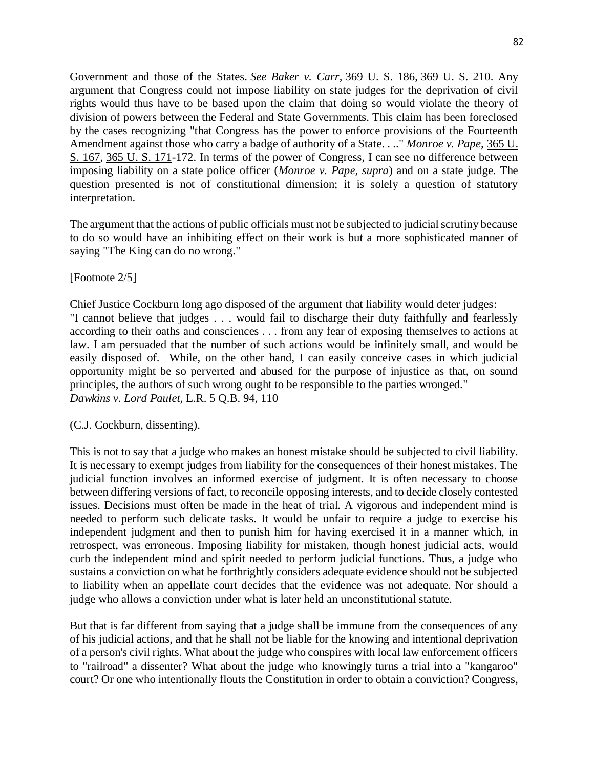Government and those of the States. *See Baker v. Carr,* [369 U. S. 186,](https://supreme.justia.com/cases/federal/us/369/186/case.html) [369 U. S. 210.](https://supreme.justia.com/cases/federal/us/369/186/case.html#210) Any argument that Congress could not impose liability on state judges for the deprivation of civil rights would thus have to be based upon the claim that doing so would violate the theory of division of powers between the Federal and State Governments. This claim has been foreclosed by the cases recognizing "that Congress has the power to enforce provisions of the Fourteenth Amendment against those who carry a badge of authority of a State. . .." *Monroe v. Pape,* [365 U.](https://supreme.justia.com/cases/federal/us/365/167/case.html)  [S. 167,](https://supreme.justia.com/cases/federal/us/365/167/case.html) [365 U. S. 171-](https://supreme.justia.com/cases/federal/us/365/167/case.html#171)172. In terms of the power of Congress, I can see no difference between imposing liability on a state police officer (*Monroe v. Pape, supra*) and on a state judge. The question presented is not of constitutional dimension; it is solely a question of statutory interpretation.

The argument that the actions of public officials must not be subjected to judicial scrutiny because to do so would have an inhibiting effect on their work is but a more sophisticated manner of saying "The King can do no wrong."

#### [\[Footnote 2/5\]](https://supreme.justia.com/cases/federal/us/386/547/case.html#F2/5)

Chief Justice Cockburn long ago disposed of the argument that liability would deter judges: "I cannot believe that judges . . . would fail to discharge their duty faithfully and fearlessly according to their oaths and consciences . . . from any fear of exposing themselves to actions at law. I am persuaded that the number of such actions would be infinitely small, and would be easily disposed of. While, on the other hand, I can easily conceive cases in which judicial opportunity might be so perverted and abused for the purpose of injustice as that, on sound principles, the authors of such wrong ought to be responsible to the parties wronged." *Dawkins v. Lord Paulet,* L.R. 5 Q.B. 94, 110

#### (C.J. Cockburn, dissenting).

This is not to say that a judge who makes an honest mistake should be subjected to civil liability. It is necessary to exempt judges from liability for the consequences of their honest mistakes. The judicial function involves an informed exercise of judgment. It is often necessary to choose between differing versions of fact, to reconcile opposing interests, and to decide closely contested issues. Decisions must often be made in the heat of trial. A vigorous and independent mind is needed to perform such delicate tasks. It would be unfair to require a judge to exercise his independent judgment and then to punish him for having exercised it in a manner which, in retrospect, was erroneous. Imposing liability for mistaken, though honest judicial acts, would curb the independent mind and spirit needed to perform judicial functions. Thus, a judge who sustains a conviction on what he forthrightly considers adequate evidence should not be subjected to liability when an appellate court decides that the evidence was not adequate. Nor should a judge who allows a conviction under what is later held an unconstitutional statute.

But that is far different from saying that a judge shall be immune from the consequences of any of his judicial actions, and that he shall not be liable for the knowing and intentional deprivation of a person's civil rights. What about the judge who conspires with local law enforcement officers to "railroad" a dissenter? What about the judge who knowingly turns a trial into a "kangaroo" court? Or one who intentionally flouts the Constitution in order to obtain a conviction? Congress,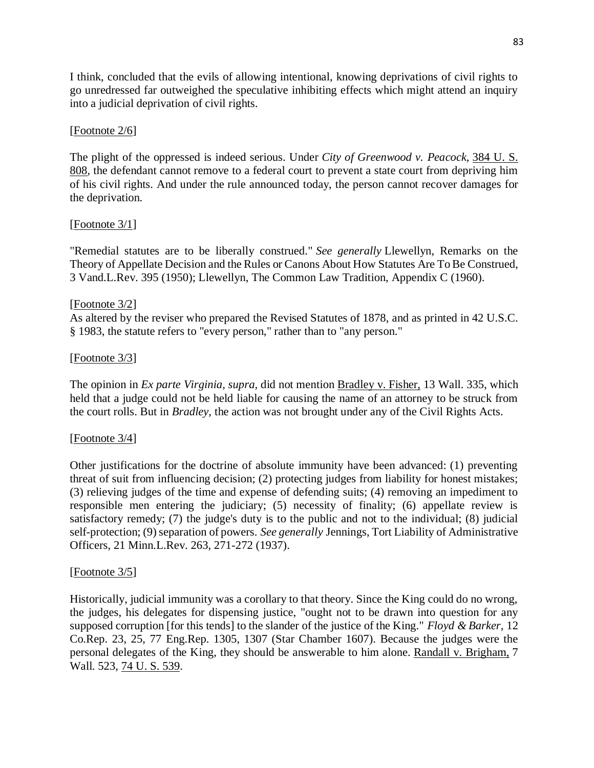I think, concluded that the evils of allowing intentional, knowing deprivations of civil rights to go unredressed far outweighed the speculative inhibiting effects which might attend an inquiry into a judicial deprivation of civil rights.

#### [\[Footnote 2/6\]](https://supreme.justia.com/cases/federal/us/386/547/case.html#F2/6)

The plight of the oppressed is indeed serious. Under *City of Greenwood v. Peacock,* [384 U. S.](https://supreme.justia.com/cases/federal/us/384/808/case.html)  [808,](https://supreme.justia.com/cases/federal/us/384/808/case.html) the defendant cannot remove to a federal court to prevent a state court from depriving him of his civil rights. And under the rule announced today, the person cannot recover damages for the deprivation.

## [\[Footnote 3/1\]](https://supreme.justia.com/cases/federal/us/386/547/case.html#T2/1)

"Remedial statutes are to be liberally construed." *See generally* Llewellyn, Remarks on the Theory of Appellate Decision and the Rules or Canons About How Statutes Are To Be Construed, 3 Vand.L.Rev. 395 (1950); Llewellyn, The Common Law Tradition, Appendix C (1960).

#### [\[Footnote 3/2\]](https://supreme.justia.com/cases/federal/us/386/547/case.html#T2/2)

As altered by the reviser who prepared the Revised Statutes of 1878, and as printed in 42 U.S.C. § 1983, the statute refers to "every person," rather than to "any person."

#### [\[Footnote 3/3\]](https://supreme.justia.com/cases/federal/us/386/547/case.html#T2/3)

The opinion in *Ex parte Virginia, supra,* did not mention [Bradley v. Fisher,](https://supreme.justia.com/cases/federal/us/80/335/case.html) 13 Wall. 335, which held that a judge could not be held liable for causing the name of an attorney to be struck from the court rolls. But in *Bradley,* the action was not brought under any of the Civil Rights Acts.

#### [\[Footnote 3/4\]](https://supreme.justia.com/cases/federal/us/386/547/case.html#T2/4)

Other justifications for the doctrine of absolute immunity have been advanced: (1) preventing threat of suit from influencing decision; (2) protecting judges from liability for honest mistakes; (3) relieving judges of the time and expense of defending suits; (4) removing an impediment to responsible men entering the judiciary; (5) necessity of finality; (6) appellate review is satisfactory remedy; (7) the judge's duty is to the public and not to the individual; (8) judicial self-protection; (9) separation of powers. *See generally* Jennings, Tort Liability of Administrative Officers, 21 Minn.L.Rev. 263, 271-272 (1937).

#### [\[Footnote 3/5\]](https://supreme.justia.com/cases/federal/us/386/547/case.html#T2/5)

Historically, judicial immunity was a corollary to that theory. Since the King could do no wrong, the judges, his delegates for dispensing justice, "ought not to be drawn into question for any supposed corruption [for this tends] to the slander of the justice of the King." *Floyd & Barker,* 12 Co.Rep. 23, 25, 77 Eng.Rep. 1305, 1307 (Star Chamber 1607). Because the judges were the personal delegates of the King, they should be answerable to him alone. [Randall v. Brigham,](https://supreme.justia.com/cases/federal/us/74/523/case.html) 7 Wall. 523, [74 U. S. 539.](https://supreme.justia.com/cases/federal/us/74/523/case.html#539)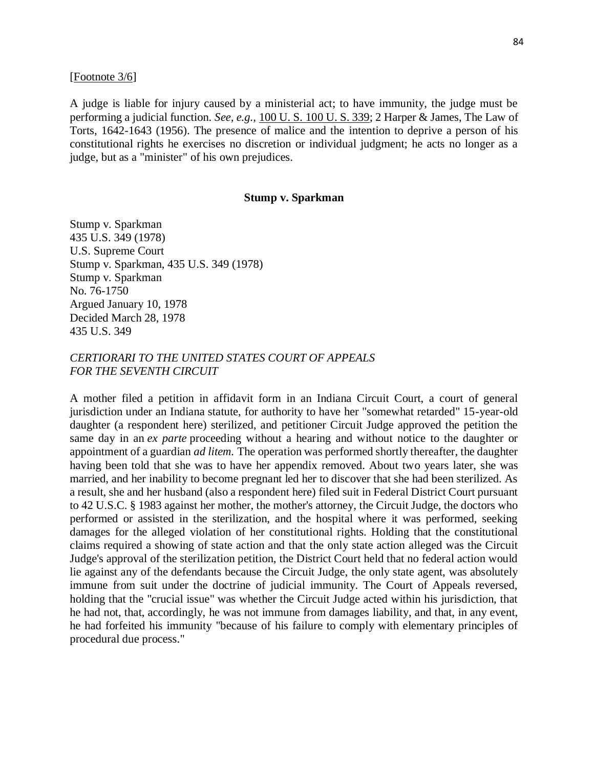#### [\[Footnote 3/6\]](https://supreme.justia.com/cases/federal/us/386/547/case.html#T2/6)

A judge is liable for injury caused by a ministerial act; to have immunity, the judge must be performing a judicial function. *See, e.g.,* [100 U. S.](https://supreme.justia.com/cases/federal/us/100/339/case.html) [100 U. S. 339;](https://supreme.justia.com/cases/federal/us/100/339/case.html) 2 Harper & James, The Law of Torts, 1642-1643 (1956). The presence of malice and the intention to deprive a person of his constitutional rights he exercises no discretion or individual judgment; he acts no longer as a judge, but as a "minister" of his own prejudices.

#### **Stump v. Sparkman**

Stump v. Sparkman 435 U.S. 349 (1978) U.S. Supreme Court Stump v. Sparkman, 435 U.S. 349 (1978) Stump v. Sparkman No. 76-1750 Argued January 10, 1978 Decided March 28, 1978 435 U.S. 349

#### *CERTIORARI TO THE UNITED STATES COURT OF APPEALS FOR THE SEVENTH CIRCUIT*

A mother filed a petition in affidavit form in an Indiana Circuit Court, a court of general jurisdiction under an Indiana statute, for authority to have her "somewhat retarded" 15-year-old daughter (a respondent here) sterilized, and petitioner Circuit Judge approved the petition the same day in an *ex parte* proceeding without a hearing and without notice to the daughter or appointment of a guardian *ad litem.* The operation was performed shortly thereafter, the daughter having been told that she was to have her appendix removed. About two years later, she was married, and her inability to become pregnant led her to discover that she had been sterilized. As a result, she and her husband (also a respondent here) filed suit in Federal District Court pursuant to 42 U.S.C. § 1983 against her mother, the mother's attorney, the Circuit Judge, the doctors who performed or assisted in the sterilization, and the hospital where it was performed, seeking damages for the alleged violation of her constitutional rights. Holding that the constitutional claims required a showing of state action and that the only state action alleged was the Circuit Judge's approval of the sterilization petition, the District Court held that no federal action would lie against any of the defendants because the Circuit Judge, the only state agent, was absolutely immune from suit under the doctrine of judicial immunity. The Court of Appeals reversed, holding that the "crucial issue" was whether the Circuit Judge acted within his jurisdiction, that he had not, that, accordingly, he was not immune from damages liability, and that, in any event, he had forfeited his immunity "because of his failure to comply with elementary principles of procedural due process."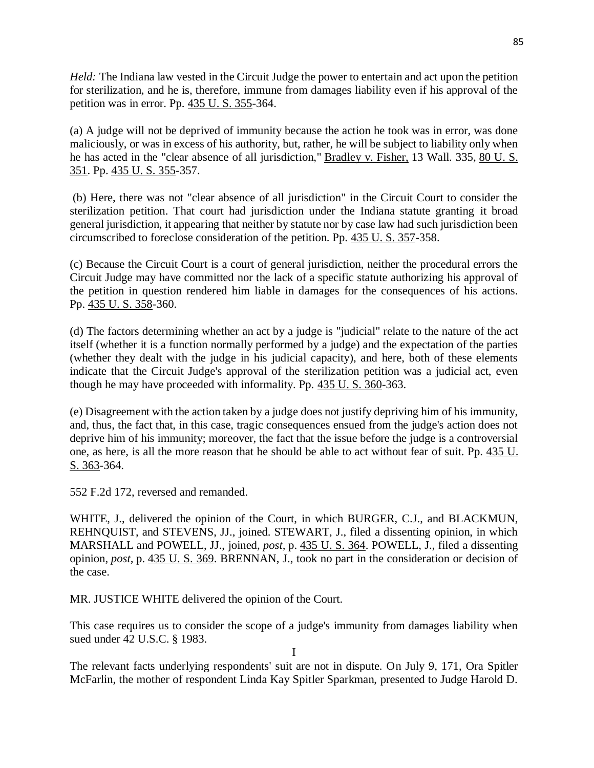*Held:* The Indiana law vested in the Circuit Judge the power to entertain and act upon the petition for sterilization, and he is, therefore, immune from damages liability even if his approval of the petition was in error. Pp. [435 U. S. 355-](https://supreme.justia.com/cases/federal/us/435/349/case.html#355)364.

(a) A judge will not be deprived of immunity because the action he took was in error, was done maliciously, or was in excess of his authority, but, rather, he will be subject to liability only when he has acted in the "clear absence of all jurisdiction," [Bradley v. Fisher,](https://supreme.justia.com/cases/federal/us/80/335/case.html) 13 Wall. 335, [80 U. S.](https://supreme.justia.com/cases/federal/us/80/335/case.html#351)  [351.](https://supreme.justia.com/cases/federal/us/80/335/case.html#351) Pp. [435 U. S. 355-](https://supreme.justia.com/cases/federal/us/435/349/case.html#355)357.

(b) Here, there was not "clear absence of all jurisdiction" in the Circuit Court to consider the sterilization petition. That court had jurisdiction under the Indiana statute granting it broad general jurisdiction, it appearing that neither by statute nor by case law had such jurisdiction been circumscribed to foreclose consideration of the petition. Pp. [435 U. S. 357-](https://supreme.justia.com/cases/federal/us/435/349/case.html#357)358.

(c) Because the Circuit Court is a court of general jurisdiction, neither the procedural errors the Circuit Judge may have committed nor the lack of a specific statute authorizing his approval of the petition in question rendered him liable in damages for the consequences of his actions. Pp. [435 U. S. 358-](https://supreme.justia.com/cases/federal/us/435/349/case.html#358)360.

(d) The factors determining whether an act by a judge is "judicial" relate to the nature of the act itself (whether it is a function normally performed by a judge) and the expectation of the parties (whether they dealt with the judge in his judicial capacity), and here, both of these elements indicate that the Circuit Judge's approval of the sterilization petition was a judicial act, even though he may have proceeded with informality. Pp. [435 U. S. 360-](https://supreme.justia.com/cases/federal/us/435/349/case.html#360)363.

(e) Disagreement with the action taken by a judge does not justify depriving him of his immunity, and, thus, the fact that, in this case, tragic consequences ensued from the judge's action does not deprive him of his immunity; moreover, the fact that the issue before the judge is a controversial one, as here, is all the more reason that he should be able to act without fear of suit. Pp. [435 U.](https://supreme.justia.com/cases/federal/us/435/349/case.html#363)  [S. 363-](https://supreme.justia.com/cases/federal/us/435/349/case.html#363)364.

552 F.2d 172, reversed and remanded.

WHITE, J., delivered the opinion of the Court, in which BURGER, C.J., and BLACKMUN, REHNQUIST, and STEVENS, JJ., joined. STEWART, J., filed a dissenting opinion, in which MARSHALL and POWELL, JJ., joined, *post,* p. [435 U. S. 364.](https://supreme.justia.com/cases/federal/us/435/349/case.html#364) POWELL, J., filed a dissenting opinion, *post,* p. [435 U. S. 369.](https://supreme.justia.com/cases/federal/us/435/349/case.html#369) BRENNAN, J., took no part in the consideration or decision of the case.

MR. JUSTICE WHITE delivered the opinion of the Court.

This case requires us to consider the scope of a judge's immunity from damages liability when sued under 42 U.S.C. § 1983.

I

The relevant facts underlying respondents' suit are not in dispute. On July 9, 171, Ora Spitler McFarlin, the mother of respondent Linda Kay Spitler Sparkman, presented to Judge Harold D.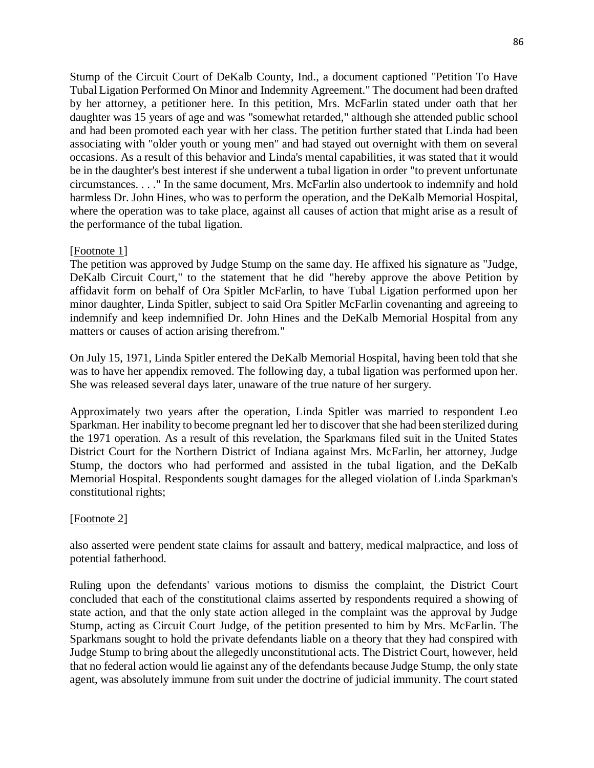Stump of the Circuit Court of DeKalb County, Ind., a document captioned "Petition To Have Tubal Ligation Performed On Minor and Indemnity Agreement." The document had been drafted by her attorney, a petitioner here. In this petition, Mrs. McFarlin stated under oath that her daughter was 15 years of age and was "somewhat retarded," although she attended public school and had been promoted each year with her class. The petition further stated that Linda had been associating with "older youth or young men" and had stayed out overnight with them on several occasions. As a result of this behavior and Linda's mental capabilities, it was stated that it would be in the daughter's best interest if she underwent a tubal ligation in order "to prevent unfortunate circumstances. . . ." In the same document, Mrs. McFarlin also undertook to indemnify and hold harmless Dr. John Hines, who was to perform the operation, and the DeKalb Memorial Hospital, where the operation was to take place, against all causes of action that might arise as a result of the performance of the tubal ligation.

## [\[Footnote 1\]](https://supreme.justia.com/cases/federal/us/435/349/case.html#F1)

The petition was approved by Judge Stump on the same day. He affixed his signature as "Judge, DeKalb Circuit Court," to the statement that he did "hereby approve the above Petition by affidavit form on behalf of Ora Spitler McFarlin, to have Tubal Ligation performed upon her minor daughter, Linda Spitler, subject to said Ora Spitler McFarlin covenanting and agreeing to indemnify and keep indemnified Dr. John Hines and the DeKalb Memorial Hospital from any matters or causes of action arising therefrom."

On July 15, 1971, Linda Spitler entered the DeKalb Memorial Hospital, having been told that she was to have her appendix removed. The following day, a tubal ligation was performed upon her. She was released several days later, unaware of the true nature of her surgery.

Approximately two years after the operation, Linda Spitler was married to respondent Leo Sparkman. Her inability to become pregnant led her to discover that she had been sterilized during the 1971 operation. As a result of this revelation, the Sparkmans filed suit in the United States District Court for the Northern District of Indiana against Mrs. McFarlin, her attorney, Judge Stump, the doctors who had performed and assisted in the tubal ligation, and the DeKalb Memorial Hospital. Respondents sought damages for the alleged violation of Linda Sparkman's constitutional rights;

#### [\[Footnote 2\]](https://supreme.justia.com/cases/federal/us/435/349/case.html#F2)

also asserted were pendent state claims for assault and battery, medical malpractice, and loss of potential fatherhood.

Ruling upon the defendants' various motions to dismiss the complaint, the District Court concluded that each of the constitutional claims asserted by respondents required a showing of state action, and that the only state action alleged in the complaint was the approval by Judge Stump, acting as Circuit Court Judge, of the petition presented to him by Mrs. McFarlin. The Sparkmans sought to hold the private defendants liable on a theory that they had conspired with Judge Stump to bring about the allegedly unconstitutional acts. The District Court, however, held that no federal action would lie against any of the defendants because Judge Stump, the only state agent, was absolutely immune from suit under the doctrine of judicial immunity. The court stated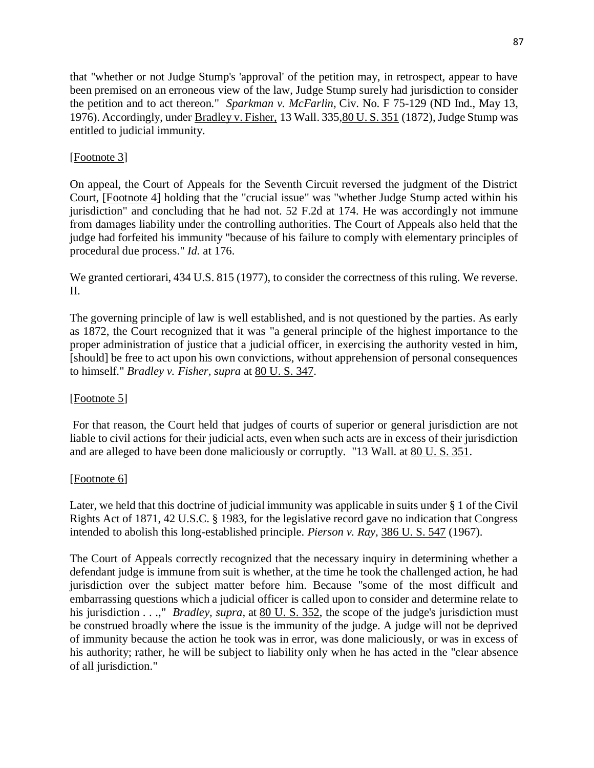that "whether or not Judge Stump's 'approval' of the petition may, in retrospect, appear to have been premised on an erroneous view of the law, Judge Stump surely had jurisdiction to consider the petition and to act thereon." *Sparkman v. McFarlin,* Civ. No. F 75-129 (ND Ind., May 13, 1976). Accordingly, under [Bradley v. Fisher,](https://supreme.justia.com/cases/federal/us/80/335/case.html) 13 Wall. 335[,80 U. S. 351](https://supreme.justia.com/cases/federal/us/80/335/case.html#351) (1872), Judge Stump was entitled to judicial immunity.

# [\[Footnote 3\]](https://supreme.justia.com/cases/federal/us/435/349/case.html#F3)

On appeal, the Court of Appeals for the Seventh Circuit reversed the judgment of the District Court, [\[Footnote 4\]](https://supreme.justia.com/cases/federal/us/435/349/case.html#F4) holding that the "crucial issue" was "whether Judge Stump acted within his jurisdiction" and concluding that he had not. 52 F.2d at 174. He was accordingly not immune from damages liability under the controlling authorities. The Court of Appeals also held that the judge had forfeited his immunity "because of his failure to comply with elementary principles of procedural due process." *Id.* at 176.

We granted certiorari, 434 U.S. 815 (1977), to consider the correctness of this ruling. We reverse. II.

The governing principle of law is well established, and is not questioned by the parties. As early as 1872, the Court recognized that it was "a general principle of the highest importance to the proper administration of justice that a judicial officer, in exercising the authority vested in him, [should] be free to act upon his own convictions, without apprehension of personal consequences to himself." *Bradley v. Fisher, supra* at [80 U. S. 347.](https://supreme.justia.com/cases/federal/us/80/335/case.html#347)

# [\[Footnote 5\]](https://supreme.justia.com/cases/federal/us/435/349/case.html#F5)

For that reason, the Court held that judges of courts of superior or general jurisdiction are not liable to civil actions for their judicial acts, even when such acts are in excess of their jurisdiction and are alleged to have been done maliciously or corruptly. "13 Wall. at 80 U.S. 351.

# [\[Footnote 6\]](https://supreme.justia.com/cases/federal/us/435/349/case.html#F6)

Later, we held that this doctrine of judicial immunity was applicable in suits under § 1 of the Civil Rights Act of 1871, 42 U.S.C. § 1983, for the legislative record gave no indication that Congress intended to abolish this long-established principle. *Pierson v. Ray,* [386 U. S. 547](https://supreme.justia.com/cases/federal/us/386/547/case.html) (1967).

The Court of Appeals correctly recognized that the necessary inquiry in determining whether a defendant judge is immune from suit is whether, at the time he took the challenged action, he had jurisdiction over the subject matter before him. Because "some of the most difficult and embarrassing questions which a judicial officer is called upon to consider and determine relate to his jurisdiction . . .," *Bradley, supra,* at [80 U. S. 352,](https://supreme.justia.com/cases/federal/us/80/335/case.html#352) the scope of the judge's jurisdiction must be construed broadly where the issue is the immunity of the judge. A judge will not be deprived of immunity because the action he took was in error, was done maliciously, or was in excess of his authority; rather, he will be subject to liability only when he has acted in the "clear absence of all jurisdiction."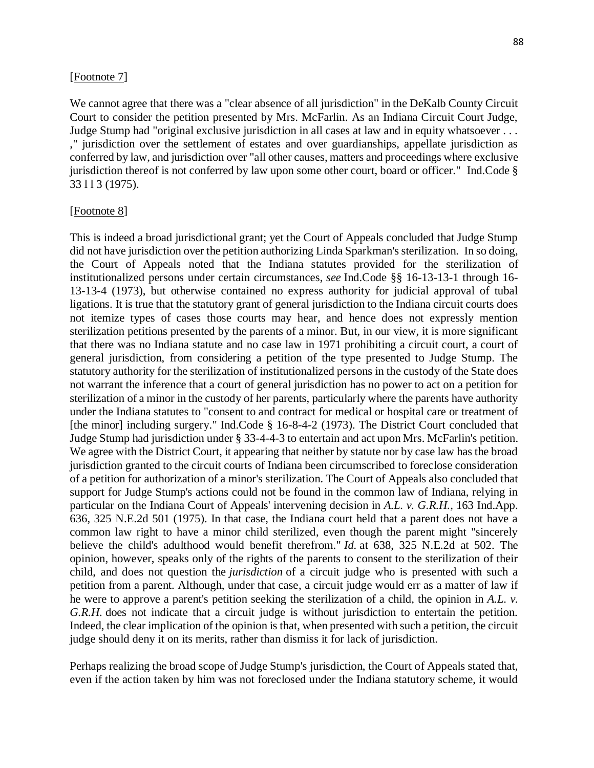#### [\[Footnote 7\]](https://supreme.justia.com/cases/federal/us/435/349/case.html#F7)

88

We cannot agree that there was a "clear absence of all jurisdiction" in the DeKalb County Circuit Court to consider the petition presented by Mrs. McFarlin. As an Indiana Circuit Court Judge, Judge Stump had "original exclusive jurisdiction in all cases at law and in equity whatsoever . . . ," jurisdiction over the settlement of estates and over guardianships, appellate jurisdiction as conferred by law, and jurisdiction over "all other causes, matters and proceedings where exclusive jurisdiction thereof is not conferred by law upon some other court, board or officer." Ind.Code § 33 l l 3 (1975).

#### [\[Footnote 8\]](https://supreme.justia.com/cases/federal/us/435/349/case.html#F8)

This is indeed a broad jurisdictional grant; yet the Court of Appeals concluded that Judge Stump did not have jurisdiction over the petition authorizing Linda Sparkman's sterilization. In so doing, the Court of Appeals noted that the Indiana statutes provided for the sterilization of institutionalized persons under certain circumstances, *see* Ind.Code §§ 16-13-13-1 through 16- 13-13-4 (1973), but otherwise contained no express authority for judicial approval of tubal ligations. It is true that the statutory grant of general jurisdiction to the Indiana circuit courts does not itemize types of cases those courts may hear, and hence does not expressly mention sterilization petitions presented by the parents of a minor. But, in our view, it is more significant that there was no Indiana statute and no case law in 1971 prohibiting a circuit court, a court of general jurisdiction, from considering a petition of the type presented to Judge Stump. The statutory authority for the sterilization of institutionalized persons in the custody of the State does not warrant the inference that a court of general jurisdiction has no power to act on a petition for sterilization of a minor in the custody of her parents, particularly where the parents have authority under the Indiana statutes to "consent to and contract for medical or hospital care or treatment of [the minor] including surgery." Ind.Code § 16-8-4-2 (1973). The District Court concluded that Judge Stump had jurisdiction under § 33-4-4-3 to entertain and act upon Mrs. McFarlin's petition. We agree with the District Court, it appearing that neither by statute nor by case law has the broad jurisdiction granted to the circuit courts of Indiana been circumscribed to foreclose consideration of a petition for authorization of a minor's sterilization. The Court of Appeals also concluded that support for Judge Stump's actions could not be found in the common law of Indiana, relying in particular on the Indiana Court of Appeals' intervening decision in *A.L. v. G.R.H.,* 163 Ind.App. 636, 325 N.E.2d 501 (1975). In that case, the Indiana court held that a parent does not have a common law right to have a minor child sterilized, even though the parent might "sincerely believe the child's adulthood would benefit therefrom." *Id.* at 638, 325 N.E.2d at 502. The opinion, however, speaks only of the rights of the parents to consent to the sterilization of their child, and does not question the *jurisdiction* of a circuit judge who is presented with such a petition from a parent. Although, under that case, a circuit judge would err as a matter of law if he were to approve a parent's petition seeking the sterilization of a child, the opinion in *A.L. v. G.R.H.* does not indicate that a circuit judge is without jurisdiction to entertain the petition. Indeed, the clear implication of the opinion is that, when presented with such a petition, the circuit judge should deny it on its merits, rather than dismiss it for lack of jurisdiction.

Perhaps realizing the broad scope of Judge Stump's jurisdiction, the Court of Appeals stated that, even if the action taken by him was not foreclosed under the Indiana statutory scheme, it would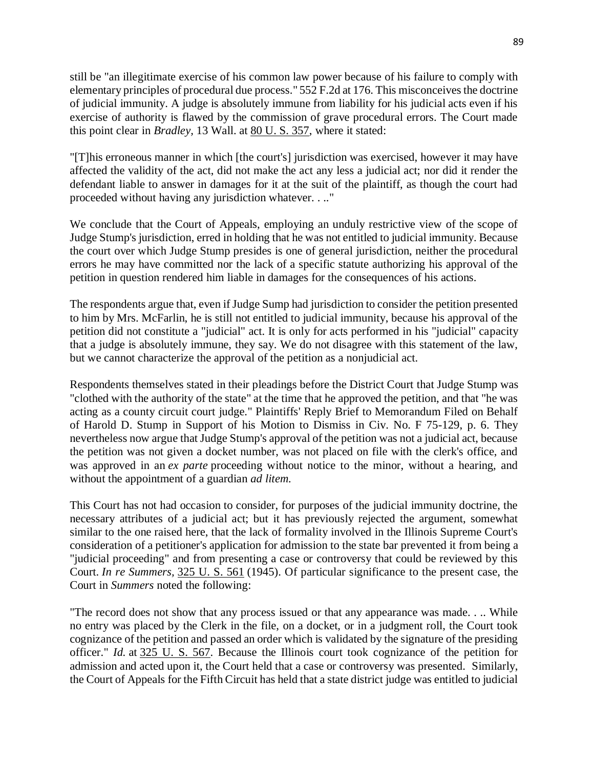still be "an illegitimate exercise of his common law power because of his failure to comply with elementary principles of procedural due process." 552 F.2d at 176. This misconceives the doctrine of judicial immunity. A judge is absolutely immune from liability for his judicial acts even if his exercise of authority is flawed by the commission of grave procedural errors. The Court made this point clear in *Bradley,* 13 Wall. at [80 U. S. 357,](https://supreme.justia.com/cases/federal/us/80/335/case.html#357) where it stated:

"[T]his erroneous manner in which [the court's] jurisdiction was exercised, however it may have affected the validity of the act, did not make the act any less a judicial act; nor did it render the defendant liable to answer in damages for it at the suit of the plaintiff, as though the court had proceeded without having any jurisdiction whatever. . .."

We conclude that the Court of Appeals, employing an unduly restrictive view of the scope of Judge Stump's jurisdiction, erred in holding that he was not entitled to judicial immunity. Because the court over which Judge Stump presides is one of general jurisdiction, neither the procedural errors he may have committed nor the lack of a specific statute authorizing his approval of the petition in question rendered him liable in damages for the consequences of his actions.

The respondents argue that, even if Judge Sump had jurisdiction to consider the petition presented to him by Mrs. McFarlin, he is still not entitled to judicial immunity, because his approval of the petition did not constitute a "judicial" act. It is only for acts performed in his "judicial" capacity that a judge is absolutely immune, they say. We do not disagree with this statement of the law, but we cannot characterize the approval of the petition as a nonjudicial act.

Respondents themselves stated in their pleadings before the District Court that Judge Stump was "clothed with the authority of the state" at the time that he approved the petition, and that "he was acting as a county circuit court judge." Plaintiffs' Reply Brief to Memorandum Filed on Behalf of Harold D. Stump in Support of his Motion to Dismiss in Civ. No. F 75-129, p. 6. They nevertheless now argue that Judge Stump's approval of the petition was not a judicial act, because the petition was not given a docket number, was not placed on file with the clerk's office, and was approved in an *ex parte* proceeding without notice to the minor, without a hearing, and without the appointment of a guardian *ad litem.*

This Court has not had occasion to consider, for purposes of the judicial immunity doctrine, the necessary attributes of a judicial act; but it has previously rejected the argument, somewhat similar to the one raised here, that the lack of formality involved in the Illinois Supreme Court's consideration of a petitioner's application for admission to the state bar prevented it from being a "judicial proceeding" and from presenting a case or controversy that could be reviewed by this Court. *In re Summers,* [325 U. S. 561](https://supreme.justia.com/cases/federal/us/325/561/case.html) (1945). Of particular significance to the present case, the Court in *Summers* noted the following:

"The record does not show that any process issued or that any appearance was made. . .. While no entry was placed by the Clerk in the file, on a docket, or in a judgment roll, the Court took cognizance of the petition and passed an order which is validated by the signature of the presiding officer." *Id.* at [325 U. S. 567.](https://supreme.justia.com/cases/federal/us/325/561/case.html#567) Because the Illinois court took cognizance of the petition for admission and acted upon it, the Court held that a case or controversy was presented. Similarly, the Court of Appeals for the Fifth Circuit has held that a state district judge was entitled to judicial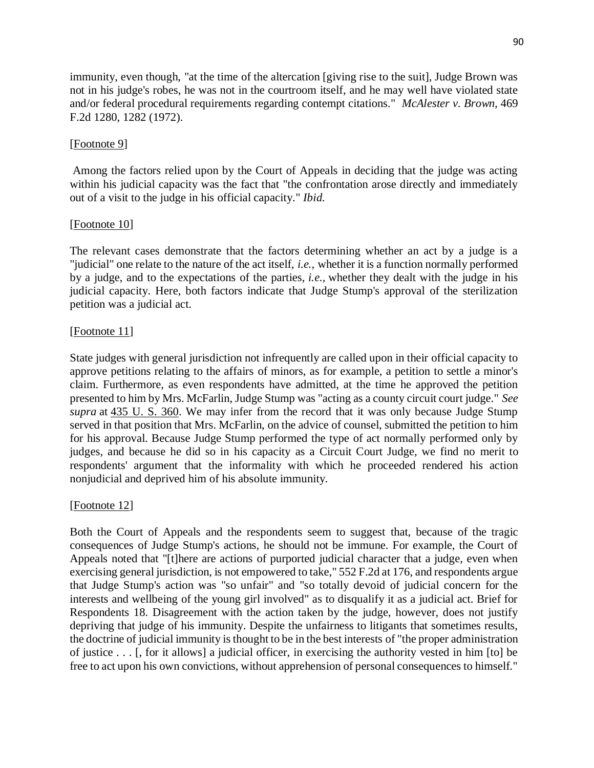immunity, even though, "at the time of the altercation [giving rise to the suit], Judge Brown was not in his judge's robes, he was not in the courtroom itself, and he may well have violated state and/or federal procedural requirements regarding contempt citations." *McAlester v. Brown,* 469 F.2d 1280, 1282 (1972).

#### [\[Footnote 9\]](https://supreme.justia.com/cases/federal/us/435/349/case.html#F9)

Among the factors relied upon by the Court of Appeals in deciding that the judge was acting within his judicial capacity was the fact that "the confrontation arose directly and immediately out of a visit to the judge in his official capacity." *Ibid.*

## [\[Footnote 10\]](https://supreme.justia.com/cases/federal/us/435/349/case.html#F10)

The relevant cases demonstrate that the factors determining whether an act by a judge is a "judicial" one relate to the nature of the act itself, *i.e.,* whether it is a function normally performed by a judge, and to the expectations of the parties, *i.e.,* whether they dealt with the judge in his judicial capacity. Here, both factors indicate that Judge Stump's approval of the sterilization petition was a judicial act.

## [\[Footnote 11\]](https://supreme.justia.com/cases/federal/us/435/349/case.html#F11)

State judges with general jurisdiction not infrequently are called upon in their official capacity to approve petitions relating to the affairs of minors, as for example, a petition to settle a minor's claim. Furthermore, as even respondents have admitted, at the time he approved the petition presented to him by Mrs. McFarlin, Judge Stump was "acting as a county circuit court judge." *See supra* at [435 U. S. 360.](https://supreme.justia.com/cases/federal/us/435/349/case.html#360) We may infer from the record that it was only because Judge Stump served in that position that Mrs. McFarlin, on the advice of counsel, submitted the petition to him for his approval. Because Judge Stump performed the type of act normally performed only by judges, and because he did so in his capacity as a Circuit Court Judge, we find no merit to respondents' argument that the informality with which he proceeded rendered his action nonjudicial and deprived him of his absolute immunity.

#### [\[Footnote 12\]](https://supreme.justia.com/cases/federal/us/435/349/case.html#F12)

Both the Court of Appeals and the respondents seem to suggest that, because of the tragic consequences of Judge Stump's actions, he should not be immune. For example, the Court of Appeals noted that "[t]here are actions of purported judicial character that a judge, even when exercising general jurisdiction, is not empowered to take," 552 F.2d at 176, and respondents argue that Judge Stump's action was "so unfair" and "so totally devoid of judicial concern for the interests and wellbeing of the young girl involved" as to disqualify it as a judicial act. Brief for Respondents 18. Disagreement with the action taken by the judge, however, does not justify depriving that judge of his immunity. Despite the unfairness to litigants that sometimes results, the doctrine of judicial immunity is thought to be in the best interests of "the proper administration of justice . . . [, for it allows] a judicial officer, in exercising the authority vested in him [to] be free to act upon his own convictions, without apprehension of personal consequences to himself."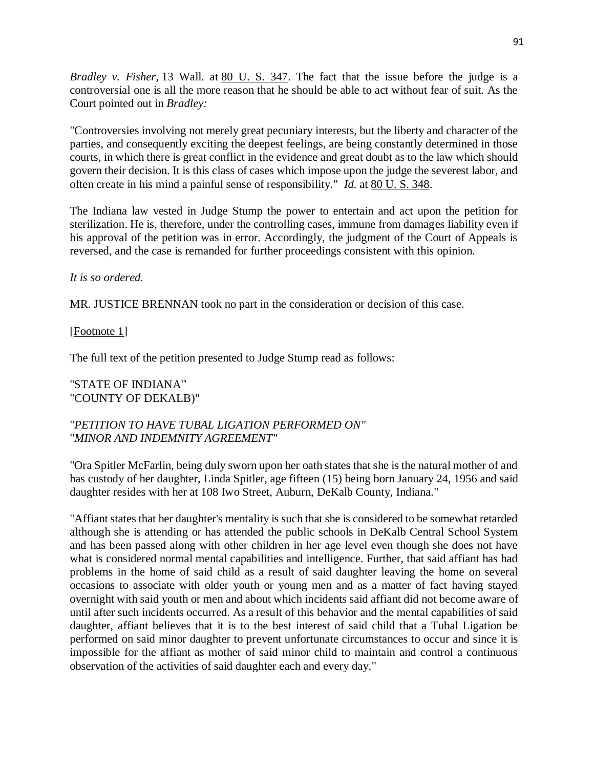*Bradley v. Fisher*, 13 Wall. at [80 U. S. 347.](https://supreme.justia.com/cases/federal/us/80/335/case.html#347) The fact that the issue before the judge is a controversial one is all the more reason that he should be able to act without fear of suit. As the Court pointed out in *Bradley:*

"Controversies involving not merely great pecuniary interests, but the liberty and character of the parties, and consequently exciting the deepest feelings, are being constantly determined in those courts, in which there is great conflict in the evidence and great doubt as to the law which should govern their decision. It is this class of cases which impose upon the judge the severest labor, and often create in his mind a painful sense of responsibility." *Id.* at [80 U. S. 348.](https://supreme.justia.com/cases/federal/us/80/335/case.html#348)

The Indiana law vested in Judge Stump the power to entertain and act upon the petition for sterilization. He is, therefore, under the controlling cases, immune from damages liability even if his approval of the petition was in error. Accordingly, the judgment of the Court of Appeals is reversed, and the case is remanded for further proceedings consistent with this opinion.

## *It is so ordered.*

MR. JUSTICE BRENNAN took no part in the consideration or decision of this case.

## [\[Footnote 1\]](https://supreme.justia.com/cases/federal/us/435/349/case.html#T1)

The full text of the petition presented to Judge Stump read as follows:

## "STATE OF INDIANA" "COUNTY OF DEKALB)"

## "*PETITION TO HAVE TUBAL LIGATION PERFORMED ON"* "*MINOR AND INDEMNITY AGREEMENT"*

"Ora Spitler McFarlin, being duly sworn upon her oath states that she is the natural mother of and has custody of her daughter, Linda Spitler, age fifteen (15) being born January 24, 1956 and said daughter resides with her at 108 Iwo Street, Auburn, DeKalb County, Indiana."

"Affiant states that her daughter's mentality is such that she is considered to be somewhat retarded although she is attending or has attended the public schools in DeKalb Central School System and has been passed along with other children in her age level even though she does not have what is considered normal mental capabilities and intelligence. Further, that said affiant has had problems in the home of said child as a result of said daughter leaving the home on several occasions to associate with older youth or young men and as a matter of fact having stayed overnight with said youth or men and about which incidents said affiant did not become aware of until after such incidents occurred. As a result of this behavior and the mental capabilities of said daughter, affiant believes that it is to the best interest of said child that a Tubal Ligation be performed on said minor daughter to prevent unfortunate circumstances to occur and since it is impossible for the affiant as mother of said minor child to maintain and control a continuous observation of the activities of said daughter each and every day."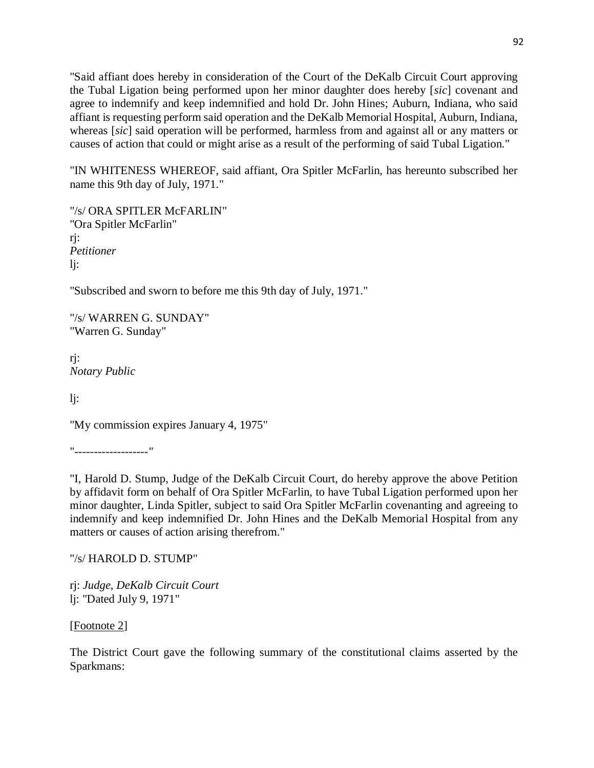"Said affiant does hereby in consideration of the Court of the DeKalb Circuit Court approving the Tubal Ligation being performed upon her minor daughter does hereby [*sic*] covenant and agree to indemnify and keep indemnified and hold Dr. John Hines; Auburn, Indiana, who said affiant is requesting perform said operation and the DeKalb Memorial Hospital, Auburn, Indiana, whereas [*sic*] said operation will be performed, harmless from and against all or any matters or causes of action that could or might arise as a result of the performing of said Tubal Ligation."

"IN WHITENESS WHEREOF, said affiant, Ora Spitler McFarlin, has hereunto subscribed her name this 9th day of July, 1971."

"/s/ ORA SPITLER McFARLIN" "Ora Spitler McFarlin" rj: *Petitioner* lj:

"Subscribed and sworn to before me this 9th day of July, 1971."

"/s/ WARREN G. SUNDAY" "Warren G. Sunday"

rj: *Notary Public*

lj:

"My commission expires January 4, 1975"

"*-------------------"*

"I, Harold D. Stump, Judge of the DeKalb Circuit Court, do hereby approve the above Petition by affidavit form on behalf of Ora Spitler McFarlin, to have Tubal Ligation performed upon her minor daughter, Linda Spitler, subject to said Ora Spitler McFarlin covenanting and agreeing to indemnify and keep indemnified Dr. John Hines and the DeKalb Memorial Hospital from any matters or causes of action arising therefrom."

"/s/ HAROLD D. STUMP"

rj: *Judge, DeKalb Circuit Court* lj: "Dated July 9, 1971"

[\[Footnote 2\]](https://supreme.justia.com/cases/federal/us/435/349/case.html#T2)

The District Court gave the following summary of the constitutional claims asserted by the Sparkmans: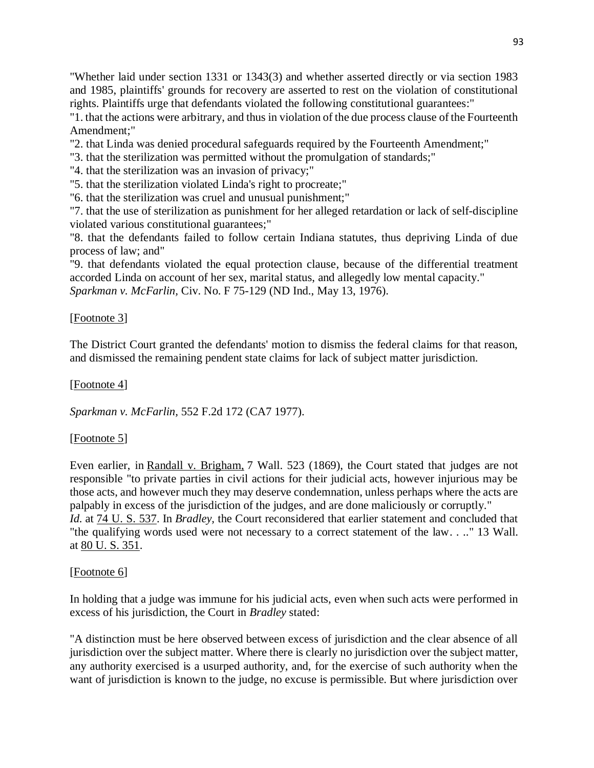"Whether laid under section 1331 or 1343(3) and whether asserted directly or via section 1983 and 1985, plaintiffs' grounds for recovery are asserted to rest on the violation of constitutional rights. Plaintiffs urge that defendants violated the following constitutional guarantees:"

"1. that the actions were arbitrary, and thus in violation of the due process clause of the Fourteenth Amendment;"

"2. that Linda was denied procedural safeguards required by the Fourteenth Amendment;"

"3. that the sterilization was permitted without the promulgation of standards;"

"4. that the sterilization was an invasion of privacy;"

"5. that the sterilization violated Linda's right to procreate;"

"6. that the sterilization was cruel and unusual punishment;"

"7. that the use of sterilization as punishment for her alleged retardation or lack of self-discipline violated various constitutional guarantees;"

"8. that the defendants failed to follow certain Indiana statutes, thus depriving Linda of due process of law; and"

"9. that defendants violated the equal protection clause, because of the differential treatment accorded Linda on account of her sex, marital status, and allegedly low mental capacity." *Sparkman v. McFarlin,* Civ. No. F 75-129 (ND Ind., May 13, 1976).

## [\[Footnote 3\]](https://supreme.justia.com/cases/federal/us/435/349/case.html#T3)

The District Court granted the defendants' motion to dismiss the federal claims for that reason, and dismissed the remaining pendent state claims for lack of subject matter jurisdiction.

#### [\[Footnote 4\]](https://supreme.justia.com/cases/federal/us/435/349/case.html#T4)

*Sparkman v. McFarlin,* 552 F.2d 172 (CA7 1977).

#### [\[Footnote 5\]](https://supreme.justia.com/cases/federal/us/435/349/case.html#T5)

Even earlier, in [Randall v. Brigham,](https://supreme.justia.com/cases/federal/us/74/523/case.html) 7 Wall. 523 (1869), the Court stated that judges are not responsible "to private parties in civil actions for their judicial acts, however injurious may be those acts, and however much they may deserve condemnation, unless perhaps where the acts are palpably in excess of the jurisdiction of the judges, and are done maliciously or corruptly." *Id.* at [74 U. S. 537.](https://supreme.justia.com/cases/federal/us/74/523/case.html#537) In *Bradley,* the Court reconsidered that earlier statement and concluded that "the qualifying words used were not necessary to a correct statement of the law. . .." 13 Wall. at [80 U. S. 351.](https://supreme.justia.com/cases/federal/us/80/335/case.html#351)

#### [\[Footnote 6\]](https://supreme.justia.com/cases/federal/us/435/349/case.html#T6)

In holding that a judge was immune for his judicial acts, even when such acts were performed in excess of his jurisdiction, the Court in *Bradley* stated:

"A distinction must be here observed between excess of jurisdiction and the clear absence of all jurisdiction over the subject matter. Where there is clearly no jurisdiction over the subject matter, any authority exercised is a usurped authority, and, for the exercise of such authority when the want of jurisdiction is known to the judge, no excuse is permissible. But where jurisdiction over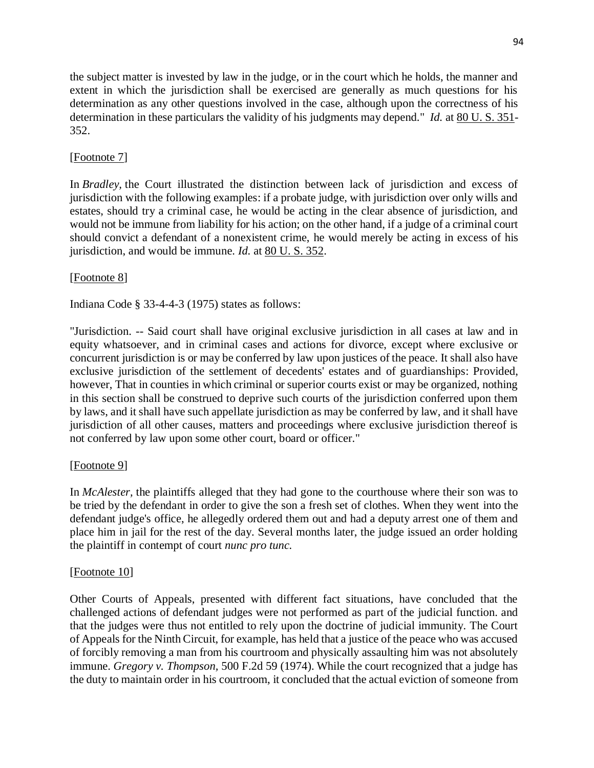the subject matter is invested by law in the judge, or in the court which he holds, the manner and extent in which the jurisdiction shall be exercised are generally as much questions for his determination as any other questions involved in the case, although upon the correctness of his determination in these particulars the validity of his judgments may depend." *Id.* at [80 U. S. 351-](https://supreme.justia.com/cases/federal/us/80/335/case.html#351) 352.

# [\[Footnote 7\]](https://supreme.justia.com/cases/federal/us/435/349/case.html#T7)

In *Bradley,* the Court illustrated the distinction between lack of jurisdiction and excess of jurisdiction with the following examples: if a probate judge, with jurisdiction over only wills and estates, should try a criminal case, he would be acting in the clear absence of jurisdiction, and would not be immune from liability for his action; on the other hand, if a judge of a criminal court should convict a defendant of a nonexistent crime, he would merely be acting in excess of his jurisdiction, and would be immune. *Id.* at [80 U. S. 352.](https://supreme.justia.com/cases/federal/us/80/335/case.html#352)

# [\[Footnote 8\]](https://supreme.justia.com/cases/federal/us/435/349/case.html#T8)

Indiana Code § 33-4-4-3 (1975) states as follows:

"Jurisdiction. -- Said court shall have original exclusive jurisdiction in all cases at law and in equity whatsoever, and in criminal cases and actions for divorce, except where exclusive or concurrent jurisdiction is or may be conferred by law upon justices of the peace. It shall also have exclusive jurisdiction of the settlement of decedents' estates and of guardianships: Provided, however, That in counties in which criminal or superior courts exist or may be organized, nothing in this section shall be construed to deprive such courts of the jurisdiction conferred upon them by laws, and it shall have such appellate jurisdiction as may be conferred by law, and it shall have jurisdiction of all other causes, matters and proceedings where exclusive jurisdiction thereof is not conferred by law upon some other court, board or officer."

#### [\[Footnote 9\]](https://supreme.justia.com/cases/federal/us/435/349/case.html#T9)

In *McAlester,* the plaintiffs alleged that they had gone to the courthouse where their son was to be tried by the defendant in order to give the son a fresh set of clothes. When they went into the defendant judge's office, he allegedly ordered them out and had a deputy arrest one of them and place him in jail for the rest of the day. Several months later, the judge issued an order holding the plaintiff in contempt of court *nunc pro tunc.*

#### [\[Footnote 10\]](https://supreme.justia.com/cases/federal/us/435/349/case.html#T10)

Other Courts of Appeals, presented with different fact situations, have concluded that the challenged actions of defendant judges were not performed as part of the judicial function. and that the judges were thus not entitled to rely upon the doctrine of judicial immunity. The Court of Appeals for the Ninth Circuit, for example, has held that a justice of the peace who was accused of forcibly removing a man from his courtroom and physically assaulting him was not absolutely immune. *Gregory v. Thompson,* 500 F.2d 59 (1974). While the court recognized that a judge has the duty to maintain order in his courtroom, it concluded that the actual eviction of someone from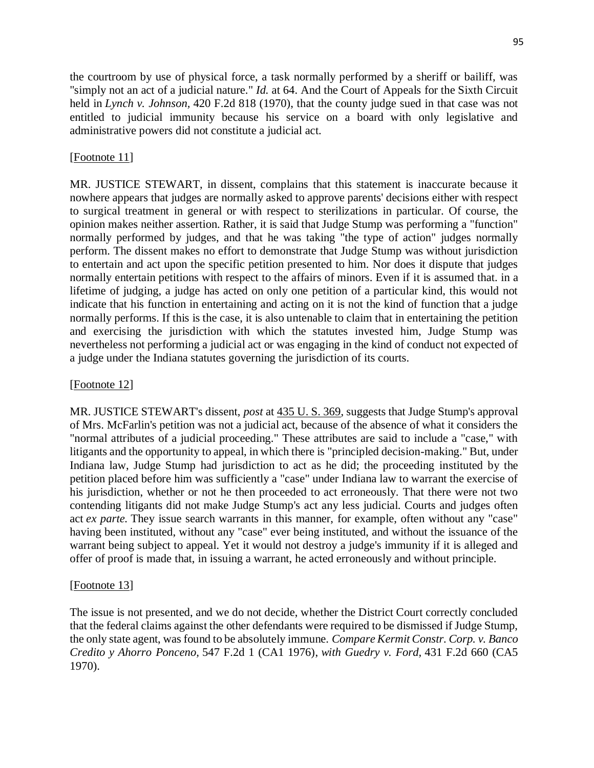the courtroom by use of physical force, a task normally performed by a sheriff or bailiff, was "simply not an act of a judicial nature." *Id.* at 64. And the Court of Appeals for the Sixth Circuit held in *Lynch v. Johnson,* 420 F.2d 818 (1970), that the county judge sued in that case was not entitled to judicial immunity because his service on a board with only legislative and administrative powers did not constitute a judicial act.

# [\[Footnote 11\]](https://supreme.justia.com/cases/federal/us/435/349/case.html#T11)

MR. JUSTICE STEWART, in dissent, complains that this statement is inaccurate because it nowhere appears that judges are normally asked to approve parents' decisions either with respect to surgical treatment in general or with respect to sterilizations in particular. Of course, the opinion makes neither assertion. Rather, it is said that Judge Stump was performing a "function" normally performed by judges, and that he was taking "the type of action" judges normally perform. The dissent makes no effort to demonstrate that Judge Stump was without jurisdiction to entertain and act upon the specific petition presented to him. Nor does it dispute that judges normally entertain petitions with respect to the affairs of minors. Even if it is assumed that. in a lifetime of judging, a judge has acted on only one petition of a particular kind, this would not indicate that his function in entertaining and acting on it is not the kind of function that a judge normally performs. If this is the case, it is also untenable to claim that in entertaining the petition and exercising the jurisdiction with which the statutes invested him, Judge Stump was nevertheless not performing a judicial act or was engaging in the kind of conduct not expected of a judge under the Indiana statutes governing the jurisdiction of its courts.

#### [\[Footnote 12\]](https://supreme.justia.com/cases/federal/us/435/349/case.html#T12)

MR. JUSTICE STEWART's dissent, *post* at [435 U. S. 369,](https://supreme.justia.com/cases/federal/us/435/349/case.html#369) suggests that Judge Stump's approval of Mrs. McFarlin's petition was not a judicial act, because of the absence of what it considers the "normal attributes of a judicial proceeding." These attributes are said to include a "case," with litigants and the opportunity to appeal, in which there is "principled decision-making." But, under Indiana law, Judge Stump had jurisdiction to act as he did; the proceeding instituted by the petition placed before him was sufficiently a "case" under Indiana law to warrant the exercise of his jurisdiction, whether or not he then proceeded to act erroneously. That there were not two contending litigants did not make Judge Stump's act any less judicial. Courts and judges often act *ex parte.* They issue search warrants in this manner, for example, often without any "case" having been instituted, without any "case" ever being instituted, and without the issuance of the warrant being subject to appeal. Yet it would not destroy a judge's immunity if it is alleged and offer of proof is made that, in issuing a warrant, he acted erroneously and without principle.

#### [\[Footnote 13\]](https://supreme.justia.com/cases/federal/us/435/349/case.html#T13)

The issue is not presented, and we do not decide, whether the District Court correctly concluded that the federal claims against the other defendants were required to be dismissed if Judge Stump, the only state agent, was found to be absolutely immune. *Compare Kermit Constr. Corp. v. Banco Credito y Ahorro Ponceno,* 547 F.2d 1 (CA1 1976), *with Guedry v. Ford,* 431 F.2d 660 (CA5 1970).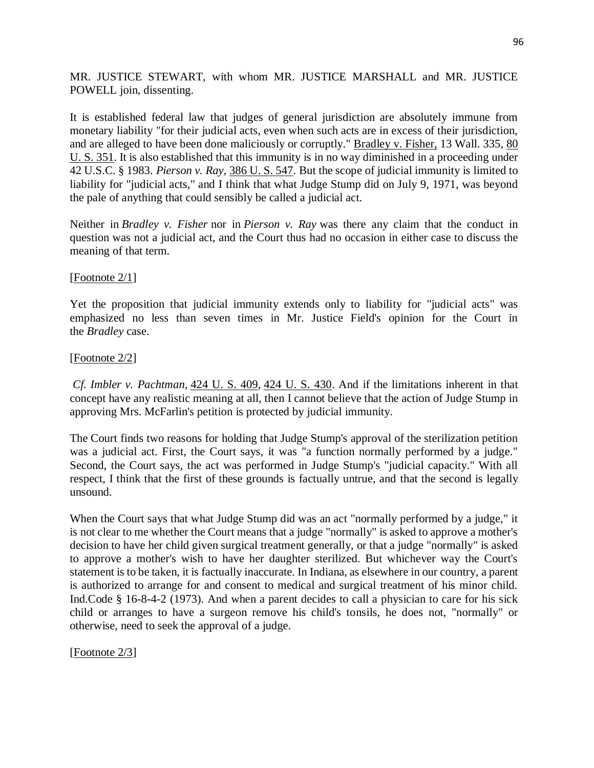MR. JUSTICE STEWART, with whom MR. JUSTICE MARSHALL and MR. JUSTICE POWELL join, dissenting.

It is established federal law that judges of general jurisdiction are absolutely immune from monetary liability "for their judicial acts, even when such acts are in excess of their jurisdiction, and are alleged to have been done maliciously or corruptly." [Bradley v. Fisher,](https://supreme.justia.com/cases/federal/us/80/335/case.html) 13 Wall. 335, 80 [U. S. 351.](https://supreme.justia.com/cases/federal/us/80/335/case.html#351) It is also established that this immunity is in no way diminished in a proceeding under 42 U.S.C. § 1983. *Pierson v. Ray,* [386 U. S. 547.](https://supreme.justia.com/cases/federal/us/386/547/case.html) But the scope of judicial immunity is limited to liability for "judicial acts," and I think that what Judge Stump did on July 9, 1971, was beyond the pale of anything that could sensibly be called a judicial act.

Neither in *Bradley v. Fisher* nor in *Pierson v. Ray* was there any claim that the conduct in question was not a judicial act, and the Court thus had no occasion in either case to discuss the meaning of that term.

## [\[Footnote 2/1\]](https://supreme.justia.com/cases/federal/us/435/349/case.html#F2/1)

Yet the proposition that judicial immunity extends only to liability for "judicial acts" was emphasized no less than seven times in Mr. Justice Field's opinion for the Court in the *Bradley* case.

## [\[Footnote 2/2\]](https://supreme.justia.com/cases/federal/us/435/349/case.html#F2/2)

*Cf. Imbler v. Pachtman,* [424 U. S. 409,](https://supreme.justia.com/cases/federal/us/424/409/case.html) [424 U. S. 430.](https://supreme.justia.com/cases/federal/us/424/409/case.html#430) And if the limitations inherent in that concept have any realistic meaning at all, then I cannot believe that the action of Judge Stump in approving Mrs. McFarlin's petition is protected by judicial immunity.

The Court finds two reasons for holding that Judge Stump's approval of the sterilization petition was a judicial act. First, the Court says, it was "a function normally performed by a judge." Second, the Court says, the act was performed in Judge Stump's "judicial capacity." With all respect, I think that the first of these grounds is factually untrue, and that the second is legally unsound.

When the Court says that what Judge Stump did was an act "normally performed by a judge," it is not clear to me whether the Court means that a judge "normally" is asked to approve a mother's decision to have her child given surgical treatment generally, or that a judge "normally" is asked to approve a mother's wish to have her daughter sterilized. But whichever way the Court's statement is to be taken, it is factually inaccurate. In Indiana, as elsewhere in our country, a parent is authorized to arrange for and consent to medical and surgical treatment of his minor child. Ind.Code § 16-8-4-2 (1973). And when a parent decides to call a physician to care for his sick child or arranges to have a surgeon remove his child's tonsils, he does not, "normally" or otherwise, need to seek the approval of a judge.

[\[Footnote 2/3\]](https://supreme.justia.com/cases/federal/us/435/349/case.html#F2/3)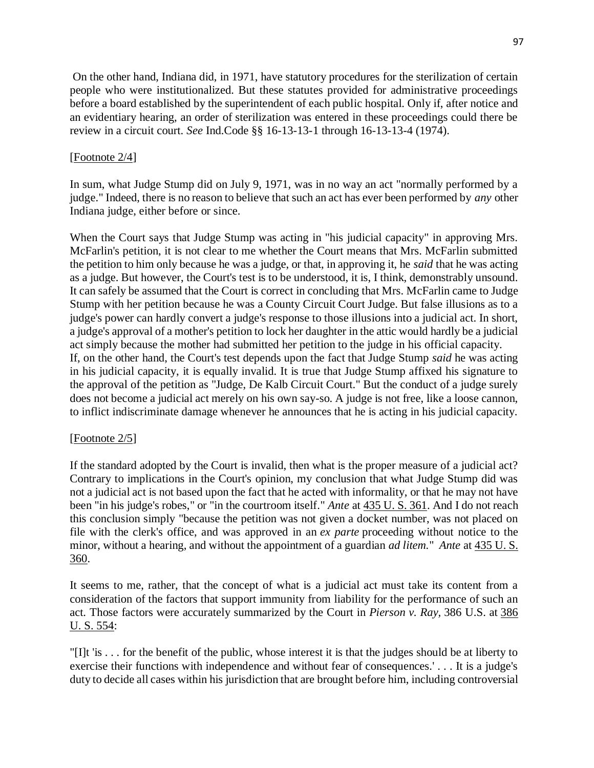On the other hand, Indiana did, in 1971, have statutory procedures for the sterilization of certain people who were institutionalized. But these statutes provided for administrative proceedings before a board established by the superintendent of each public hospital. Only if, after notice and an evidentiary hearing, an order of sterilization was entered in these proceedings could there be review in a circuit court. *See* Ind.Code §§ 16-13-13-1 through 16-13-13-4 (1974).

## [\[Footnote 2/4\]](https://supreme.justia.com/cases/federal/us/435/349/case.html#F2/4)

In sum, what Judge Stump did on July 9, 1971, was in no way an act "normally performed by a judge." Indeed, there is no reason to believe that such an act has ever been performed by *any* other Indiana judge, either before or since.

When the Court says that Judge Stump was acting in "his judicial capacity" in approving Mrs. McFarlin's petition, it is not clear to me whether the Court means that Mrs. McFarlin submitted the petition to him only because he was a judge, or that, in approving it, he *said* that he was acting as a judge. But however, the Court's test is to be understood, it is, I think, demonstrably unsound. It can safely be assumed that the Court is correct in concluding that Mrs. McFarlin came to Judge Stump with her petition because he was a County Circuit Court Judge. But false illusions as to a judge's power can hardly convert a judge's response to those illusions into a judicial act. In short, a judge's approval of a mother's petition to lock her daughter in the attic would hardly be a judicial act simply because the mother had submitted her petition to the judge in his official capacity. If, on the other hand, the Court's test depends upon the fact that Judge Stump *said* he was acting in his judicial capacity, it is equally invalid. It is true that Judge Stump affixed his signature to the approval of the petition as "Judge, De Kalb Circuit Court." But the conduct of a judge surely does not become a judicial act merely on his own say-so. A judge is not free, like a loose cannon, to inflict indiscriminate damage whenever he announces that he is acting in his judicial capacity.

# [\[Footnote](https://supreme.justia.com/cases/federal/us/435/349/case.html#F2/5) 2/5]

If the standard adopted by the Court is invalid, then what is the proper measure of a judicial act? Contrary to implications in the Court's opinion, my conclusion that what Judge Stump did was not a judicial act is not based upon the fact that he acted with informality, or that he may not have been "in his judge's robes," or "in the courtroom itself." *Ante* at [435 U. S. 361.](https://supreme.justia.com/cases/federal/us/435/349/case.html#361) And I do not reach this conclusion simply "because the petition was not given a docket number, was not placed on file with the clerk's office, and was approved in an *ex parte* proceeding without notice to the minor, without a hearing, and without the appointment of a guardian *ad litem.*" *Ante* at [435 U. S.](https://supreme.justia.com/cases/federal/us/435/349/case.html#360)  [360.](https://supreme.justia.com/cases/federal/us/435/349/case.html#360)

It seems to me, rather, that the concept of what is a judicial act must take its content from a consideration of the factors that support immunity from liability for the performance of such an act. Those factors were accurately summarized by the Court in *Pierson v. Ray,* 386 U.S. at [386](https://supreme.justia.com/cases/federal/us/386/547/case.html#554)  [U. S. 554:](https://supreme.justia.com/cases/federal/us/386/547/case.html#554)

"[I]t 'is . . . for the benefit of the public, whose interest it is that the judges should be at liberty to exercise their functions with independence and without fear of consequences.' . . . It is a judge's duty to decide all cases within his jurisdiction that are brought before him, including controversial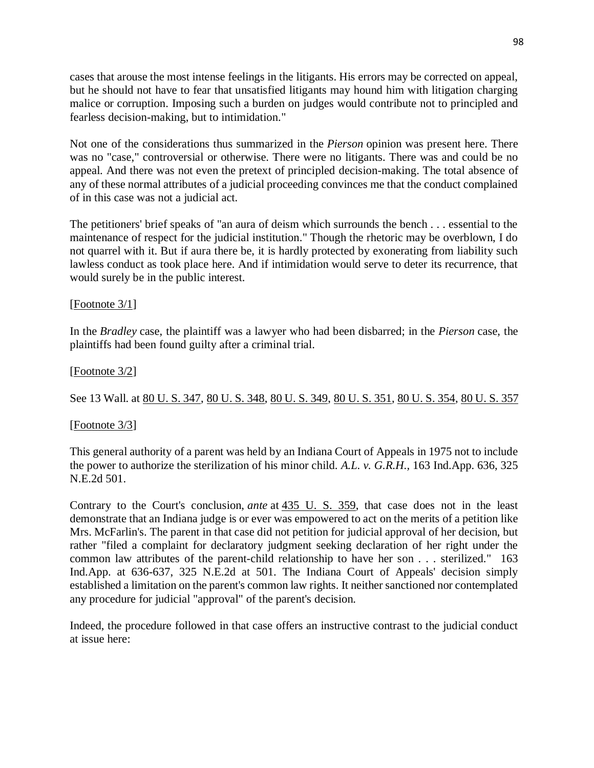cases that arouse the most intense feelings in the litigants. His errors may be corrected on appeal, but he should not have to fear that unsatisfied litigants may hound him with litigation charging malice or corruption. Imposing such a burden on judges would contribute not to principled and fearless decision-making, but to intimidation."

Not one of the considerations thus summarized in the *Pierson* opinion was present here. There was no "case," controversial or otherwise. There were no litigants. There was and could be no appeal. And there was not even the pretext of principled decision-making. The total absence of any of these normal attributes of a judicial proceeding convinces me that the conduct complained of in this case was not a judicial act.

The petitioners' brief speaks of "an aura of deism which surrounds the bench . . . essential to the maintenance of respect for the judicial institution." Though the rhetoric may be overblown, I do not quarrel with it. But if aura there be, it is hardly protected by exonerating from liability such lawless conduct as took place here. And if intimidation would serve to deter its recurrence, that would surely be in the public interest.

#### [\[Footnote 3/1\]](https://supreme.justia.com/cases/federal/us/435/349/case.html#T2/1)

In the *Bradley* case, the plaintiff was a lawyer who had been disbarred; in the *Pierson* case, the plaintiffs had been found guilty after a criminal trial.

#### [\[Footnote 3/2\]](https://supreme.justia.com/cases/federal/us/435/349/case.html#T2/2)

See 13 Wall. at [80 U. S. 347,](https://supreme.justia.com/cases/federal/us/80/335/case.html#347) [80 U. S. 348,](https://supreme.justia.com/cases/federal/us/80/335/case.html#348) [80 U. S. 349,](https://supreme.justia.com/cases/federal/us/80/335/case.html#340) [80 U. S. 351,](https://supreme.justia.com/cases/federal/us/80/335/case.html#351) [80 U. S. 354,](https://supreme.justia.com/cases/federal/us/80/335/case.html#354) [80 U. S. 357](https://supreme.justia.com/cases/federal/us/80/335/case.html#357)

#### [\[Footnote 3/3\]](https://supreme.justia.com/cases/federal/us/435/349/case.html#T2/3)

This general authority of a parent was held by an Indiana Court of Appeals in 1975 not to include the power to authorize the sterilization of his minor child. *A.L. v. G.R.H.,* 163 Ind.App. 636, 325 N.E.2d 501.

Contrary to the Court's conclusion, *ante* at [435 U. S. 359,](https://supreme.justia.com/cases/federal/us/435/349/case.html#359) that case does not in the least demonstrate that an Indiana judge is or ever was empowered to act on the merits of a petition like Mrs. McFarlin's. The parent in that case did not petition for judicial approval of her decision, but rather "filed a complaint for declaratory judgment seeking declaration of her right under the common law attributes of the parent-child relationship to have her son . . . sterilized." 163 Ind.App. at 636-637, 325 N.E.2d at 501. The Indiana Court of Appeals' decision simply established a limitation on the parent's common law rights. It neither sanctioned nor contemplated any procedure for judicial "approval" of the parent's decision.

Indeed, the procedure followed in that case offers an instructive contrast to the judicial conduct at issue here: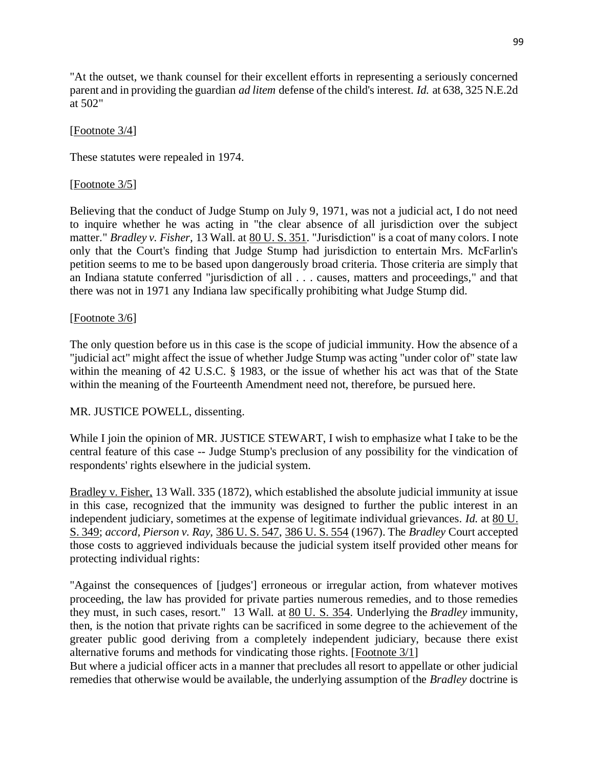"At the outset, we thank counsel for their excellent efforts in representing a seriously concerned parent and in providing the guardian *ad litem* defense of the child's interest. *Id.* at 638, 325 N.E.2d at 502"

#### [\[Footnote 3/4\]](https://supreme.justia.com/cases/federal/us/435/349/case.html#T2/4)

These statutes were repealed in 1974.

#### [\[Footnote 3/5\]](https://supreme.justia.com/cases/federal/us/435/349/case.html#T2/5)

Believing that the conduct of Judge Stump on July 9, 1971, was not a judicial act, I do not need to inquire whether he was acting in "the clear absence of all jurisdiction over the subject matter." *Bradley v. Fisher,* 13 Wall. at [80 U. S. 351.](https://supreme.justia.com/cases/federal/us/80/335/case.html#351) "Jurisdiction" is a coat of many colors. I note only that the Court's finding that Judge Stump had jurisdiction to entertain Mrs. McFarlin's petition seems to me to be based upon dangerously broad criteria. Those criteria are simply that an Indiana statute conferred "jurisdiction of all . . . causes, matters and proceedings," and that there was not in 1971 any Indiana law specifically prohibiting what Judge Stump did.

#### [\[Footnote 3/6\]](https://supreme.justia.com/cases/federal/us/435/349/case.html#T2/6)

The only question before us in this case is the scope of judicial immunity. How the absence of a "judicial act" might affect the issue of whether Judge Stump was acting "under color of" state law within the meaning of 42 U.S.C. § 1983, or the issue of whether his act was that of the State within the meaning of the Fourteenth Amendment need not, therefore, be pursued here.

#### MR. JUSTICE POWELL, dissenting.

While I join the opinion of MR. JUSTICE STEWART, I wish to emphasize what I take to be the central feature of this case -- Judge Stump's preclusion of any possibility for the vindication of respondents' rights elsewhere in the judicial system.

[Bradley v. Fisher,](https://supreme.justia.com/cases/federal/us/80/335/case.html) 13 Wall. 335 (1872), which established the absolute judicial immunity at issue in this case, recognized that the immunity was designed to further the public interest in an independent judiciary, sometimes at the expense of legitimate individual grievances. *Id.* at [80 U.](https://supreme.justia.com/cases/federal/us/80/335/case.html#349)  [S. 349;](https://supreme.justia.com/cases/federal/us/80/335/case.html#349) *accord, Pierson v. Ray,* [386 U. S. 547,](https://supreme.justia.com/cases/federal/us/386/547/case.html) [386 U. S. 554](https://supreme.justia.com/cases/federal/us/386/547/case.html#554) (1967). The *Bradley* Court accepted those costs to aggrieved individuals because the judicial system itself provided other means for protecting individual rights:

"Against the consequences of [judges'] erroneous or irregular action, from whatever motives proceeding, the law has provided for private parties numerous remedies, and to those remedies they must, in such cases, resort." 13 Wall. at [80 U. S. 354.](https://supreme.justia.com/cases/federal/us/80/335/case.html#354) Underlying the *Bradley* immunity, then, is the notion that private rights can be sacrificed in some degree to the achievement of the greater public good deriving from a completely independent judiciary, because there exist alternative forums and methods for vindicating those rights. [\[Footnote 3/1\]](https://supreme.justia.com/cases/federal/us/435/349/case.html#F3/1)

But where a judicial officer acts in a manner that precludes all resort to appellate or other judicial remedies that otherwise would be available, the underlying assumption of the *Bradley* doctrine is